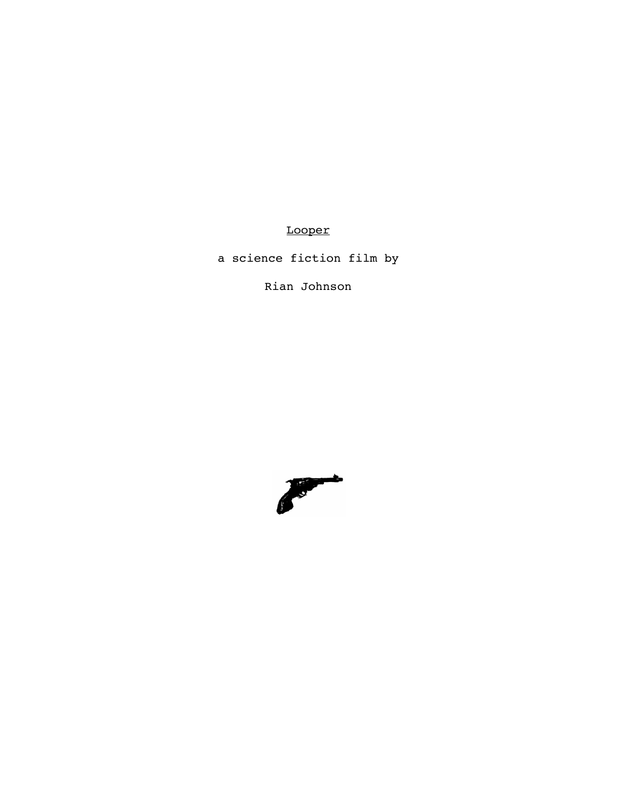Looper

a science fiction film by

Rian Johnson

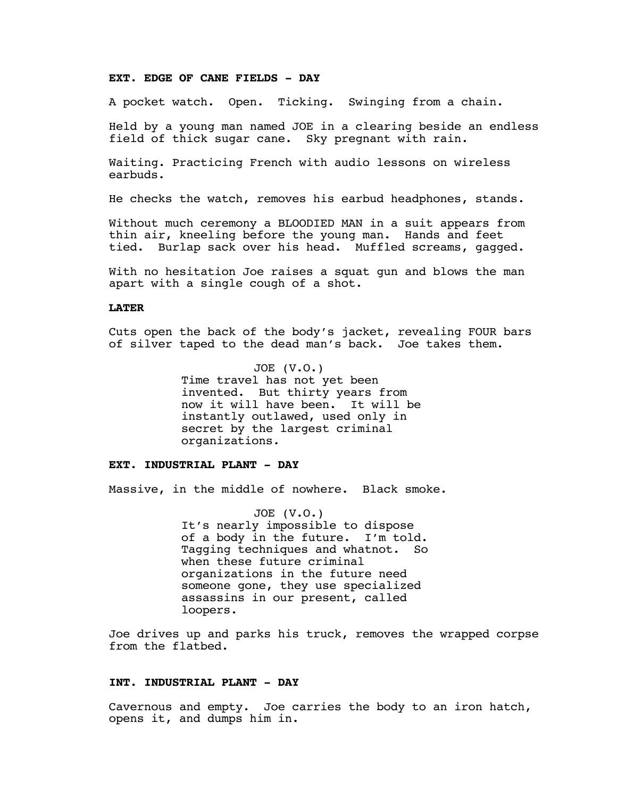## **EXT. EDGE OF CANE FIELDS - DAY**

A pocket watch. Open. Ticking. Swinging from a chain.

Held by a young man named JOE in a clearing beside an endless field of thick sugar cane. Sky pregnant with rain.

Waiting. Practicing French with audio lessons on wireless earbuds.

He checks the watch, removes his earbud headphones, stands.

Without much ceremony a BLOODIED MAN in a suit appears from thin air, kneeling before the young man. Hands and feet tied. Burlap sack over his head. Muffled screams, gagged.

With no hesitation Joe raises a squat gun and blows the man apart with a single cough of a shot.

# **LATER**

Cuts open the back of the body's jacket, revealing FOUR bars of silver taped to the dead man's back. Joe takes them.

> JOE (V.O.) Time travel has not yet been invented. But thirty years from now it will have been. It will be instantly outlawed, used only in secret by the largest criminal organizations.

## **EXT. INDUSTRIAL PLANT - DAY**

Massive, in the middle of nowhere. Black smoke.

JOE (V.O.) It's nearly impossible to dispose of a body in the future. I'm told. Tagging techniques and whatnot. So when these future criminal organizations in the future need someone gone, they use specialized assassins in our present, called loopers.

Joe drives up and parks his truck, removes the wrapped corpse from the flatbed.

## **INT. INDUSTRIAL PLANT - DAY**

Cavernous and empty. Joe carries the body to an iron hatch, opens it, and dumps him in.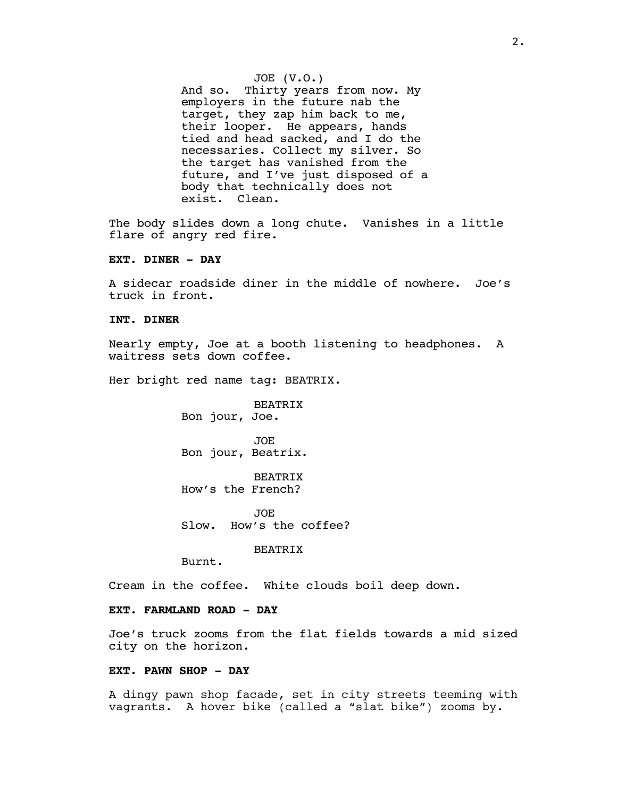JOE (V.O.) And so. Thirty years from now. My employers in the future nab the target, they zap him back to me, their looper. He appears, hands tied and head sacked, and I do the necessaries. Collect my silver. So the target has vanished from the future, and I've just disposed of a body that technically does not exist. Clean.

The body slides down a long chute. Vanishes in a little flare of angry red fire.

#### **EXT. DINER - DAY**

A sidecar roadside diner in the middle of nowhere. Joe's truck in front.

#### **INT. DINER**

Nearly empty, Joe at a booth listening to headphones. A waitress sets down coffee.

Her bright red name tag: BEATRIX.

BEATRIX Bon jour, Joe.

JOE Bon jour, Beatrix.

BEATRIX How's the French?

JOE Slow. How's the coffee?

BEATRIX

Burnt.

Cream in the coffee. White clouds boil deep down.

## **EXT. FARMLAND ROAD - DAY**

Joe's truck zooms from the flat fields towards a mid sized city on the horizon.

## **EXT. PAWN SHOP - DAY**

A dingy pawn shop facade, set in city streets teeming with vagrants. A hover bike (called a "slat bike") zooms by.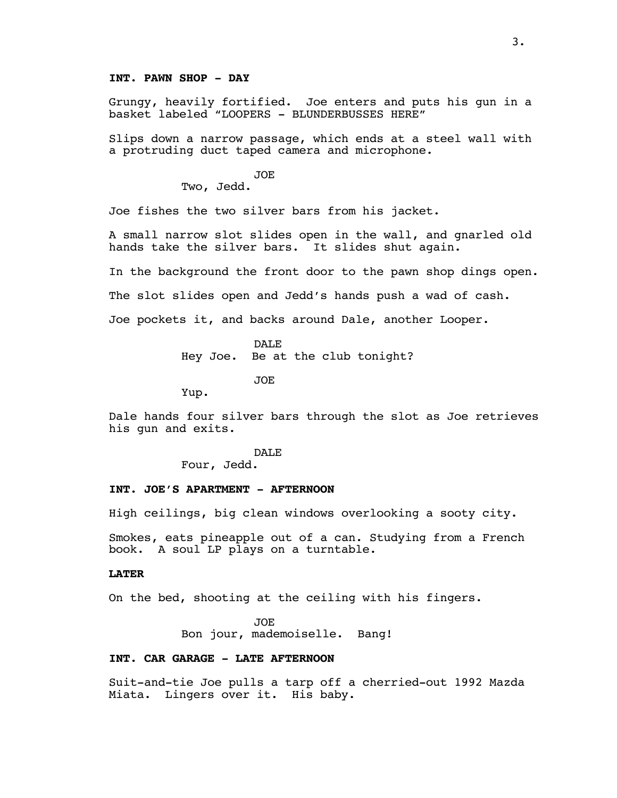# **INT. PAWN SHOP - DAY**

Grungy, heavily fortified. Joe enters and puts his gun in a basket labeled "LOOPERS - BLUNDERBUSSES HERE"

Slips down a narrow passage, which ends at a steel wall with a protruding duct taped camera and microphone.

JOE

Two, Jedd.

Joe fishes the two silver bars from his jacket.

A small narrow slot slides open in the wall, and gnarled old hands take the silver bars. It slides shut again.

In the background the front door to the pawn shop dings open.

The slot slides open and Jedd's hands push a wad of cash.

Joe pockets it, and backs around Dale, another Looper.

DAL<sub>E</sub> Hey Joe. Be at the club tonight?

JOE

Yup.

Dale hands four silver bars through the slot as Joe retrieves his gun and exits.

DAL<sub>E</sub>

Four, Jedd.

## **INT. JOE'S APARTMENT - AFTERNOON**

High ceilings, big clean windows overlooking a sooty city.

Smokes, eats pineapple out of a can. Studying from a French book. A soul LP plays on a turntable.

### **LATER**

On the bed, shooting at the ceiling with his fingers.

JOE Bon jour, mademoiselle. Bang!

#### **INT. CAR GARAGE - LATE AFTERNOON**

Suit-and-tie Joe pulls a tarp off a cherried-out 1992 Mazda Miata. Lingers over it. His baby.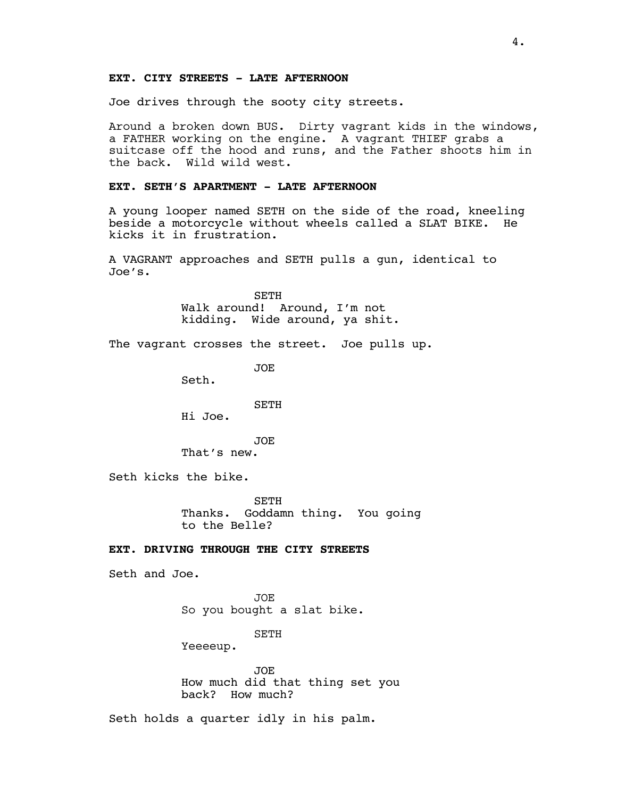## **EXT. CITY STREETS - LATE AFTERNOON**

Joe drives through the sooty city streets.

Around a broken down BUS. Dirty vagrant kids in the windows, a FATHER working on the engine. A vagrant THIEF grabs a suitcase off the hood and runs, and the Father shoots him in the back. Wild wild west.

#### **EXT. SETH'S APARTMENT - LATE AFTERNOON**

A young looper named SETH on the side of the road, kneeling beside a motorcycle without wheels called a SLAT BIKE. He kicks it in frustration.

A VAGRANT approaches and SETH pulls a gun, identical to Joe's.

> SETH Walk around! Around, I'm not kidding. Wide around, ya shit.

The vagrant crosses the street. Joe pulls up.

JOE

Seth.

SETH

Hi Joe.

JOE That's new.

Seth kicks the bike.

**SETH** Thanks. Goddamn thing. You going to the Belle?

## **EXT. DRIVING THROUGH THE CITY STREETS**

Seth and Joe.

JOE So you bought a slat bike.

SETH

Yeeeeup.

JOE How much did that thing set you back? How much?

Seth holds a quarter idly in his palm.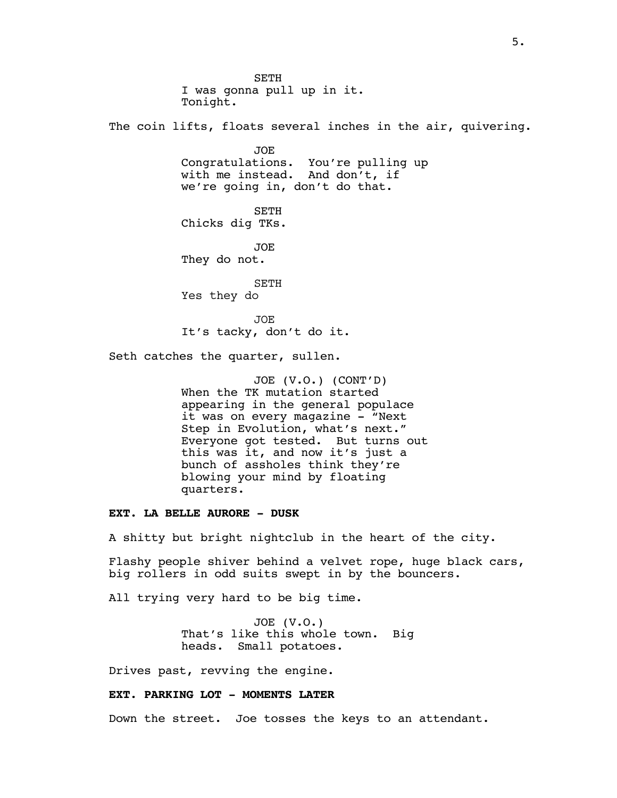**SETH** I was gonna pull up in it. Tonight. The coin lifts, floats several inches in the air, quivering. JOE Congratulations. You're pulling up with me instead. And don't, if we're going in, don't do that. SETH Chicks dig TKs. JOE They do not. SETH Yes they do JOE It's tacky, don't do it. Seth catches the quarter, sullen. JOE (V.O.) (CONT'D) When the TK mutation started appearing in the general populace it was on every magazine - "Next

Step in Evolution, what's next." Everyone got tested. But turns out this was it, and now it's just a bunch of assholes think they're blowing your mind by floating quarters.

#### **EXT. LA BELLE AURORE - DUSK**

A shitty but bright nightclub in the heart of the city.

Flashy people shiver behind a velvet rope, huge black cars, big rollers in odd suits swept in by the bouncers.

All trying very hard to be big time.

JOE (V.O.) That's like this whole town. Big heads. Small potatoes.

Drives past, revving the engine.

### **EXT. PARKING LOT - MOMENTS LATER**

Down the street. Joe tosses the keys to an attendant.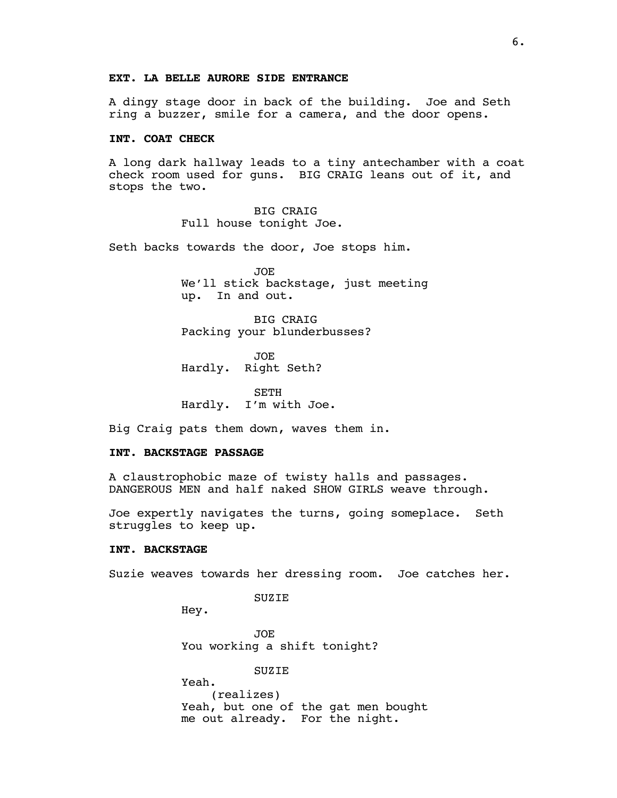## **EXT. LA BELLE AURORE SIDE ENTRANCE**

A dingy stage door in back of the building. Joe and Seth ring a buzzer, smile for a camera, and the door opens.

## **INT. COAT CHECK**

A long dark hallway leads to a tiny antechamber with a coat check room used for guns. BIG CRAIG leans out of it, and stops the two.

> BIG CRAIG Full house tonight Joe.

Seth backs towards the door, Joe stops him.

JOE We'll stick backstage, just meeting up. In and out.

BIG CRAIG Packing your blunderbusses?

JOE Hardly. Right Seth?

SETH Hardly. I'm with Joe.

Big Craig pats them down, waves them in.

#### **INT. BACKSTAGE PASSAGE**

A claustrophobic maze of twisty halls and passages. DANGEROUS MEN and half naked SHOW GIRLS weave through.

Joe expertly navigates the turns, going someplace. Seth struggles to keep up.

#### **INT. BACKSTAGE**

Suzie weaves towards her dressing room. Joe catches her.

SUZIE

Hey.

Yeah.

JOE You working a shift tonight?

### SUZIE

(realizes) Yeah, but one of the gat men bought me out already. For the night.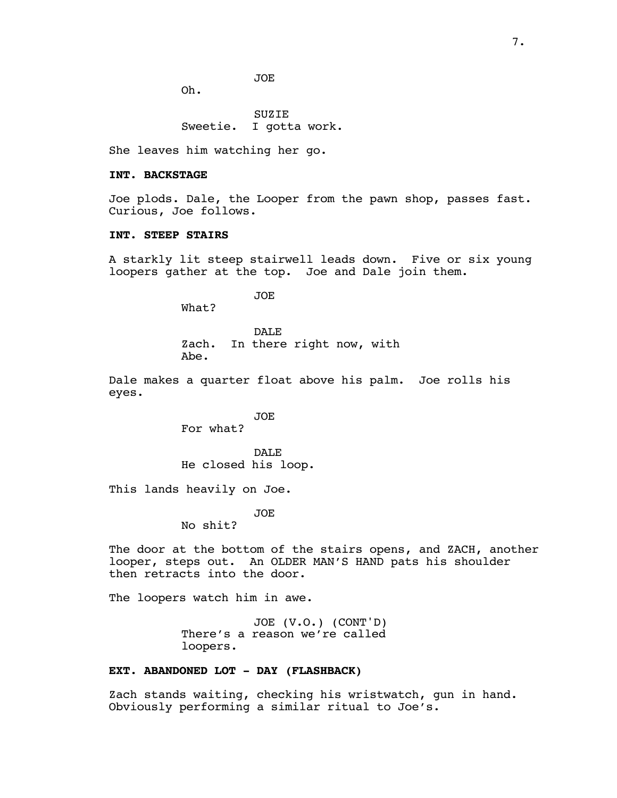JOE

Oh.

SUZIE Sweetie. I gotta work.

She leaves him watching her go.

### **INT. BACKSTAGE**

Joe plods. Dale, the Looper from the pawn shop, passes fast. Curious, Joe follows.

## **INT. STEEP STAIRS**

A starkly lit steep stairwell leads down. Five or six young loopers gather at the top. Joe and Dale join them.

JOE

What?

DALE Zach. In there right now, with Abe.

Dale makes a quarter float above his palm. Joe rolls his eyes.

> JOE For what?

DAL<sub>E</sub> He closed his loop.

This lands heavily on Joe.

JOE

No shit?

The door at the bottom of the stairs opens, and ZACH, another looper, steps out. An OLDER MAN'S HAND pats his shoulder then retracts into the door.

The loopers watch him in awe.

JOE (V.O.) (CONT'D) There's a reason we're called loopers.

# **EXT. ABANDONED LOT - DAY (FLASHBACK)**

Zach stands waiting, checking his wristwatch, gun in hand. Obviously performing a similar ritual to Joe's.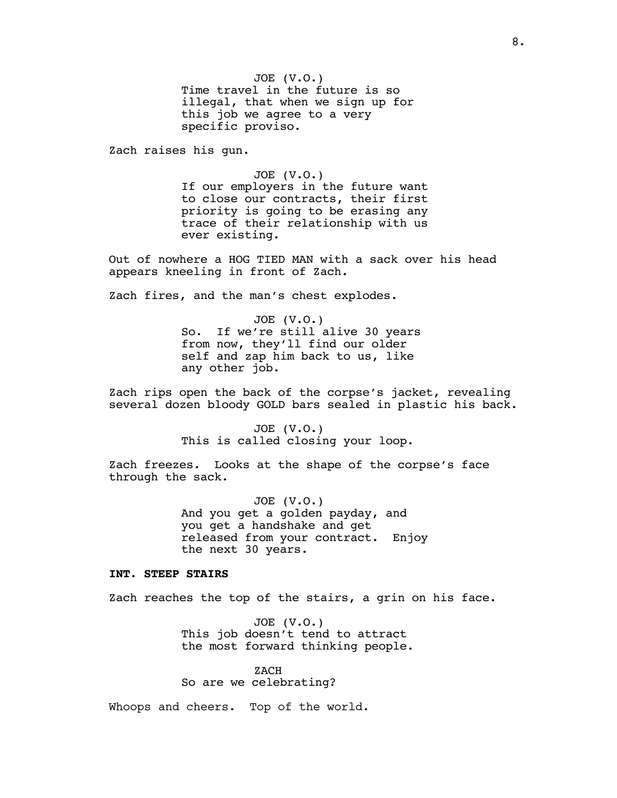JOE (V.O.) Time travel in the future is so illegal, that when we sign up for this job we agree to a very specific proviso.

Zach raises his gun.

JOE (V.O.) If our employers in the future want to close our contracts, their first priority is going to be erasing any trace of their relationship with us ever existing.

Out of nowhere a HOG TIED MAN with a sack over his head appears kneeling in front of Zach.

Zach fires, and the man's chest explodes.

JOE (V.O.) So. If we're still alive 30 years from now, they'll find our older self and zap him back to us, like any other job.

Zach rips open the back of the corpse's jacket, revealing several dozen bloody GOLD bars sealed in plastic his back.

> JOE (V.O.) This is called closing your loop.

Zach freezes. Looks at the shape of the corpse's face through the sack.

> JOE (V.O.) And you get a golden payday, and you get a handshake and get released from your contract. Enjoy the next 30 years.

### **INT. STEEP STAIRS**

Zach reaches the top of the stairs, a grin on his face.

JOE (V.O.) This job doesn't tend to attract the most forward thinking people.

ZACH So are we celebrating?

Whoops and cheers. Top of the world.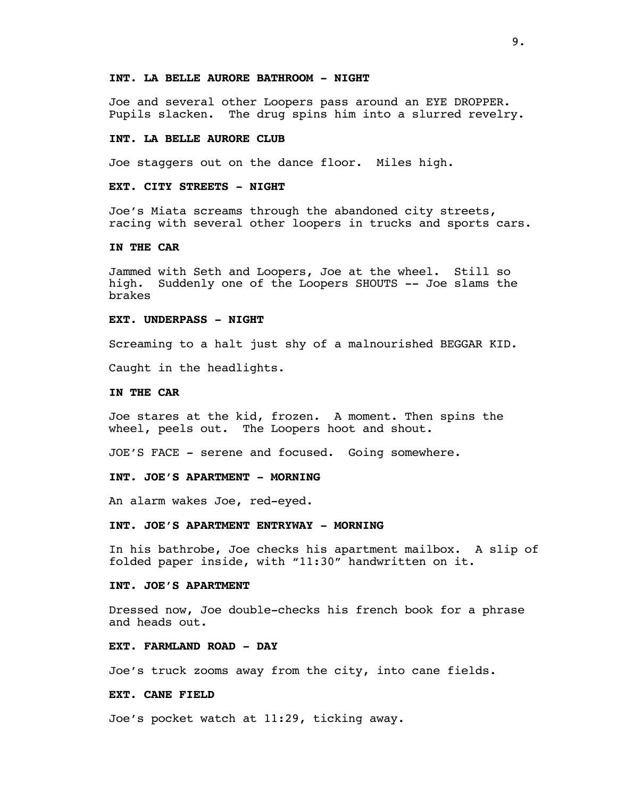## **INT. LA BELLE AURORE BATHROOM - NIGHT**

Joe and several other Loopers pass around an EYE DROPPER. Pupils slacken. The drug spins him into a slurred revelry.

#### **INT. LA BELLE AURORE CLUB**

Joe staggers out on the dance floor. Miles high.

#### **EXT. CITY STREETS - NIGHT**

Joe's Miata screams through the abandoned city streets, racing with several other loopers in trucks and sports cars.

### **IN THE CAR**

Jammed with Seth and Loopers, Joe at the wheel. Still so high. Suddenly one of the Loopers SHOUTS -- Joe slams the brakes

#### **EXT. UNDERPASS - NIGHT**

Screaming to a halt just shy of a malnourished BEGGAR KID.

Caught in the headlights.

#### **IN THE CAR**

Joe stares at the kid, frozen. A moment. Then spins the wheel, peels out. The Loopers hoot and shout.

JOE'S FACE - serene and focused. Going somewhere.

### **INT. JOE'S APARTMENT - MORNING**

An alarm wakes Joe, red-eyed.

#### **INT. JOE'S APARTMENT ENTRYWAY - MORNING**

In his bathrobe, Joe checks his apartment mailbox. A slip of folded paper inside, with "11:30" handwritten on it.

#### **INT. JOE'S APARTMENT**

Dressed now, Joe double-checks his french book for a phrase and heads out.

#### **EXT. FARMLAND ROAD - DAY**

Joe's truck zooms away from the city, into cane fields.

#### **EXT. CANE FIELD**

Joe's pocket watch at 11:29, ticking away.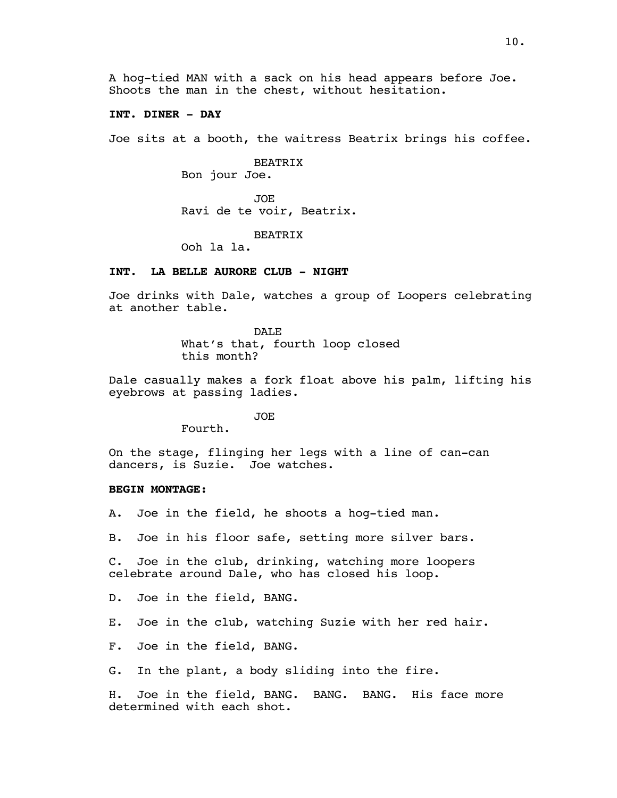A hog-tied MAN with a sack on his head appears before Joe. Shoots the man in the chest, without hesitation.

### **INT. DINER - DAY**

Joe sits at a booth, the waitress Beatrix brings his coffee.

BEATRIX Bon jour Joe.

JOE Ravi de te voir, Beatrix.

**BEATRIX** 

Ooh la la.

## **INT. LA BELLE AURORE CLUB - NIGHT**

Joe drinks with Dale, watches a group of Loopers celebrating at another table.

> DALE What's that, fourth loop closed this month?

Dale casually makes a fork float above his palm, lifting his eyebrows at passing ladies.

JOE

Fourth.

On the stage, flinging her legs with a line of can-can dancers, is Suzie. Joe watches.

#### **BEGIN MONTAGE:**

A. Joe in the field, he shoots a hog-tied man.

B. Joe in his floor safe, setting more silver bars.

C. Joe in the club, drinking, watching more loopers celebrate around Dale, who has closed his loop.

D. Joe in the field, BANG.

E. Joe in the club, watching Suzie with her red hair.

F. Joe in the field, BANG.

G. In the plant, a body sliding into the fire.

H. Joe in the field, BANG. BANG. BANG. His face more determined with each shot.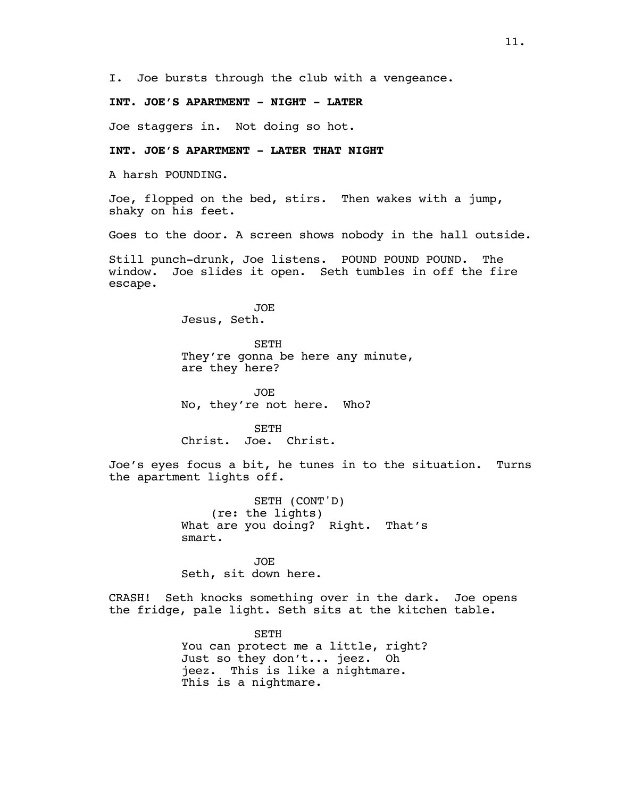I. Joe bursts through the club with a vengeance.

## **INT. JOE'S APARTMENT - NIGHT - LATER**

Joe staggers in. Not doing so hot.

## **INT. JOE'S APARTMENT - LATER THAT NIGHT**

A harsh POUNDING.

Joe, flopped on the bed, stirs. Then wakes with a jump, shaky on his feet.

Goes to the door. A screen shows nobody in the hall outside.

Still punch-drunk, Joe listens. POUND POUND POUND. The window. Joe slides it open. Seth tumbles in off the fire escape.

> JOE Jesus, Seth.

SETH They're gonna be here any minute, are they here?

JOE No, they're not here. Who?

SETH Christ. Joe. Christ.

Joe's eyes focus a bit, he tunes in to the situation. Turns the apartment lights off.

> SETH (CONT'D) (re: the lights) What are you doing? Right. That's smart.

JOE Seth, sit down here.

CRASH! Seth knocks something over in the dark. Joe opens the fridge, pale light. Seth sits at the kitchen table.

> SETH You can protect me a little, right? Just so they don't... jeez. Oh jeez. This is like a nightmare. This is a nightmare.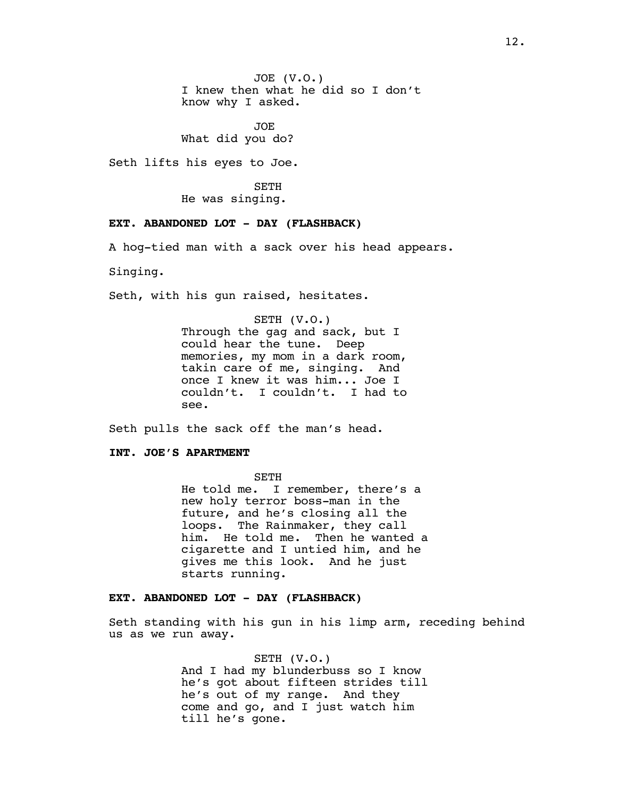JOE (V.O.) I knew then what he did so I don't know why I asked.

JOE What did you do?

Seth lifts his eyes to Joe.

SETH He was singing.

### **EXT. ABANDONED LOT - DAY (FLASHBACK)**

A hog-tied man with a sack over his head appears.

Singing.

Seth, with his gun raised, hesitates.

SETH (V.O.) Through the gag and sack, but I could hear the tune. Deep memories, my mom in a dark room, takin care of me, singing. And once I knew it was him... Joe I couldn't. I couldn't. I had to see.

Seth pulls the sack off the man's head.

#### **INT. JOE'S APARTMENT**

SETH

He told me. I remember, there's a new holy terror boss-man in the future, and he's closing all the loops. The Rainmaker, they call him. He told me. Then he wanted a cigarette and I untied him, and he gives me this look. And he just starts running.

### **EXT. ABANDONED LOT - DAY (FLASHBACK)**

Seth standing with his gun in his limp arm, receding behind us as we run away.

> SETH (V.O.) And I had my blunderbuss so I know he's got about fifteen strides till he's out of my range. And they come and go, and I just watch him till he's gone.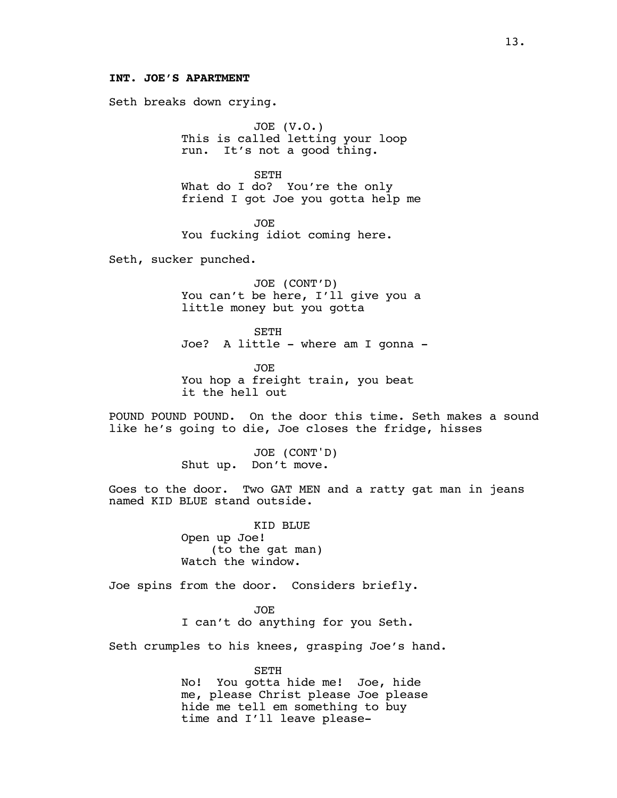### **INT. JOE'S APARTMENT**

Seth breaks down crying.

JOE (V.O.) This is called letting your loop run. It's not a good thing.

SETH What do I do? You're the only friend I got Joe you gotta help me

JOE You fucking idiot coming here.

Seth, sucker punched.

JOE (CONT'D) You can't be here, I'll give you a little money but you gotta

SETH Joe? A little - where am I gonna -

JOE You hop a freight train, you beat it the hell out

POUND POUND POUND. On the door this time. Seth makes a sound like he's going to die, Joe closes the fridge, hisses

> JOE (CONT'D) Shut up. Don't move.

Goes to the door. Two GAT MEN and a ratty gat man in jeans named KID BLUE stand outside.

> KID BLUE Open up Joe! (to the gat man) Watch the window.

Joe spins from the door. Considers briefly.

JOE I can't do anything for you Seth.

Seth crumples to his knees, grasping Joe's hand.

SETH No! You gotta hide me! Joe, hide me, please Christ please Joe please hide me tell em something to buy time and I'll leave please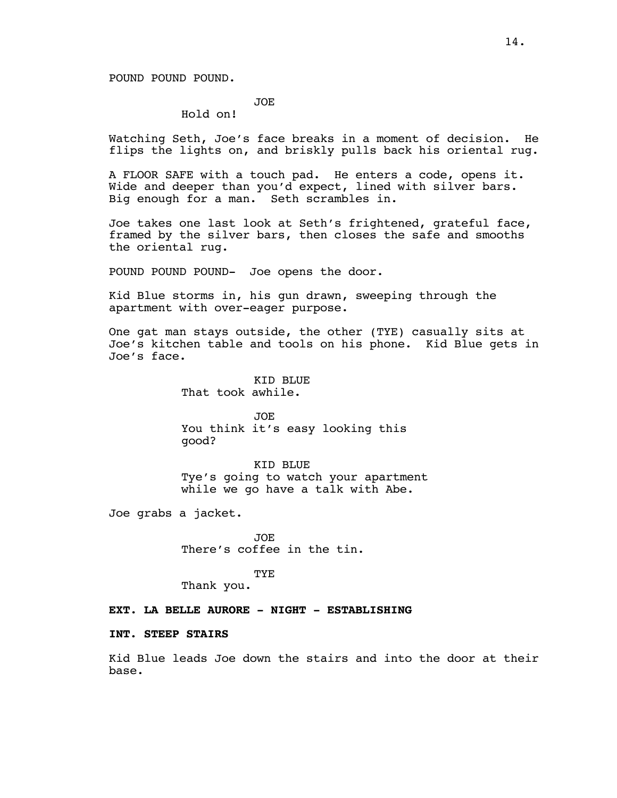POUND POUND POUND.

# JOE

Hold on!

Watching Seth, Joe's face breaks in a moment of decision. He flips the lights on, and briskly pulls back his oriental rug.

A FLOOR SAFE with a touch pad. He enters a code, opens it. Wide and deeper than you'd expect, lined with silver bars. Big enough for a man. Seth scrambles in.

Joe takes one last look at Seth's frightened, grateful face, framed by the silver bars, then closes the safe and smooths the oriental rug.

POUND POUND POUND- Joe opens the door.

Kid Blue storms in, his gun drawn, sweeping through the apartment with over-eager purpose.

One gat man stays outside, the other (TYE) casually sits at Joe's kitchen table and tools on his phone. Kid Blue gets in Joe's face.

> KID BLUE That took awhile.

JOE You think it's easy looking this good?

KID BLUE Tye's going to watch your apartment while we go have a talk with Abe.

Joe grabs a jacket.

JOE There's coffee in the tin.

TYE Thank you.

**EXT. LA BELLE AURORE - NIGHT - ESTABLISHING**

#### **INT. STEEP STAIRS**

Kid Blue leads Joe down the stairs and into the door at their base.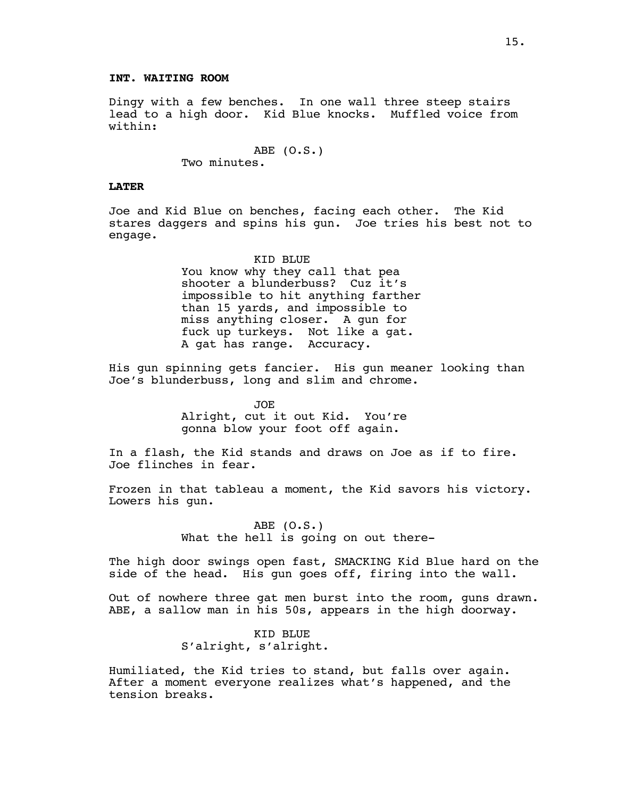Dingy with a few benches. In one wall three steep stairs lead to a high door. Kid Blue knocks. Muffled voice from within:

> ABE (O.S.) Two minutes.

#### **LATER**

Joe and Kid Blue on benches, facing each other. The Kid stares daggers and spins his gun. Joe tries his best not to engage.

> KID BLUE You know why they call that pea shooter a blunderbuss? Cuz it's impossible to hit anything farther than 15 yards, and impossible to miss anything closer. A gun for fuck up turkeys. Not like a gat. A gat has range. Accuracy.

His gun spinning gets fancier. His gun meaner looking than Joe's blunderbuss, long and slim and chrome.

> JOE Alright, cut it out Kid. You're gonna blow your foot off again.

In a flash, the Kid stands and draws on Joe as if to fire. Joe flinches in fear.

Frozen in that tableau a moment, the Kid savors his victory. Lowers his gun.

> ABE (O.S.) What the hell is going on out there-

The high door swings open fast, SMACKING Kid Blue hard on the side of the head. His gun goes off, firing into the wall.

Out of nowhere three gat men burst into the room, guns drawn. ABE, a sallow man in his 50s, appears in the high doorway.

> KID BLUE S'alright, s'alright.

Humiliated, the Kid tries to stand, but falls over again. After a moment everyone realizes what's happened, and the tension breaks.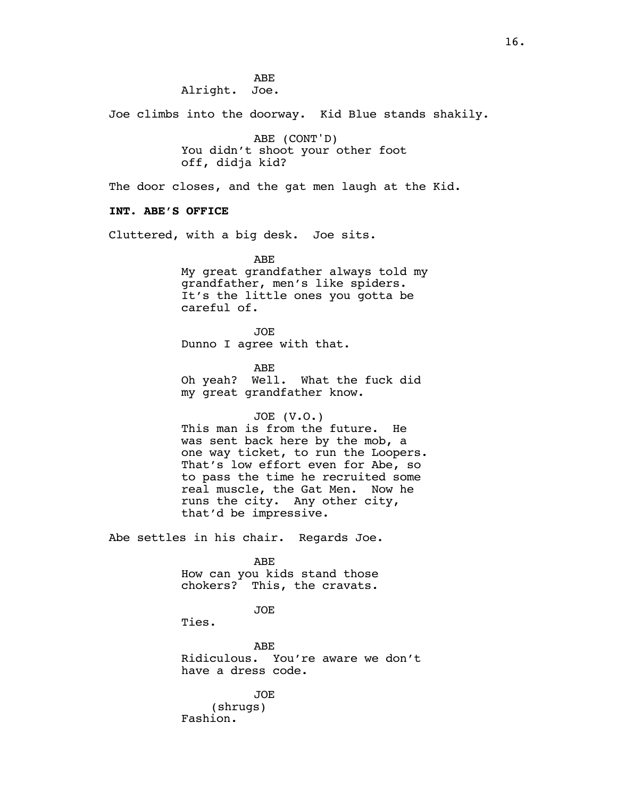Joe climbs into the doorway. Kid Blue stands shakily.

ABE (CONT'D) You didn't shoot your other foot off, didja kid?

The door closes, and the gat men laugh at the Kid.

# **INT. ABE'S OFFICE**

Cluttered, with a big desk. Joe sits.

ABE My great grandfather always told my grandfather, men's like spiders. It's the little ones you gotta be careful of.

JOE Dunno I agree with that.

ABE Oh yeah? Well. What the fuck did my great grandfather know.

#### JOE (V.O.)

This man is from the future. He was sent back here by the mob, a one way ticket, to run the Loopers. That's low effort even for Abe, so to pass the time he recruited some real muscle, the Gat Men. Now he runs the city. Any other city, that'd be impressive.

Abe settles in his chair. Regards Joe.

ABE

How can you kids stand those chokers? This, the cravats.

### JOE

Ties.

ABE Ridiculous. You're aware we don't have a dress code.

JOE

(shrugs) Fashion.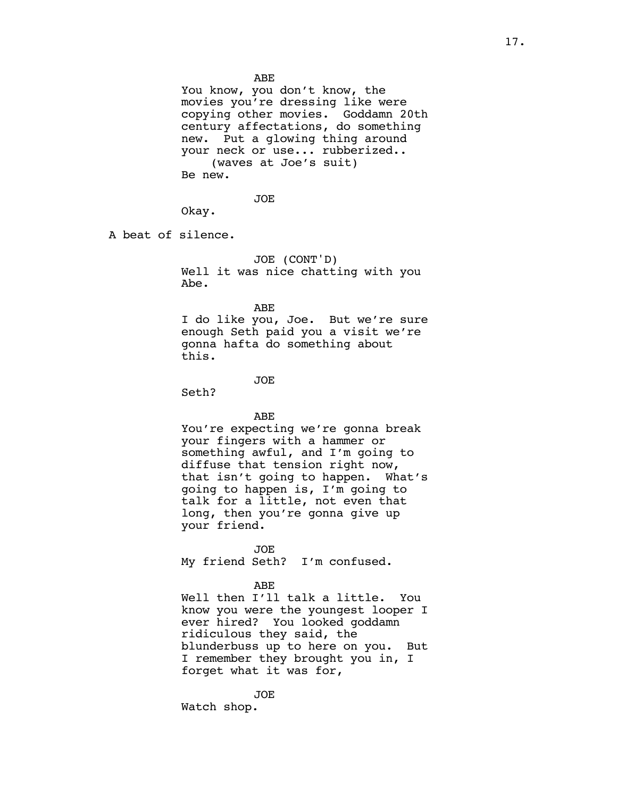You know, you don't know, the movies you're dressing like were copying other movies. Goddamn 20th century affectations, do something new. Put a glowing thing around your neck or use... rubberized.. (waves at Joe's suit) Be new.

JOE

Okay.

A beat of silence.

JOE (CONT'D) Well it was nice chatting with you Abe.

ABE

I do like you, Joe. But we're sure enough Seth paid you a visit we're gonna hafta do something about this.

JOE

Seth?

ABE

You're expecting we're gonna break your fingers with a hammer or something awful, and I'm going to diffuse that tension right now, that isn't going to happen. What's going to happen is, I'm going to talk for a little, not even that long, then you're gonna give up your friend.

JOE My friend Seth? I'm confused.

ABE

Well then I'll talk a little. You know you were the youngest looper I ever hired? You looked goddamn ridiculous they said, the blunderbuss up to here on you. But I remember they brought you in, I forget what it was for,

JOE Watch shop.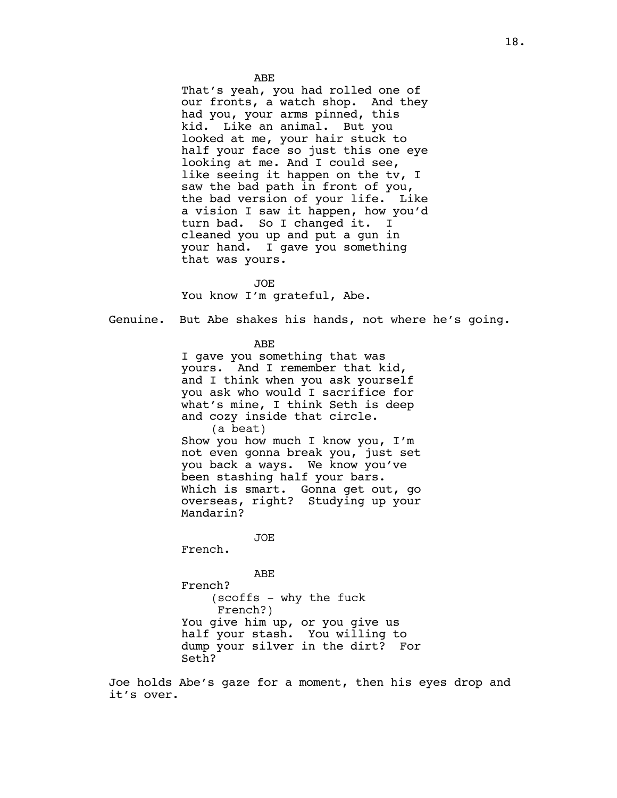That's yeah, you had rolled one of our fronts, a watch shop. And they had you, your arms pinned, this kid. Like an animal. But you looked at me, your hair stuck to half your face so just this one eye looking at me. And I could see, like seeing it happen on the tv, I saw the bad path in front of you, the bad version of your life. Like a vision I saw it happen, how you'd turn bad. So I changed it. I cleaned you up and put a gun in your hand. I gave you something that was yours.

JOE You know I'm grateful, Abe.

Genuine. But Abe shakes his hands, not where he's going.

ABE

I gave you something that was yours. And I remember that kid, and I think when you ask yourself you ask who would I sacrifice for what's mine, I think Seth is deep and cozy inside that circle. (a beat) Show you how much I know you, I'm not even gonna break you, just set you back a ways. We know you've been stashing half your bars. Which is smart. Gonna get out, go overseas, right? Studying up your Mandarin?

JOE

French.

ABE French? (scoffs - why the fuck French?) You give him up, or you give us half your stash. You willing to dump your silver in the dirt? For Seth?

Joe holds Abe's gaze for a moment, then his eyes drop and it's over.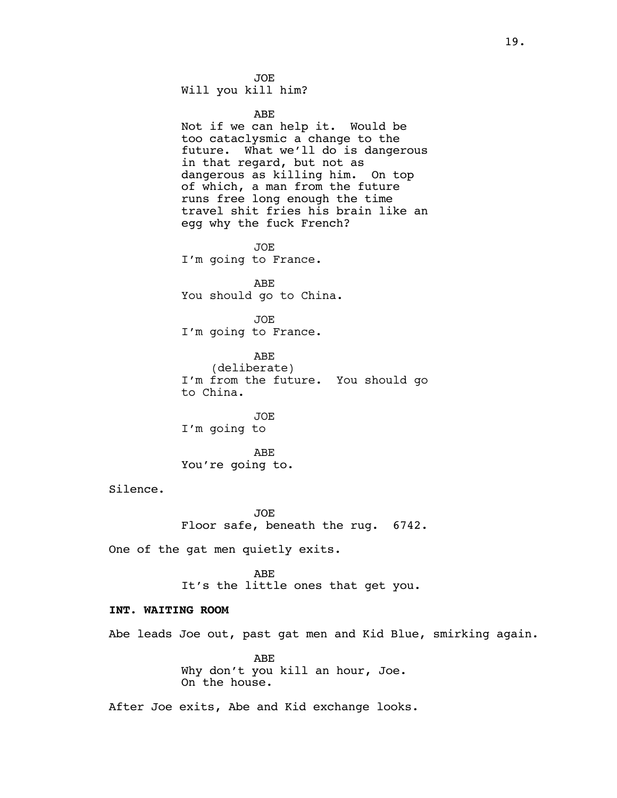JOE Will you kill him?

ABE

Not if we can help it. Would be too cataclysmic a change to the future. What we'll do is dangerous in that regard, but not as dangerous as killing him. On top of which, a man from the future runs free long enough the time travel shit fries his brain like an egg why the fuck French?

JOE I'm going to France.

ABE You should go to China.

JOE I'm going to France.

ABE (deliberate) I'm from the future. You should go to China.

JOE I'm going to

ABE You're going to.

Silence.

JOE Floor safe, beneath the rug. 6742.

One of the gat men quietly exits.

ABE It's the little ones that get you.

# **INT. WAITING ROOM**

Abe leads Joe out, past gat men and Kid Blue, smirking again.

ABE Why don't you kill an hour, Joe. On the house.

After Joe exits, Abe and Kid exchange looks.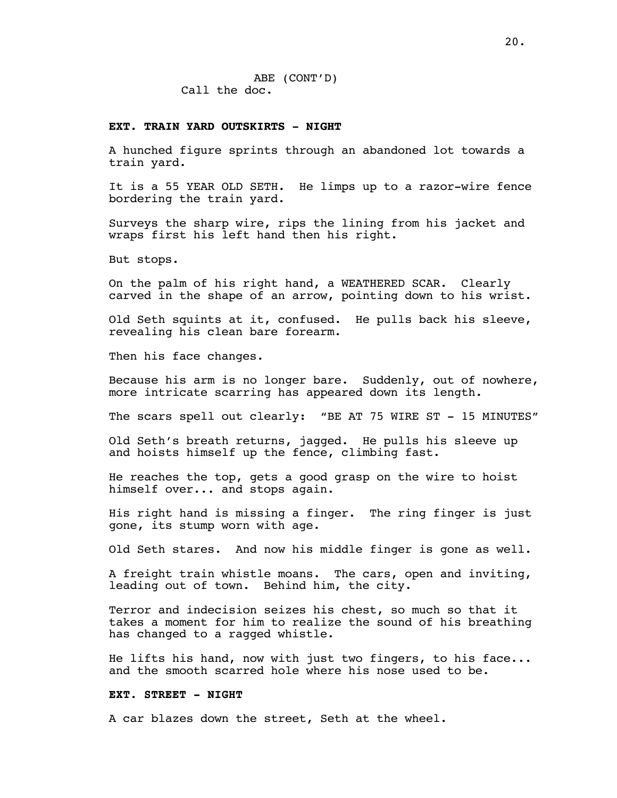ABE (CONT'D) Call the doc.

#### **EXT. TRAIN YARD OUTSKIRTS - NIGHT**

A hunched figure sprints through an abandoned lot towards a train yard.

It is a 55 YEAR OLD SETH. He limps up to a razor-wire fence bordering the train yard.

Surveys the sharp wire, rips the lining from his jacket and wraps first his left hand then his right.

But stops.

On the palm of his right hand, a WEATHERED SCAR. Clearly carved in the shape of an arrow, pointing down to his wrist.

Old Seth squints at it, confused. He pulls back his sleeve, revealing his clean bare forearm.

Then his face changes.

Because his arm is no longer bare. Suddenly, out of nowhere, more intricate scarring has appeared down its length.

The scars spell out clearly: "BE AT 75 WIRE ST - 15 MINUTES"

Old Seth's breath returns, jagged. He pulls his sleeve up and hoists himself up the fence, climbing fast.

He reaches the top, gets a good grasp on the wire to hoist himself over... and stops again.

His right hand is missing a finger. The ring finger is just gone, its stump worn with age.

Old Seth stares. And now his middle finger is gone as well.

A freight train whistle moans. The cars, open and inviting, leading out of town. Behind him, the city.

Terror and indecision seizes his chest, so much so that it takes a moment for him to realize the sound of his breathing has changed to a ragged whistle.

He lifts his hand, now with just two fingers, to his face... and the smooth scarred hole where his nose used to be.

### **EXT. STREET - NIGHT**

A car blazes down the street, Seth at the wheel.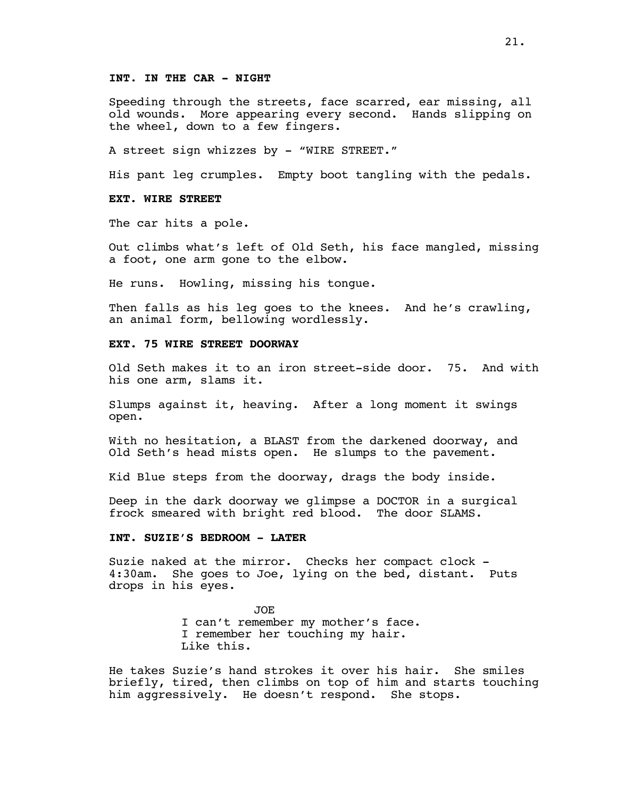### **INT. IN THE CAR - NIGHT**

Speeding through the streets, face scarred, ear missing, all old wounds. More appearing every second. Hands slipping on the wheel, down to a few fingers.

A street sign whizzes by - "WIRE STREET."

His pant leg crumples. Empty boot tangling with the pedals.

### **EXT. WIRE STREET**

The car hits a pole.

Out climbs what's left of Old Seth, his face mangled, missing a foot, one arm gone to the elbow.

He runs. Howling, missing his tongue.

Then falls as his leg goes to the knees. And he's crawling, an animal form, bellowing wordlessly.

## **EXT. 75 WIRE STREET DOORWAY**

Old Seth makes it to an iron street-side door. 75. And with his one arm, slams it.

Slumps against it, heaving. After a long moment it swings open.

With no hesitation, a BLAST from the darkened doorway, and Old Seth's head mists open. He slumps to the pavement.

Kid Blue steps from the doorway, drags the body inside.

Deep in the dark doorway we glimpse a DOCTOR in a surgical frock smeared with bright red blood. The door SLAMS.

### **INT. SUZIE'S BEDROOM - LATER**

Suzie naked at the mirror. Checks her compact clock - 4:30am. She goes to Joe, lying on the bed, distant. Puts drops in his eyes.

> JOE I can't remember my mother's face. I remember her touching my hair. Like this.

He takes Suzie's hand strokes it over his hair. She smiles briefly, tired, then climbs on top of him and starts touching him aggressively. He doesn't respond. She stops.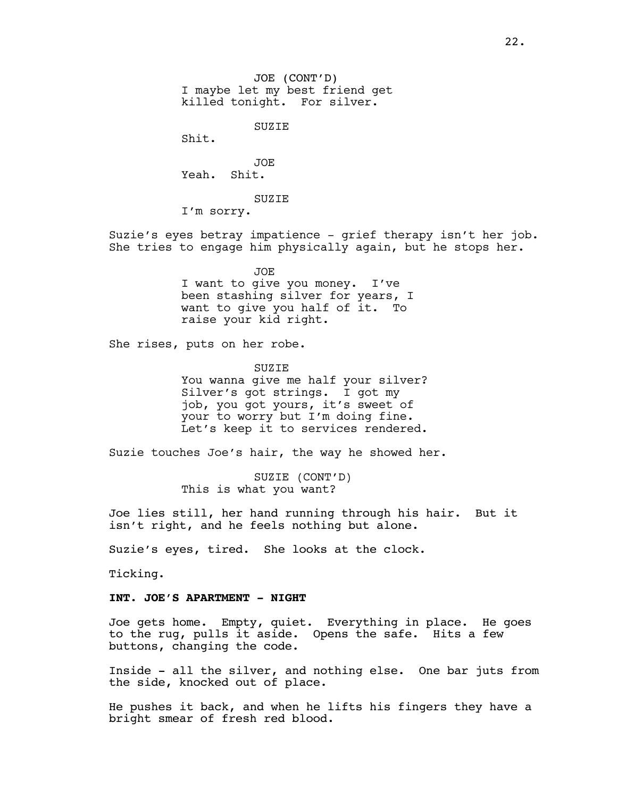JOE (CONT'D) I maybe let my best friend get killed tonight. For silver.

SUZIE

Shit.

JOE Yeah. Shit.

SUZIE

I'm sorry.

Suzie's eyes betray impatience - grief therapy isn't her job. She tries to engage him physically again, but he stops her.

> JOE I want to give you money. I've been stashing silver for years, I want to give you half of it. To raise your kid right.

She rises, puts on her robe.

**SUZIE** 

You wanna give me half your silver? Silver's got strings. I got my job, you got yours, it's sweet of your to worry but I'm doing fine. Let's keep it to services rendered.

Suzie touches Joe's hair, the way he showed her.

SUZIE (CONT'D) This is what you want?

Joe lies still, her hand running through his hair. But it isn't right, and he feels nothing but alone.

Suzie's eyes, tired. She looks at the clock.

Ticking.

## **INT. JOE'S APARTMENT - NIGHT**

Joe gets home. Empty, quiet. Everything in place. He goes to the rug, pulls it aside. Opens the safe. Hits a few buttons, changing the code.

Inside - all the silver, and nothing else. One bar juts from the side, knocked out of place.

He pushes it back, and when he lifts his fingers they have a bright smear of fresh red blood.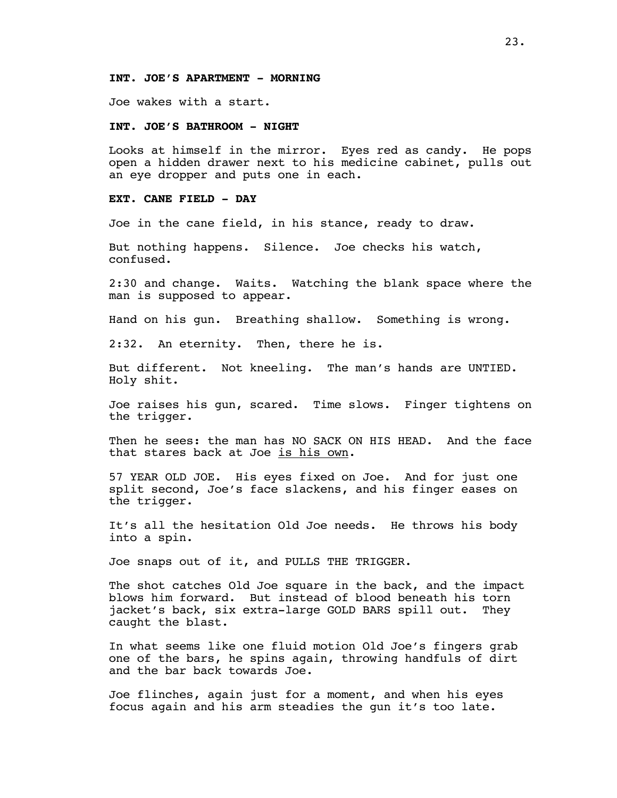### **INT. JOE'S APARTMENT - MORNING**

Joe wakes with a start.

#### **INT. JOE'S BATHROOM - NIGHT**

Looks at himself in the mirror. Eyes red as candy. He pops open a hidden drawer next to his medicine cabinet, pulls out an eye dropper and puts one in each.

## **EXT. CANE FIELD - DAY**

Joe in the cane field, in his stance, ready to draw.

But nothing happens. Silence. Joe checks his watch, confused.

2:30 and change. Waits. Watching the blank space where the man is supposed to appear.

Hand on his gun. Breathing shallow. Something is wrong.

2:32. An eternity. Then, there he is.

But different. Not kneeling. The man's hands are UNTIED. Holy shit.

Joe raises his gun, scared. Time slows. Finger tightens on the trigger.

Then he sees: the man has NO SACK ON HIS HEAD. And the face that stares back at Joe is his own.

57 YEAR OLD JOE. His eyes fixed on Joe. And for just one split second, Joe's face slackens, and his finger eases on the trigger.

It's all the hesitation Old Joe needs. He throws his body into a spin.

Joe snaps out of it, and PULLS THE TRIGGER.

The shot catches Old Joe square in the back, and the impact blows him forward. But instead of blood beneath his torn jacket's back, six extra-large GOLD BARS spill out. They caught the blast.

In what seems like one fluid motion Old Joe's fingers grab one of the bars, he spins again, throwing handfuls of dirt and the bar back towards Joe.

Joe flinches, again just for a moment, and when his eyes focus again and his arm steadies the gun it's too late.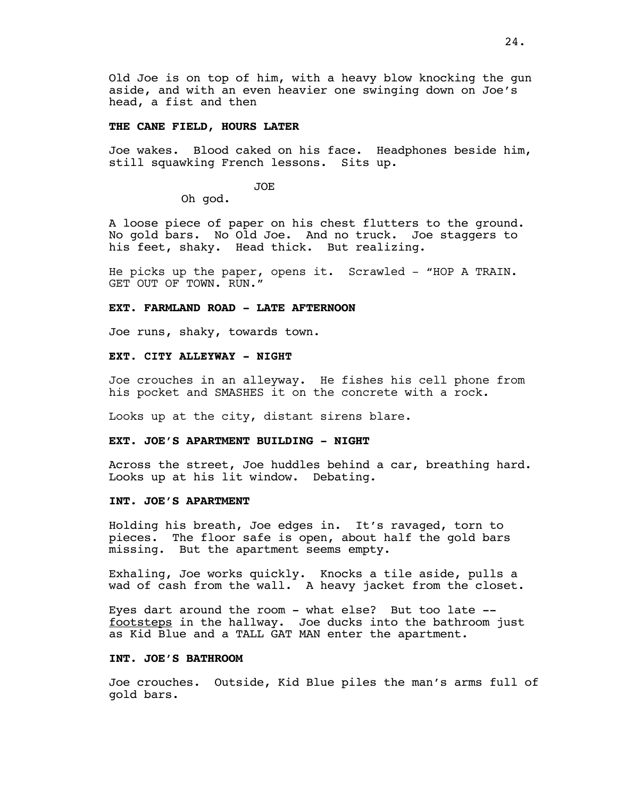Old Joe is on top of him, with a heavy blow knocking the gun aside, and with an even heavier one swinging down on Joe's head, a fist and then

#### **THE CANE FIELD, HOURS LATER**

Joe wakes. Blood caked on his face. Headphones beside him, still squawking French lessons. Sits up.

JOE

Oh god.

A loose piece of paper on his chest flutters to the ground. No gold bars. No Old Joe. And no truck. Joe staggers to his feet, shaky. Head thick. But realizing.

He picks up the paper, opens it. Scrawled - "HOP A TRAIN. GET OUT OF TOWN. RUN."

#### **EXT. FARMLAND ROAD - LATE AFTERNOON**

Joe runs, shaky, towards town.

### **EXT. CITY ALLEYWAY - NIGHT**

Joe crouches in an alleyway. He fishes his cell phone from his pocket and SMASHES it on the concrete with a rock.

Looks up at the city, distant sirens blare.

#### **EXT. JOE'S APARTMENT BUILDING - NIGHT**

Across the street, Joe huddles behind a car, breathing hard. Looks up at his lit window. Debating.

## **INT. JOE'S APARTMENT**

Holding his breath, Joe edges in. It's ravaged, torn to pieces. The floor safe is open, about half the gold bars missing. But the apartment seems empty.

Exhaling, Joe works quickly. Knocks a tile aside, pulls a wad of cash from the wall. A heavy jacket from the closet.

Eyes dart around the room - what else? But too late - footsteps in the hallway. Joe ducks into the bathroom just as Kid Blue and a TALL GAT MAN enter the apartment.

### **INT. JOE'S BATHROOM**

Joe crouches. Outside, Kid Blue piles the man's arms full of gold bars.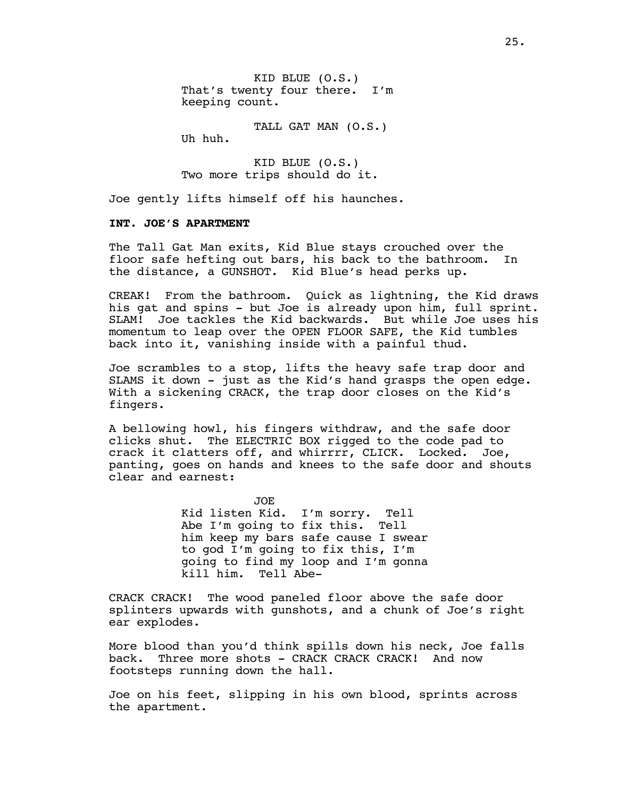KID BLUE (O.S.) That's twenty four there. I'm keeping count.

TALL GAT MAN (O.S.)

Uh huh.

KID BLUE (O.S.) Two more trips should do it.

Joe gently lifts himself off his haunches.

### **INT. JOE'S APARTMENT**

The Tall Gat Man exits, Kid Blue stays crouched over the floor safe hefting out bars, his back to the bathroom. In the distance, a GUNSHOT. Kid Blue's head perks up.

CREAK! From the bathroom. Quick as lightning, the Kid draws his gat and spins - but Joe is already upon him, full sprint. SLAM! Joe tackles the Kid backwards. But while Joe uses his momentum to leap over the OPEN FLOOR SAFE, the Kid tumbles back into it, vanishing inside with a painful thud.

Joe scrambles to a stop, lifts the heavy safe trap door and SLAMS it down - just as the Kid's hand grasps the open edge. With a sickening CRACK, the trap door closes on the Kid's fingers.

A bellowing howl, his fingers withdraw, and the safe door clicks shut. The ELECTRIC BOX rigged to the code pad to crack it clatters off, and whirrr, CLICK. Locked. Joe, crack it clatters off, and whirrrr, CLICK. Locked. panting, goes on hands and knees to the safe door and shouts clear and earnest:

> JOE Kid listen Kid. I'm sorry. Tell Abe I'm going to fix this. Tell him keep my bars safe cause I swear to god I'm going to fix this, I'm going to find my loop and I'm gonna kill him. Tell Abe-

CRACK CRACK! The wood paneled floor above the safe door splinters upwards with gunshots, and a chunk of Joe's right ear explodes.

More blood than you'd think spills down his neck, Joe falls back. Three more shots - CRACK CRACK CRACK! And now footsteps running down the hall.

Joe on his feet, slipping in his own blood, sprints across the apartment.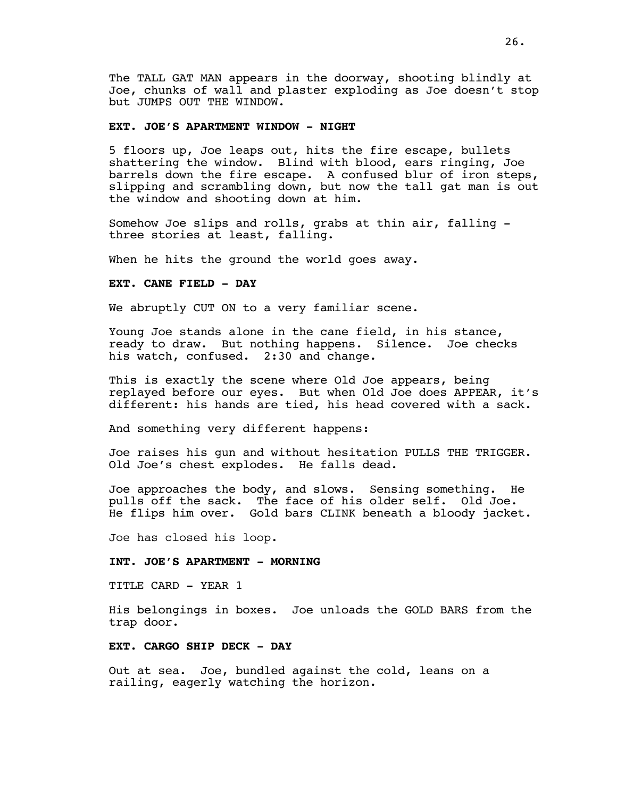The TALL GAT MAN appears in the doorway, shooting blindly at Joe, chunks of wall and plaster exploding as Joe doesn't stop but JUMPS OUT THE WINDOW.

#### **EXT. JOE'S APARTMENT WINDOW - NIGHT**

5 floors up, Joe leaps out, hits the fire escape, bullets shattering the window. Blind with blood, ears ringing, Joe barrels down the fire escape. A confused blur of iron steps, slipping and scrambling down, but now the tall gat man is out the window and shooting down at him.

Somehow Joe slips and rolls, grabs at thin air, falling three stories at least, falling.

When he hits the ground the world goes away.

# **EXT. CANE FIELD - DAY**

We abruptly CUT ON to a very familiar scene.

Young Joe stands alone in the cane field, in his stance, ready to draw. But nothing happens. Silence. Joe checks his watch, confused. 2:30 and change.

This is exactly the scene where Old Joe appears, being replayed before our eyes. But when Old Joe does APPEAR, it's different: his hands are tied, his head covered with a sack.

And something very different happens:

Joe raises his gun and without hesitation PULLS THE TRIGGER. Old Joe's chest explodes. He falls dead.

Joe approaches the body, and slows. Sensing something. He pulls off the sack. The face of his older self. Old Joe. He flips him over. Gold bars CLINK beneath a bloody jacket.

Joe has closed his loop.

#### **INT. JOE'S APARTMENT - MORNING**

TITLE CARD - YEAR 1

His belongings in boxes. Joe unloads the GOLD BARS from the trap door.

### **EXT. CARGO SHIP DECK - DAY**

Out at sea. Joe, bundled against the cold, leans on a railing, eagerly watching the horizon.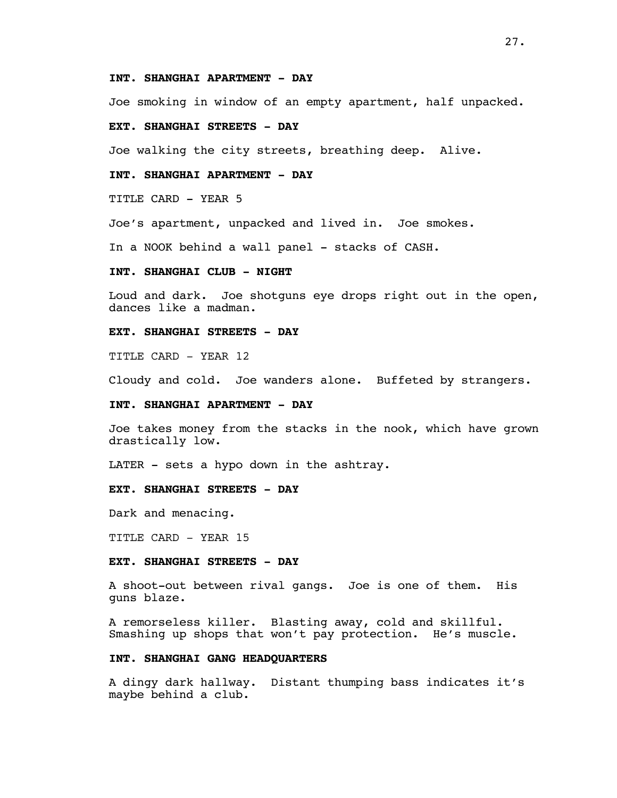### **INT. SHANGHAI APARTMENT - DAY**

Joe smoking in window of an empty apartment, half unpacked.

### **EXT. SHANGHAI STREETS - DAY**

Joe walking the city streets, breathing deep. Alive.

### **INT. SHANGHAI APARTMENT - DAY**

TITLE CARD - YEAR 5

Joe's apartment, unpacked and lived in. Joe smokes.

In a NOOK behind a wall panel - stacks of CASH.

## **INT. SHANGHAI CLUB - NIGHT**

Loud and dark. Joe shotguns eye drops right out in the open, dances like a madman.

## **EXT. SHANGHAI STREETS - DAY**

TITLE CARD - YEAR 12

Cloudy and cold. Joe wanders alone. Buffeted by strangers.

## **INT. SHANGHAI APARTMENT - DAY**

Joe takes money from the stacks in the nook, which have grown drastically low.

LATER - sets a hypo down in the ashtray.

### **EXT. SHANGHAI STREETS - DAY**

Dark and menacing.

TITLE CARD - YEAR 15

### **EXT. SHANGHAI STREETS - DAY**

A shoot-out between rival gangs. Joe is one of them. His guns blaze.

A remorseless killer. Blasting away, cold and skillful. Smashing up shops that won't pay protection. He's muscle.

## **INT. SHANGHAI GANG HEADQUARTERS**

A dingy dark hallway. Distant thumping bass indicates it's maybe behind a club.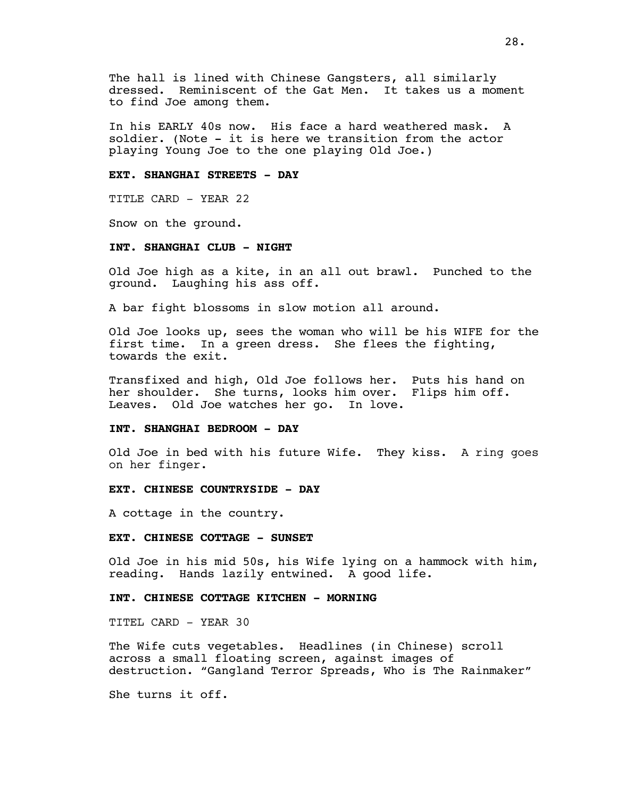The hall is lined with Chinese Gangsters, all similarly dressed. Reminiscent of the Gat Men. It takes us a moment to find Joe among them.

In his EARLY 40s now. His face a hard weathered mask. A soldier. (Note - it is here we transition from the actor playing Young Joe to the one playing Old Joe.)

### **EXT. SHANGHAI STREETS - DAY**

TITLE CARD - YEAR 22

Snow on the ground.

### **INT. SHANGHAI CLUB - NIGHT**

Old Joe high as a kite, in an all out brawl. Punched to the ground. Laughing his ass off.

A bar fight blossoms in slow motion all around.

Old Joe looks up, sees the woman who will be his WIFE for the first time. In a green dress. She flees the fighting, towards the exit.

Transfixed and high, Old Joe follows her. Puts his hand on her shoulder. She turns, looks him over. Flips him off. Leaves. Old Joe watches her go. In love.

#### **INT. SHANGHAI BEDROOM - DAY**

Old Joe in bed with his future Wife. They kiss. A ring goes on her finger.

#### **EXT. CHINESE COUNTRYSIDE - DAY**

A cottage in the country.

#### **EXT. CHINESE COTTAGE - SUNSET**

Old Joe in his mid 50s, his Wife lying on a hammock with him, reading. Hands lazily entwined. A good life.

# **INT. CHINESE COTTAGE KITCHEN - MORNING**

TITEL CARD - YEAR 30

The Wife cuts vegetables. Headlines (in Chinese) scroll across a small floating screen, against images of destruction. "Gangland Terror Spreads, Who is The Rainmaker"

She turns it off.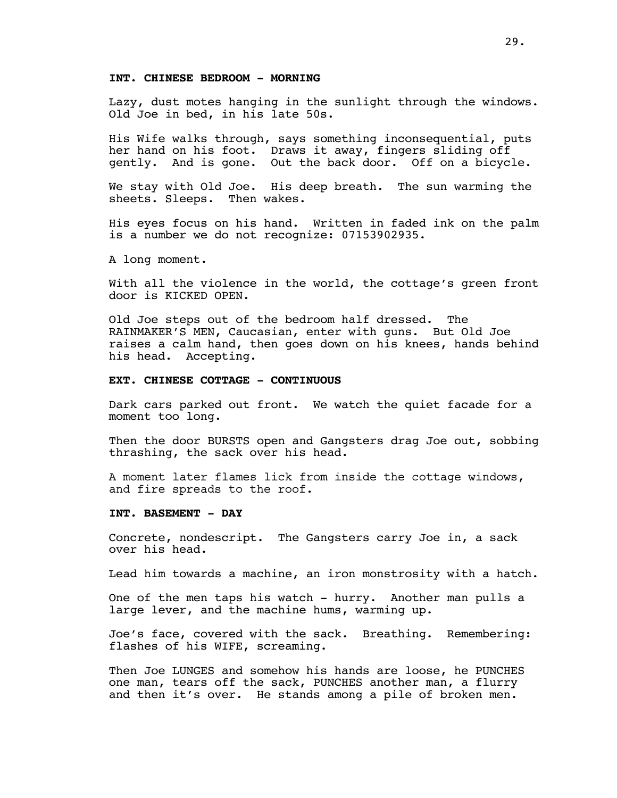#### **INT. CHINESE BEDROOM - MORNING**

Lazy, dust motes hanging in the sunlight through the windows. Old Joe in bed, in his late 50s.

His Wife walks through, says something inconsequential, puts her hand on his foot. Draws it away, fingers sliding off gently. And is gone. Out the back door. Off on a bicycle.

We stay with Old Joe. His deep breath. The sun warming the sheets. Sleeps. Then wakes.

His eyes focus on his hand. Written in faded ink on the palm is a number we do not recognize: 07153902935.

A long moment.

With all the violence in the world, the cottage's green front door is KICKED OPEN.

Old Joe steps out of the bedroom half dressed. The RAINMAKER'S MEN, Caucasian, enter with guns. But Old Joe raises a calm hand, then goes down on his knees, hands behind his head. Accepting.

#### **EXT. CHINESE COTTAGE - CONTINUOUS**

Dark cars parked out front. We watch the quiet facade for a moment too long.

Then the door BURSTS open and Gangsters drag Joe out, sobbing thrashing, the sack over his head.

A moment later flames lick from inside the cottage windows, and fire spreads to the roof.

#### **INT. BASEMENT - DAY**

Concrete, nondescript. The Gangsters carry Joe in, a sack over his head.

Lead him towards a machine, an iron monstrosity with a hatch.

One of the men taps his watch - hurry. Another man pulls a large lever, and the machine hums, warming up.

Joe's face, covered with the sack. Breathing. Remembering: flashes of his WIFE, screaming.

Then Joe LUNGES and somehow his hands are loose, he PUNCHES one man, tears off the sack, PUNCHES another man, a flurry and then it's over. He stands among a pile of broken men.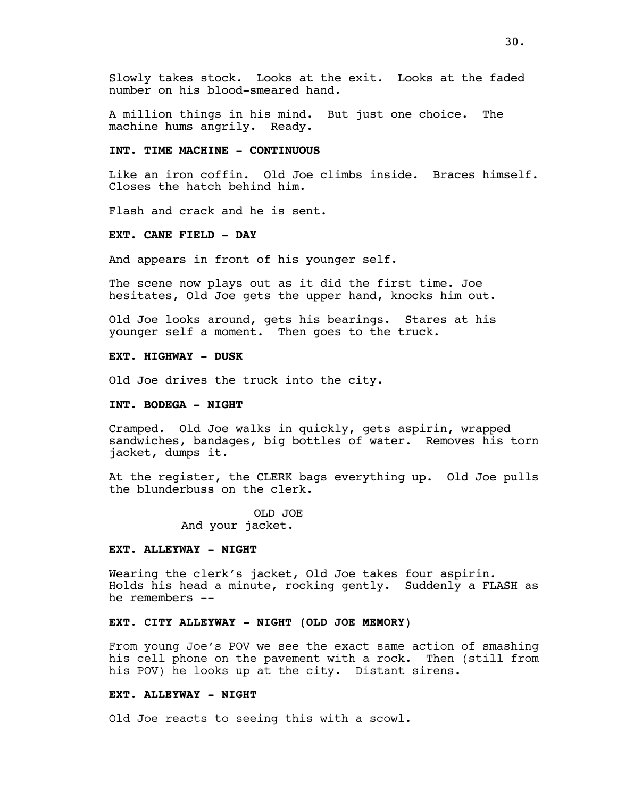Slowly takes stock. Looks at the exit. Looks at the faded number on his blood-smeared hand.

A million things in his mind. But just one choice. The machine hums angrily. Ready.

## **INT. TIME MACHINE - CONTINUOUS**

Like an iron coffin. Old Joe climbs inside. Braces himself. Closes the hatch behind him.

Flash and crack and he is sent.

## **EXT. CANE FIELD - DAY**

And appears in front of his younger self.

The scene now plays out as it did the first time. Joe hesitates, Old Joe gets the upper hand, knocks him out.

Old Joe looks around, gets his bearings. Stares at his younger self a moment. Then goes to the truck.

### **EXT. HIGHWAY - DUSK**

Old Joe drives the truck into the city.

## **INT. BODEGA - NIGHT**

Cramped. Old Joe walks in quickly, gets aspirin, wrapped sandwiches, bandages, big bottles of water. Removes his torn jacket, dumps it.

At the register, the CLERK bags everything up. Old Joe pulls the blunderbuss on the clerk.

> OLD JOE And your jacket.

### **EXT. ALLEYWAY - NIGHT**

Wearing the clerk's jacket, Old Joe takes four aspirin. Holds his head a minute, rocking gently. Suddenly a FLASH as he remembers --

# **EXT. CITY ALLEYWAY - NIGHT (OLD JOE MEMORY)**

From young Joe's POV we see the exact same action of smashing his cell phone on the pavement with a rock. Then (still from his POV) he looks up at the city. Distant sirens.

### **EXT. ALLEYWAY - NIGHT**

Old Joe reacts to seeing this with a scowl.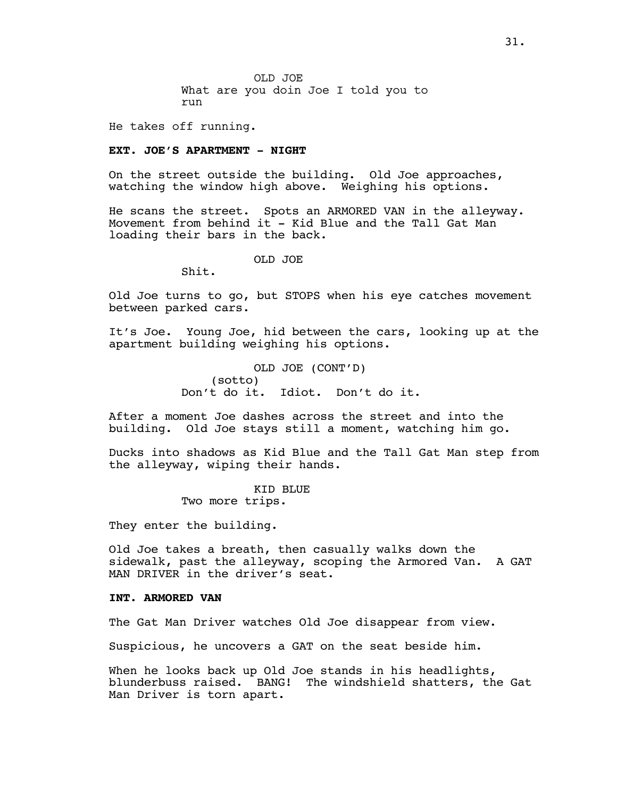OLD JOE What are you doin Joe I told you to run

He takes off running.

## **EXT. JOE'S APARTMENT - NIGHT**

On the street outside the building. Old Joe approaches, watching the window high above. Weighing his options.

He scans the street. Spots an ARMORED VAN in the alleyway. Movement from behind it  $-$  Kid Blue and the Tall Gat Man loading their bars in the back.

OLD JOE

Shit.

Old Joe turns to go, but STOPS when his eye catches movement between parked cars.

It's Joe. Young Joe, hid between the cars, looking up at the apartment building weighing his options.

> OLD JOE (CONT'D) (sotto) Don't do it. Idiot. Don't do it.

After a moment Joe dashes across the street and into the building. Old Joe stays still a moment, watching him go.

Ducks into shadows as Kid Blue and the Tall Gat Man step from the alleyway, wiping their hands.

> KID BLUE Two more trips.

They enter the building.

Old Joe takes a breath, then casually walks down the sidewalk, past the alleyway, scoping the Armored Van. A GAT MAN DRIVER in the driver's seat.

#### **INT. ARMORED VAN**

The Gat Man Driver watches Old Joe disappear from view.

Suspicious, he uncovers a GAT on the seat beside him.

When he looks back up Old Joe stands in his headlights, blunderbuss raised. BANG! The windshield shatters, the Gat Man Driver is torn apart.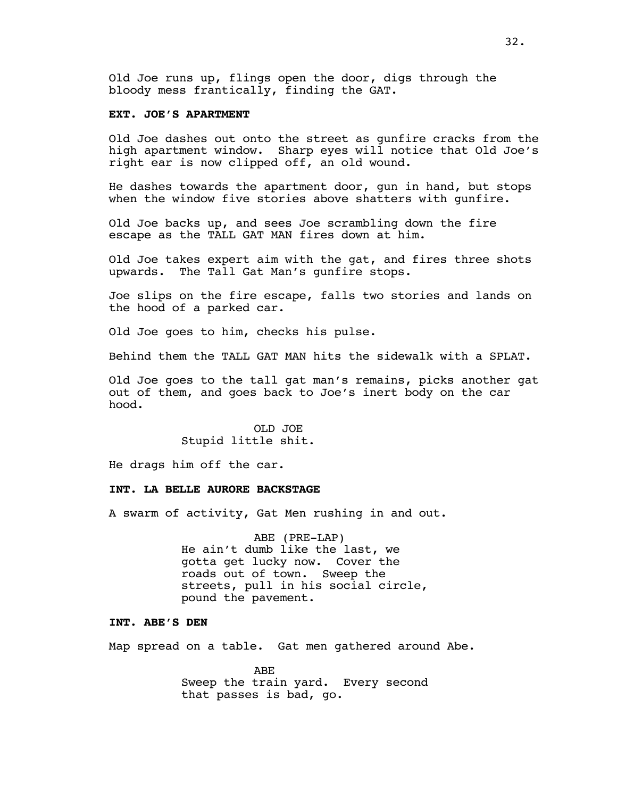Old Joe runs up, flings open the door, digs through the bloody mess frantically, finding the GAT.

### **EXT. JOE'S APARTMENT**

Old Joe dashes out onto the street as gunfire cracks from the high apartment window. Sharp eyes will notice that Old Joe's right ear is now clipped off, an old wound.

He dashes towards the apartment door, gun in hand, but stops when the window five stories above shatters with qunfire.

Old Joe backs up, and sees Joe scrambling down the fire escape as the TALL GAT MAN fires down at him.

Old Joe takes expert aim with the gat, and fires three shots upwards. The Tall Gat Man's gunfire stops.

Joe slips on the fire escape, falls two stories and lands on the hood of a parked car.

Old Joe goes to him, checks his pulse.

Behind them the TALL GAT MAN hits the sidewalk with a SPLAT.

Old Joe goes to the tall gat man's remains, picks another gat out of them, and goes back to Joe's inert body on the car hood.

> OLD JOE Stupid little shit.

He drags him off the car.

### **INT. LA BELLE AURORE BACKSTAGE**

A swarm of activity, Gat Men rushing in and out.

ABE (PRE-LAP) He ain't dumb like the last, we gotta get lucky now. Cover the roads out of town. Sweep the streets, pull in his social circle, pound the pavement.

### **INT. ABE'S DEN**

Map spread on a table. Gat men gathered around Abe.

ABE Sweep the train yard. Every second that passes is bad, go.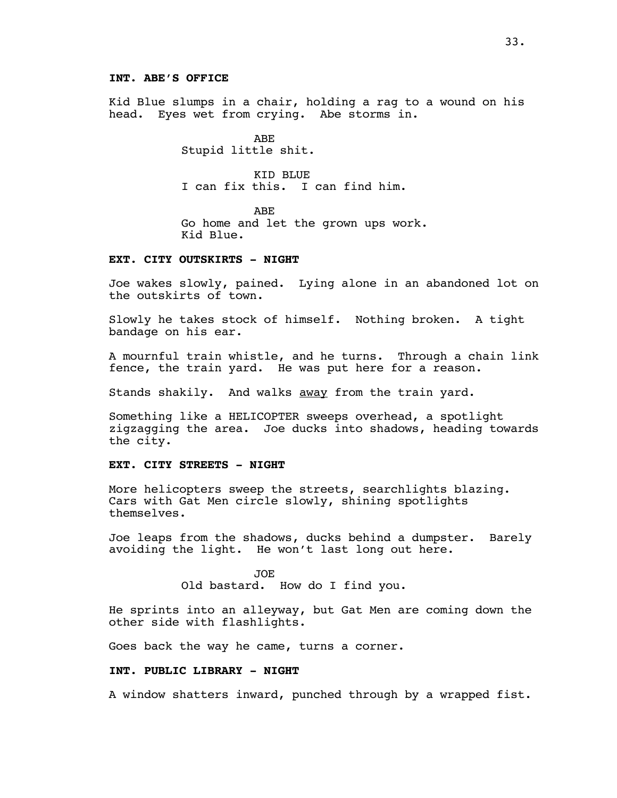Kid Blue slumps in a chair, holding a rag to a wound on his head. Eyes wet from crying. Abe storms in.

> ABE Stupid little shit.

KID BLUE I can fix this. I can find him.

ABE Go home and let the grown ups work. Kid Blue.

# **EXT. CITY OUTSKIRTS - NIGHT**

Joe wakes slowly, pained. Lying alone in an abandoned lot on the outskirts of town.

Slowly he takes stock of himself. Nothing broken. A tight bandage on his ear.

A mournful train whistle, and he turns. Through a chain link fence, the train yard. He was put here for a reason.

Stands shakily. And walks **away** from the train yard.

Something like a HELICOPTER sweeps overhead, a spotlight zigzagging the area. Joe ducks into shadows, heading towards the city.

## **EXT. CITY STREETS - NIGHT**

More helicopters sweep the streets, searchlights blazing. Cars with Gat Men circle slowly, shining spotlights themselves.

Joe leaps from the shadows, ducks behind a dumpster. Barely avoiding the light. He won't last long out here.

> JOE Old bastard. How do I find you.

He sprints into an alleyway, but Gat Men are coming down the other side with flashlights.

Goes back the way he came, turns a corner.

## **INT. PUBLIC LIBRARY - NIGHT**

A window shatters inward, punched through by a wrapped fist.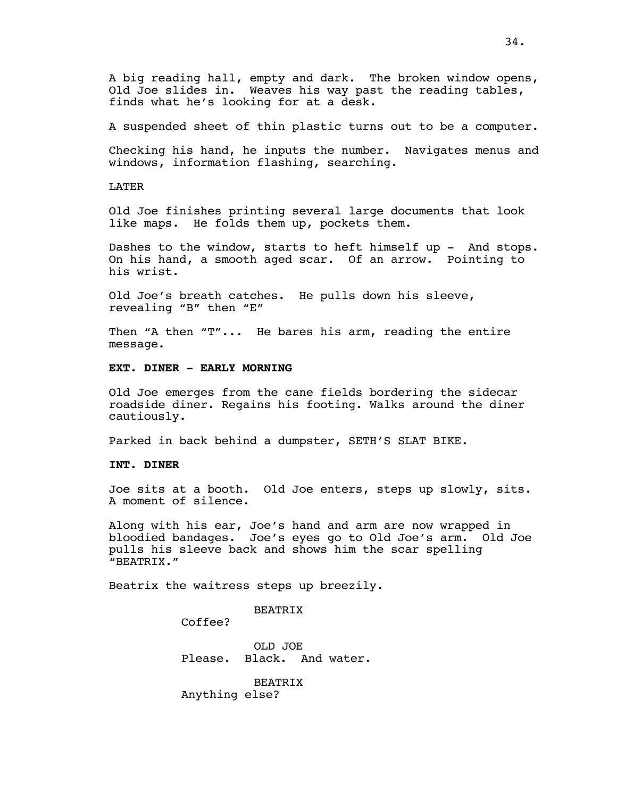A big reading hall, empty and dark. The broken window opens, Old Joe slides in. Weaves his way past the reading tables, finds what he's looking for at a desk.

A suspended sheet of thin plastic turns out to be a computer.

Checking his hand, he inputs the number. Navigates menus and windows, information flashing, searching.

LATER

Old Joe finishes printing several large documents that look like maps. He folds them up, pockets them.

Dashes to the window, starts to heft himself up - And stops. On his hand, a smooth aged scar. Of an arrow. Pointing to his wrist.

Old Joe's breath catches. He pulls down his sleeve, revealing "B" then "E"

Then "A then "T"... He bares his arm, reading the entire message.

### **EXT. DINER - EARLY MORNING**

Old Joe emerges from the cane fields bordering the sidecar roadside diner. Regains his footing. Walks around the diner cautiously.

Parked in back behind a dumpster, SETH'S SLAT BIKE.

#### **INT. DINER**

Joe sits at a booth. Old Joe enters, steps up slowly, sits. A moment of silence.

Along with his ear, Joe's hand and arm are now wrapped in bloodied bandages. Joe's eyes go to Old Joe's arm. Old Joe pulls his sleeve back and shows him the scar spelling "BEATRIX."

Beatrix the waitress steps up breezily.

**BEATRIX** 

Coffee?

OLD JOE Please. Black. And water.

BEATRIX Anything else?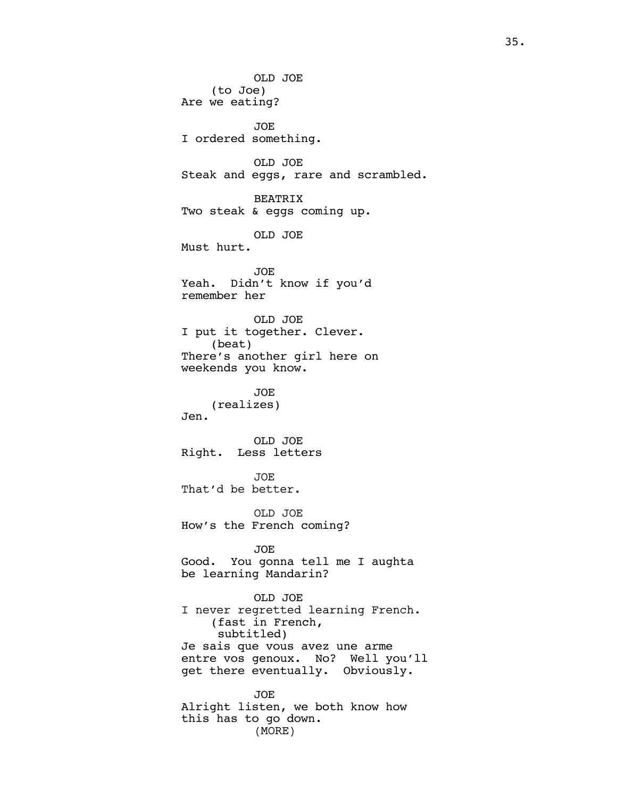OLD JOE (to Joe) Are we eating? JOE I ordered something. OLD JOE Steak and eggs, rare and scrambled. BEATRIX Two steak & eggs coming up. OLD JOE Must hurt. JOE Yeah. Didn't know if you'd remember her OLD JOE I put it together. Clever. (beat) There's another girl here on weekends you know. JOE (realizes) Jen. OLD JOE Right. Less letters JOE That'd be better. OLD JOE How's the French coming? JOE Good. You gonna tell me I aughta be learning Mandarin? OLD JOE I never regretted learning French. (fast in French, subtitled) Je sais que vous avez une arme entre vos genoux. No? Well you'll get there eventually. Obviously. JOE Alright listen, we both know how this has to go down.

(MORE)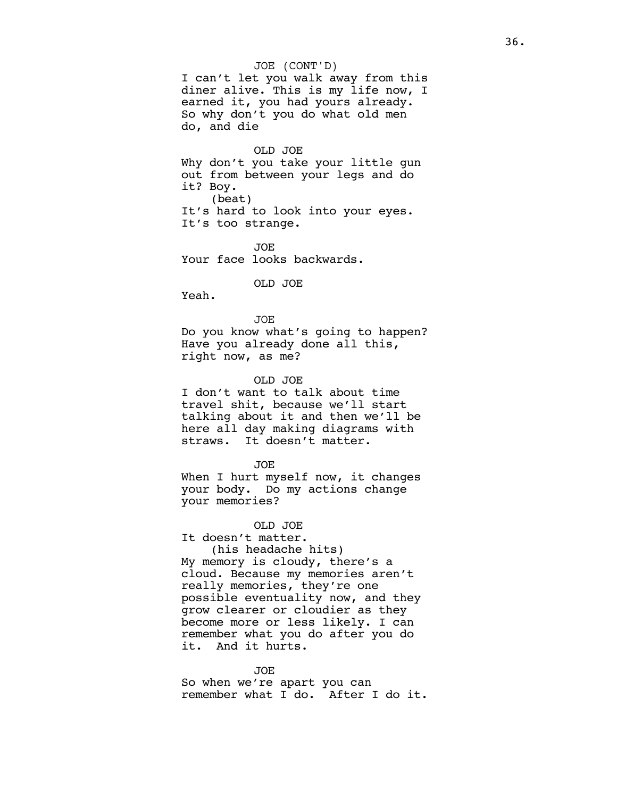#### JOE (CONT'D)

I can't let you walk away from this diner alive. This is my life now, I earned it, you had yours already. So why don't you do what old men do, and die

#### OLD JOE

Why don't you take your little gun out from between your legs and do it? Boy. (beat) It's hard to look into your eyes. It's too strange.

JOE Your face looks backwards.

OLD JOE

Yeah.

JOE Do you know what's going to happen? Have you already done all this, right now, as me?

#### OLD JOE

I don't want to talk about time travel shit, because we'll start talking about it and then we'll be here all day making diagrams with straws. It doesn't matter.

JOE

When I hurt myself now, it changes your body. Do my actions change your memories?

OLD JOE

It doesn't matter. (his headache hits) My memory is cloudy, there's a cloud. Because my memories aren't really memories, they're one possible eventuality now, and they grow clearer or cloudier as they become more or less likely. I can remember what you do after you do it. And it hurts.

JOE So when we're apart you can remember what I do. After I do it.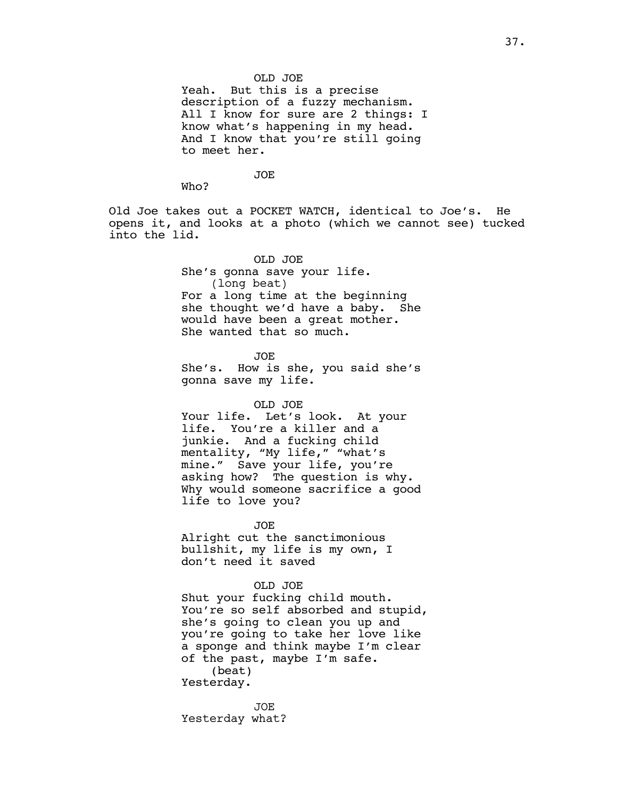#### OLD JOE

Yeah. But this is a precise description of a fuzzy mechanism. All I know for sure are 2 things: I know what's happening in my head. And I know that you're still going to meet her.

JOE

Who?

Old Joe takes out a POCKET WATCH, identical to Joe's. He opens it, and looks at a photo (which we cannot see) tucked into the lid.

> OLD JOE She's gonna save your life. (long beat) For a long time at the beginning she thought we'd have a baby. She would have been a great mother. She wanted that so much.

> JOE She's. How is she, you said she's gonna save my life.

### OLD JOE

Your life. Let's look. At your life. You're a killer and a junkie. And a fucking child mentality, "My life," "what's mine." Save your life, you're asking how? The question is why. Why would someone sacrifice a good life to love you?

JOE Alright cut the sanctimonious bullshit, my life is my own, I don't need it saved

OLD JOE

Shut your fucking child mouth. You're so self absorbed and stupid, she's going to clean you up and you're going to take her love like a sponge and think maybe I'm clear of the past, maybe I'm safe. (beat) Yesterday.

JOE Yesterday what?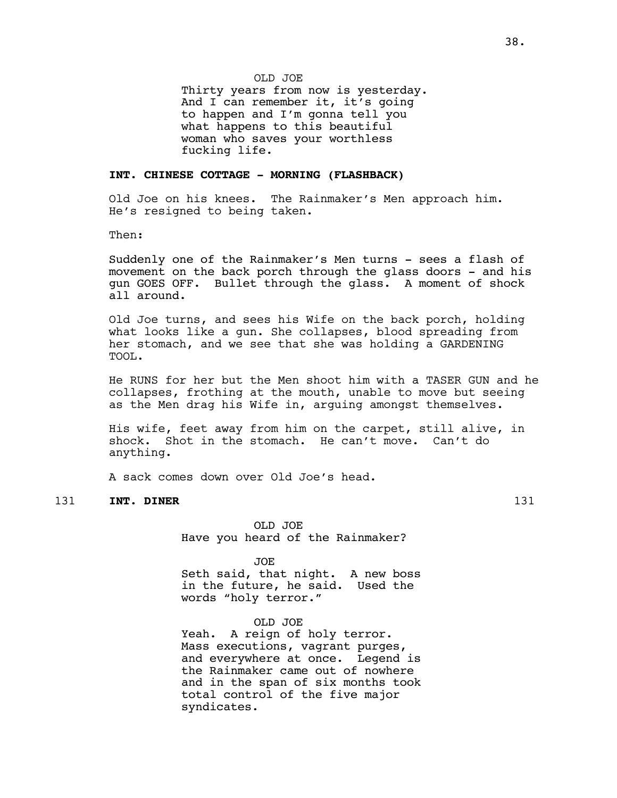Thirty years from now is yesterday. And I can remember it, it's going to happen and I'm gonna tell you what happens to this beautiful woman who saves your worthless fucking life.

# **INT. CHINESE COTTAGE - MORNING (FLASHBACK)**

Old Joe on his knees. The Rainmaker's Men approach him. He's resigned to being taken.

Then:

Suddenly one of the Rainmaker's Men turns - sees a flash of movement on the back porch through the glass doors - and his gun GOES OFF. Bullet through the glass. A moment of shock all around.

Old Joe turns, and sees his Wife on the back porch, holding what looks like a gun. She collapses, blood spreading from her stomach, and we see that she was holding a GARDENING TOOL.

He RUNS for her but the Men shoot him with a TASER GUN and he collapses, frothing at the mouth, unable to move but seeing as the Men drag his Wife in, arguing amongst themselves.

His wife, feet away from him on the carpet, still alive, in shock. Shot in the stomach. He can't move. Can't do anything.

A sack comes down over Old Joe's head.

# 131 **INT. DINER** 131

OLD JOE Have you heard of the Rainmaker?

JOE

Seth said, that night. A new boss in the future, he said. Used the words "holy terror."

OLD JOE Yeah. A reign of holy terror. Mass executions, vagrant purges, and everywhere at once. Legend is the Rainmaker came out of nowhere and in the span of six months took total control of the five major syndicates.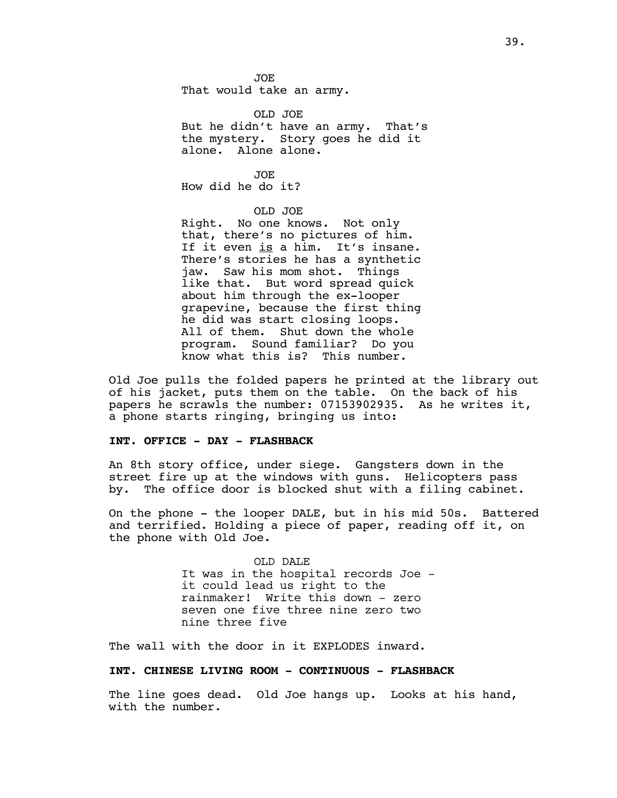JOE That would take an army.

OLD JOE But he didn't have an army. That's the mystery. Story goes he did it alone. Alone alone.

JOE How did he do it?

### OLD JOE

Right. No one knows. Not only that, there's no pictures of him. If it even is a him. It's insane. There's stories he has a synthetic jaw. Saw his mom shot. Things like that. But word spread quick about him through the ex-looper grapevine, because the first thing he did was start closing loops. All of them. Shut down the whole program. Sound familiar? Do you know what this is? This number.

Old Joe pulls the folded papers he printed at the library out of his jacket, puts them on the table. On the back of his papers he scrawls the number: 07153902935. As he writes it, a phone starts ringing, bringing us into:

#### **INT. OFFICE - DAY - FLASHBACK**

An 8th story office, under siege. Gangsters down in the street fire up at the windows with guns. Helicopters pass by. The office door is blocked shut with a filing cabinet.

On the phone - the looper DALE, but in his mid 50s. Battered and terrified. Holding a piece of paper, reading off it, on the phone with Old Joe.

> OLD DALE It was in the hospital records Joe it could lead us right to the rainmaker! Write this down - zero seven one five three nine zero two nine three five

The wall with the door in it EXPLODES inward.

# **INT. CHINESE LIVING ROOM - CONTINUOUS - FLASHBACK**

The line goes dead. Old Joe hangs up. Looks at his hand, with the number.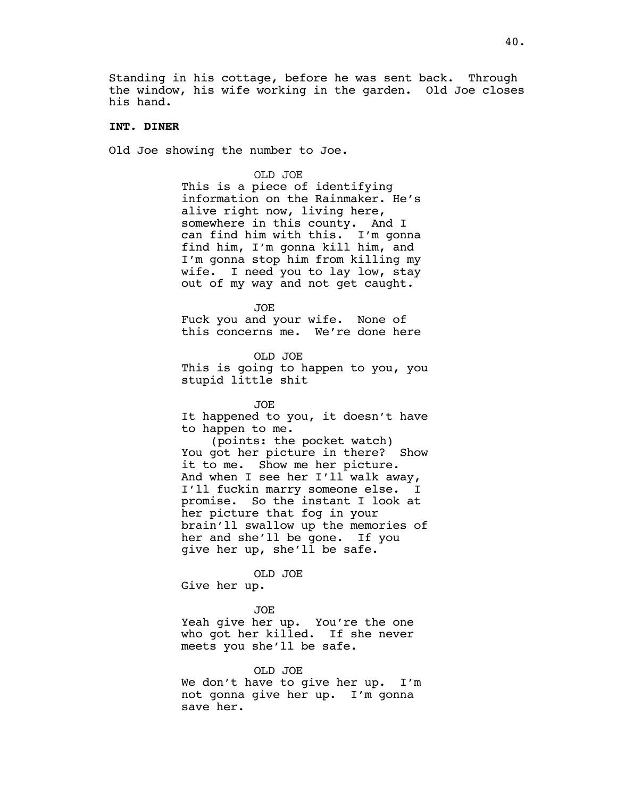Standing in his cottage, before he was sent back. Through the window, his wife working in the garden. Old Joe closes his hand.

### **INT. DINER**

Old Joe showing the number to Joe.

#### OLD JOE

This is a piece of identifying information on the Rainmaker. He's alive right now, living here, somewhere in this county. And I can find him with this. I'm gonna find him, I'm gonna kill him, and I'm gonna stop him from killing my wife. I need you to lay low, stay out of my way and not get caught.

JOE

Fuck you and your wife. None of this concerns me. We're done here

OLD JOE This is going to happen to you, you stupid little shit

JOE

It happened to you, it doesn't have to happen to me.

(points: the pocket watch) You got her picture in there? Show it to me. Show me her picture. And when I see her I'll walk away, I'll fuckin marry someone else. I promise. So the instant I look at her picture that fog in your brain'll swallow up the memories of her and she'll be gone. If you give her up, she'll be safe.

#### OLD JOE

Give her up.

JOE

Yeah give her up. You're the one who got her killed. If she never meets you she'll be safe.

#### OLD JOE

We don't have to give her up. I'm not gonna give her up. I'm gonna save her.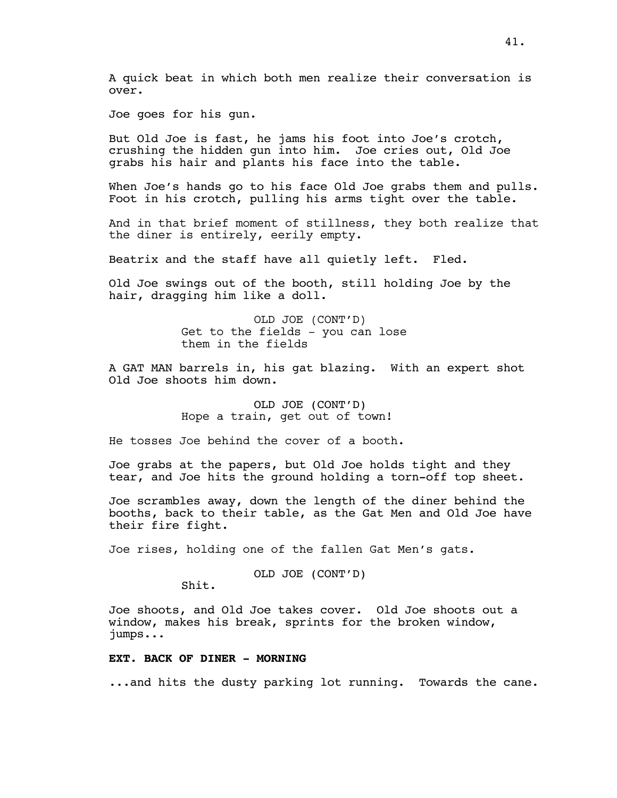A quick beat in which both men realize their conversation is over.

Joe goes for his gun.

But Old Joe is fast, he jams his foot into Joe's crotch, crushing the hidden gun into him. Joe cries out, Old Joe grabs his hair and plants his face into the table.

When Joe's hands go to his face Old Joe grabs them and pulls. Foot in his crotch, pulling his arms tight over the table.

And in that brief moment of stillness, they both realize that the diner is entirely, eerily empty.

Beatrix and the staff have all quietly left. Fled.

Old Joe swings out of the booth, still holding Joe by the hair, dragging him like a doll.

> OLD JOE (CONT'D) Get to the fields - you can lose them in the fields

A GAT MAN barrels in, his gat blazing. With an expert shot Old Joe shoots him down.

> OLD JOE (CONT'D) Hope a train, get out of town!

He tosses Joe behind the cover of a booth.

Joe grabs at the papers, but Old Joe holds tight and they tear, and Joe hits the ground holding a torn-off top sheet.

Joe scrambles away, down the length of the diner behind the booths, back to their table, as the Gat Men and Old Joe have their fire fight.

Joe rises, holding one of the fallen Gat Men's gats.

OLD JOE (CONT'D)

Shit.

Joe shoots, and Old Joe takes cover. Old Joe shoots out a window, makes his break, sprints for the broken window, jumps...

### **EXT. BACK OF DINER - MORNING**

...and hits the dusty parking lot running. Towards the cane.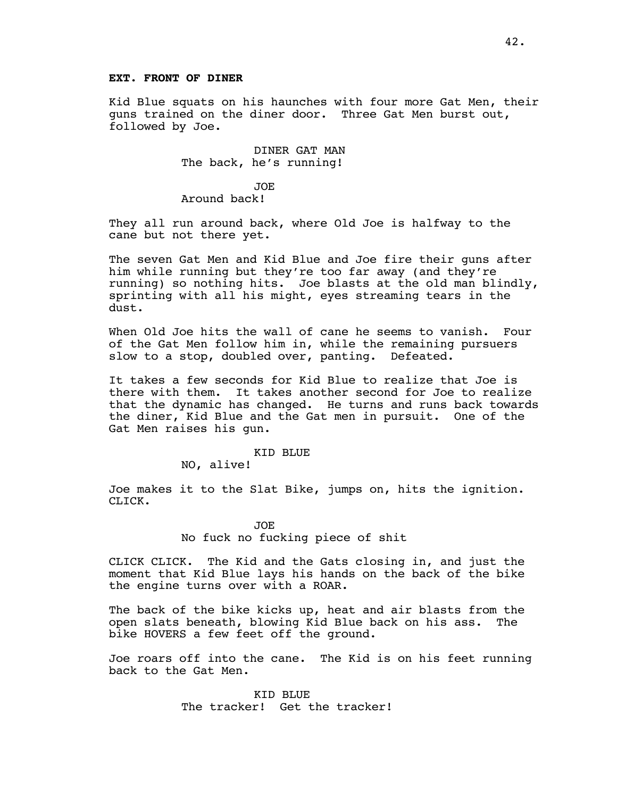# **EXT. FRONT OF DINER**

Kid Blue squats on his haunches with four more Gat Men, their guns trained on the diner door. Three Gat Men burst out, followed by Joe.

> DINER GAT MAN The back, he's running!

> > JOE

Around back!

They all run around back, where Old Joe is halfway to the cane but not there yet.

The seven Gat Men and Kid Blue and Joe fire their guns after him while running but they're too far away (and they're running) so nothing hits. Joe blasts at the old man blindly, sprinting with all his might, eyes streaming tears in the dust.

When Old Joe hits the wall of cane he seems to vanish. Four of the Gat Men follow him in, while the remaining pursuers slow to a stop, doubled over, panting. Defeated.

It takes a few seconds for Kid Blue to realize that Joe is there with them. It takes another second for Joe to realize that the dynamic has changed. He turns and runs back towards the diner, Kid Blue and the Gat men in pursuit. One of the Gat Men raises his gun.

#### KID BLUE

NO, alive!

Joe makes it to the Slat Bike, jumps on, hits the ignition. CLICK.

> JOE No fuck no fucking piece of shit

CLICK CLICK. The Kid and the Gats closing in, and just the moment that Kid Blue lays his hands on the back of the bike the engine turns over with a ROAR.

The back of the bike kicks up, heat and air blasts from the open slats beneath, blowing Kid Blue back on his ass. The bike HOVERS a few feet off the ground.

Joe roars off into the cane. The Kid is on his feet running back to the Gat Men.

> KID BLUE The tracker! Get the tracker!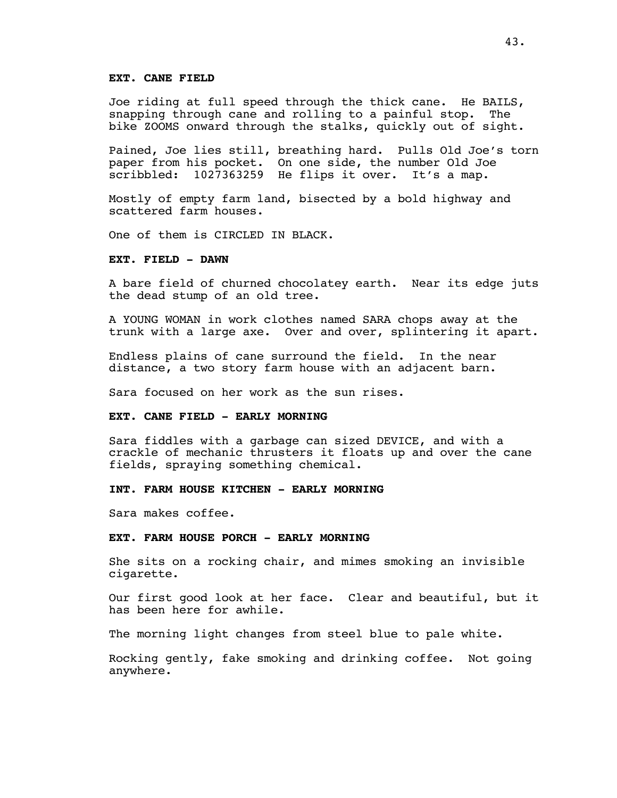#### **EXT. CANE FIELD**

Joe riding at full speed through the thick cane. He BAILS, snapping through cane and rolling to a painful stop. The bike ZOOMS onward through the stalks, quickly out of sight.

Pained, Joe lies still, breathing hard. Pulls Old Joe's torn paper from his pocket. On one side, the number Old Joe scribbled: 1027363259 He flips it over. It's a map.

Mostly of empty farm land, bisected by a bold highway and scattered farm houses.

One of them is CIRCLED IN BLACK.

#### **EXT. FIELD - DAWN**

A bare field of churned chocolatey earth. Near its edge juts the dead stump of an old tree.

A YOUNG WOMAN in work clothes named SARA chops away at the trunk with a large axe. Over and over, splintering it apart.

Endless plains of cane surround the field. In the near distance, a two story farm house with an adjacent barn.

Sara focused on her work as the sun rises.

### **EXT. CANE FIELD - EARLY MORNING**

Sara fiddles with a garbage can sized DEVICE, and with a crackle of mechanic thrusters it floats up and over the cane fields, spraying something chemical.

# **INT. FARM HOUSE KITCHEN - EARLY MORNING**

Sara makes coffee.

#### **EXT. FARM HOUSE PORCH - EARLY MORNING**

She sits on a rocking chair, and mimes smoking an invisible cigarette.

Our first good look at her face. Clear and beautiful, but it has been here for awhile.

The morning light changes from steel blue to pale white.

Rocking gently, fake smoking and drinking coffee. Not going anywhere.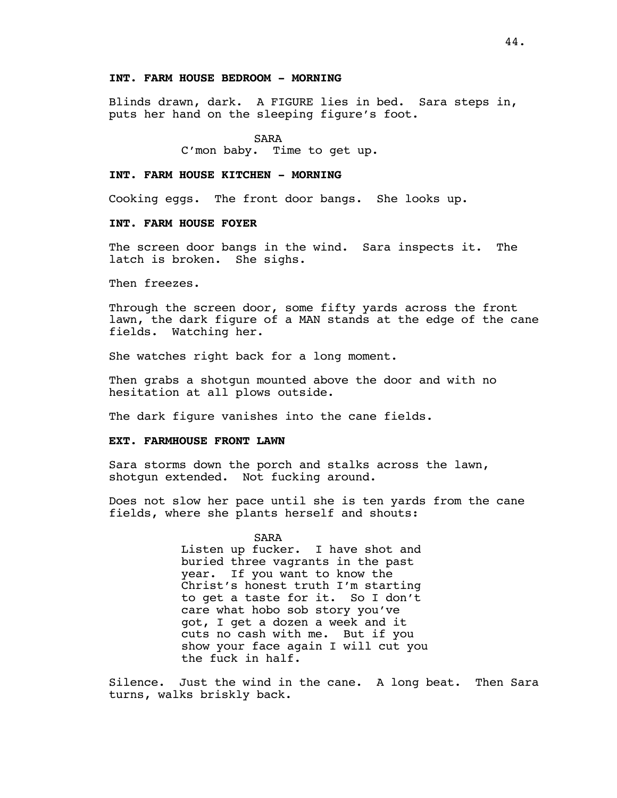# **INT. FARM HOUSE BEDROOM - MORNING**

Blinds drawn, dark. A FIGURE lies in bed. Sara steps in, puts her hand on the sleeping figure's foot.

SARA

C'mon baby. Time to get up.

### **INT. FARM HOUSE KITCHEN - MORNING**

Cooking eggs. The front door bangs. She looks up.

# **INT. FARM HOUSE FOYER**

The screen door bangs in the wind. Sara inspects it. The latch is broken. She sighs.

Then freezes.

Through the screen door, some fifty yards across the front lawn, the dark figure of a MAN stands at the edge of the cane fields. Watching her.

She watches right back for a long moment.

Then grabs a shotgun mounted above the door and with no hesitation at all plows outside.

The dark figure vanishes into the cane fields.

#### **EXT. FARMHOUSE FRONT LAWN**

Sara storms down the porch and stalks across the lawn, shotgun extended. Not fucking around.

Does not slow her pace until she is ten yards from the cane fields, where she plants herself and shouts:

> SARA Listen up fucker. I have shot and buried three vagrants in the past year. If you want to know the Christ's honest truth I'm starting to get a taste for it. So I don't care what hobo sob story you've got, I get a dozen a week and it cuts no cash with me. But if you show your face again I will cut you the fuck in half.

Silence. Just the wind in the cane. A long beat. Then Sara turns, walks briskly back.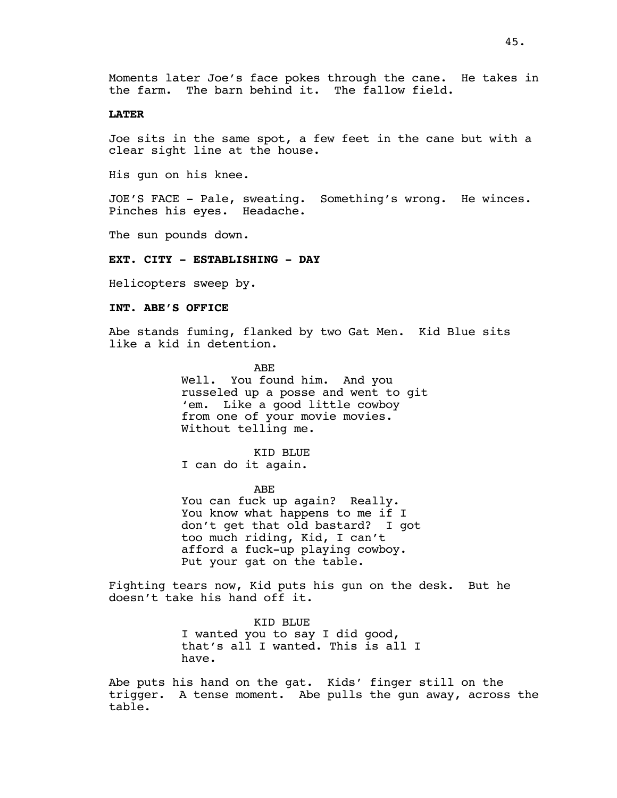### **LATER**

Joe sits in the same spot, a few feet in the cane but with a clear sight line at the house.

His gun on his knee.

JOE'S FACE - Pale, sweating. Something's wrong. He winces. Pinches his eyes. Headache.

The sun pounds down.

### **EXT. CITY - ESTABLISHING - DAY**

Helicopters sweep by.

# **INT. ABE'S OFFICE**

Abe stands fuming, flanked by two Gat Men. Kid Blue sits like a kid in detention.

> ABE Well. You found him. And you russeled up a posse and went to git 'em. Like a good little cowboy from one of your movie movies. Without telling me.

KID BLUE I can do it again.

ABE

You can fuck up again? Really. You know what happens to me if I don't get that old bastard? I got too much riding, Kid, I can't afford a fuck-up playing cowboy. Put your gat on the table.

Fighting tears now, Kid puts his gun on the desk. But he doesn't take his hand off it.

> KID BLUE I wanted you to say I did good, that's all I wanted. This is all I have.

Abe puts his hand on the gat. Kids' finger still on the trigger. A tense moment. Abe pulls the gun away, across the table.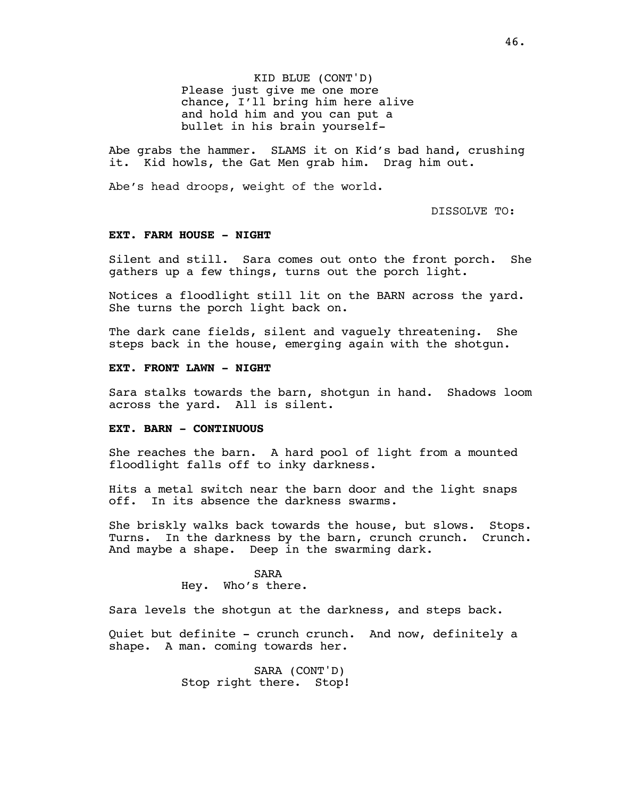KID BLUE (CONT'D) Please just give me one more chance, I'll bring him here alive and hold him and you can put a bullet in his brain yourself-

Abe grabs the hammer. SLAMS it on Kid's bad hand, crushing it. Kid howls, the Gat Men grab him. Drag him out.

Abe's head droops, weight of the world.

DISSOLVE TO:

### **EXT. FARM HOUSE - NIGHT**

Silent and still. Sara comes out onto the front porch. She gathers up a few things, turns out the porch light.

Notices a floodlight still lit on the BARN across the yard. She turns the porch light back on.

The dark cane fields, silent and vaguely threatening. She steps back in the house, emerging again with the shotgun.

### **EXT. FRONT LAWN - NIGHT**

Sara stalks towards the barn, shotgun in hand. Shadows loom across the yard. All is silent.

#### **EXT. BARN - CONTINUOUS**

She reaches the barn. A hard pool of light from a mounted floodlight falls off to inky darkness.

Hits a metal switch near the barn door and the light snaps off. In its absence the darkness swarms.

She briskly walks back towards the house, but slows. Stops. Turns. In the darkness by the barn, crunch crunch. Crunch. And maybe a shape. Deep in the swarming dark.

> SARA Hey. Who's there.

Sara levels the shotgun at the darkness, and steps back.

Quiet but definite - crunch crunch. And now, definitely a shape. A man. coming towards her.

> SARA (CONT'D) Stop right there. Stop!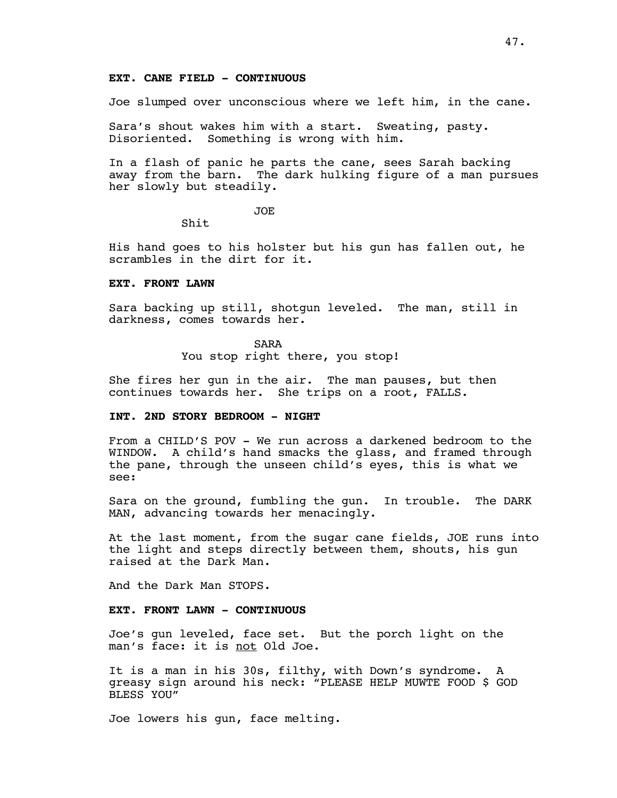#### **EXT. CANE FIELD - CONTINUOUS**

Joe slumped over unconscious where we left him, in the cane.

Sara's shout wakes him with a start. Sweating, pasty. Disoriented. Something is wrong with him.

In a flash of panic he parts the cane, sees Sarah backing away from the barn. The dark hulking figure of a man pursues her slowly but steadily.

JOE

Shit

His hand goes to his holster but his gun has fallen out, he scrambles in the dirt for it.

### **EXT. FRONT LAWN**

Sara backing up still, shotgun leveled. The man, still in darkness, comes towards her.

SARA

You stop right there, you stop!

She fires her gun in the air. The man pauses, but then continues towards her. She trips on a root, FALLS.

# **INT. 2ND STORY BEDROOM - NIGHT**

From a CHILD'S POV - We run across a darkened bedroom to the WINDOW. A child's hand smacks the glass, and framed through the pane, through the unseen child's eyes, this is what we see:

Sara on the ground, fumbling the gun. In trouble. The DARK MAN, advancing towards her menacingly.

At the last moment, from the sugar cane fields, JOE runs into the light and steps directly between them, shouts, his gun raised at the Dark Man.

And the Dark Man STOPS.

### **EXT. FRONT LAWN - CONTINUOUS**

Joe's gun leveled, face set. But the porch light on the man's face: it is <u>not</u> Old Joe.

It is a man in his 30s, filthy, with Down's syndrome. A greasy sign around his neck: "PLEASE HELP MUWTE FOOD \$ GOD BLESS YOU"

Joe lowers his gun, face melting.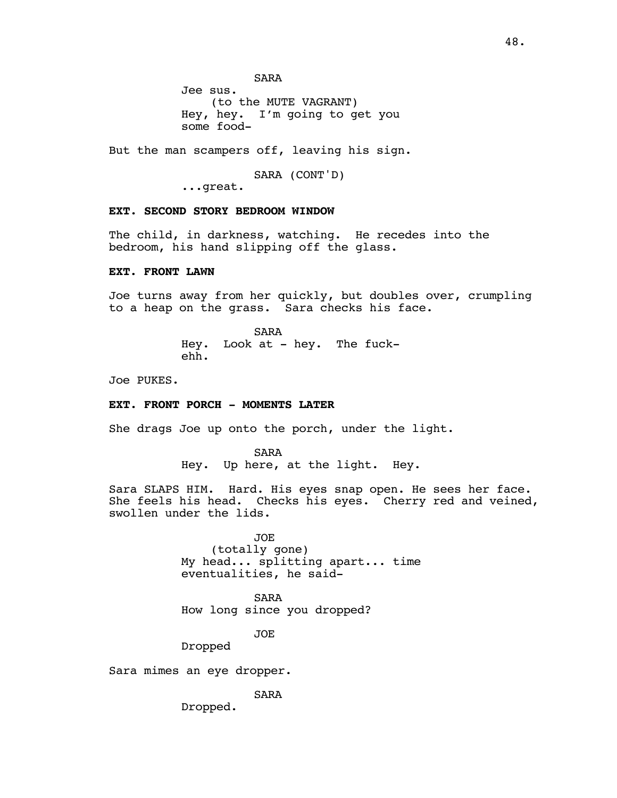Jee sus. (to the MUTE VAGRANT) Hey, hey. I'm going to get you some food-

But the man scampers off, leaving his sign.

SARA (CONT'D)

...great.

### **EXT. SECOND STORY BEDROOM WINDOW**

The child, in darkness, watching. He recedes into the bedroom, his hand slipping off the glass.

# **EXT. FRONT LAWN**

Joe turns away from her quickly, but doubles over, crumpling to a heap on the grass. Sara checks his face.

> SARA Hey. Look at - hey. The fuckehh.

Joe PUKES.

# **EXT. FRONT PORCH - MOMENTS LATER**

She drags Joe up onto the porch, under the light.

SARA Hey. Up here, at the light. Hey.

Sara SLAPS HIM. Hard. His eyes snap open. He sees her face. She feels his head. Checks his eyes. Cherry red and veined, swollen under the lids.

> JOE (totally gone) My head... splitting apart... time eventualities, he said-

SARA How long since you dropped?

JOE

Dropped

Sara mimes an eye dropper.

SARA

Dropped.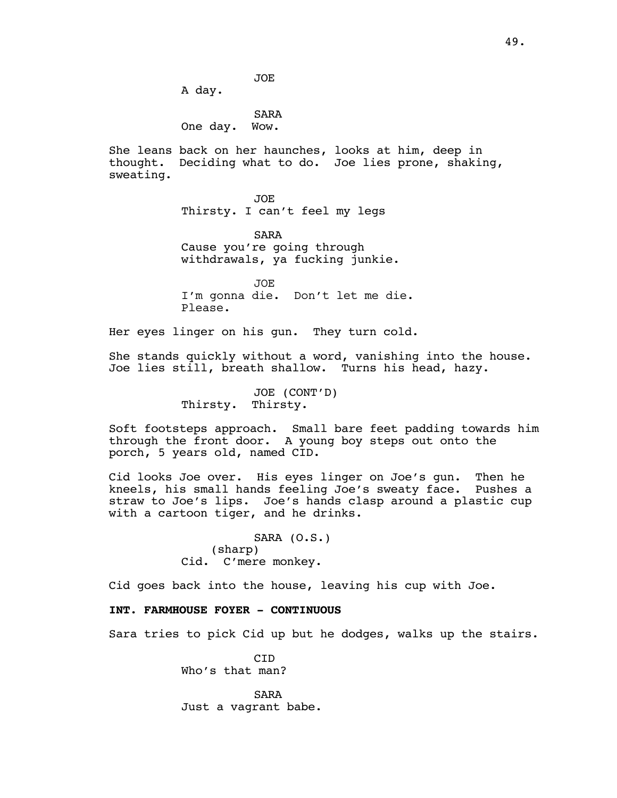A day.

SARA One day. Wow.

She leans back on her haunches, looks at him, deep in thought. Deciding what to do. Joe lies prone, shaking, sweating.

> JOE Thirsty. I can't feel my legs

SARA Cause you're going through withdrawals, ya fucking junkie.

JOE I'm gonna die. Don't let me die. Please.

Her eyes linger on his gun. They turn cold.

She stands quickly without a word, vanishing into the house. Joe lies still, breath shallow. Turns his head, hazy.

> JOE (CONT'D) Thirsty. Thirsty.

Soft footsteps approach. Small bare feet padding towards him through the front door. A young boy steps out onto the porch, 5 years old, named CID.

Cid looks Joe over. His eyes linger on Joe's gun. Then he kneels, his small hands feeling Joe's sweaty face. Pushes a straw to Joe's lips. Joe's hands clasp around a plastic cup with a cartoon tiger, and he drinks.

> SARA (O.S.) (sharp) Cid. C'mere monkey.

Cid goes back into the house, leaving his cup with Joe.

# **INT. FARMHOUSE FOYER - CONTINUOUS**

Sara tries to pick Cid up but he dodges, walks up the stairs.

 $CTD$ Who's that man?

SARA Just a vagrant babe.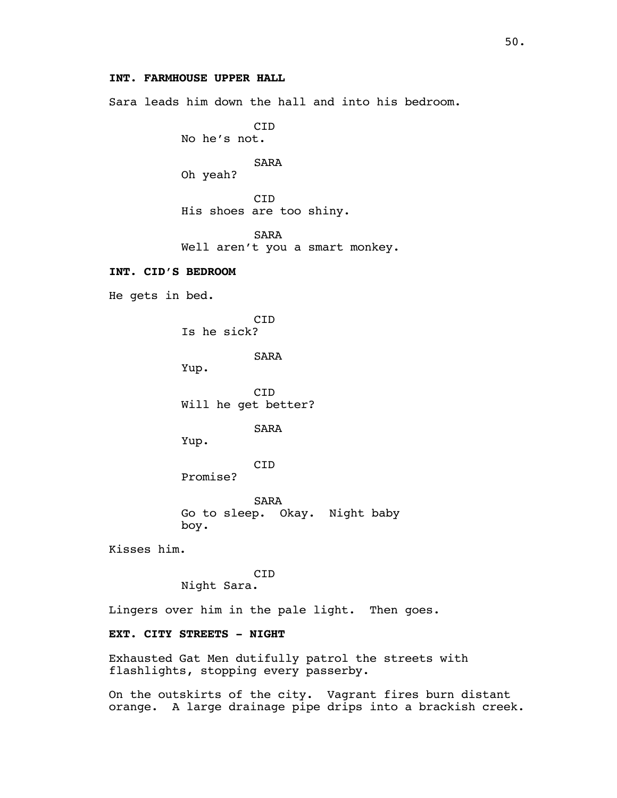# **INT. FARMHOUSE UPPER HALL**

Sara leads him down the hall and into his bedroom.

CID No he's not.

SARA

Oh yeah?

CID His shoes are too shiny.

SARA Well aren't you a smart monkey.

# **INT. CID'S BEDROOM**

He gets in bed.

**C<sub>TD</sub>** Is he sick?

SARA

Yup.

CID Will he get better?

SARA

Yup.

CID Promise?

SARA Go to sleep. Okay. Night baby boy.

Kisses him.

CID Night Sara.

Lingers over him in the pale light. Then goes.

# **EXT. CITY STREETS - NIGHT**

Exhausted Gat Men dutifully patrol the streets with flashlights, stopping every passerby.

On the outskirts of the city. Vagrant fires burn distant orange. A large drainage pipe drips into a brackish creek.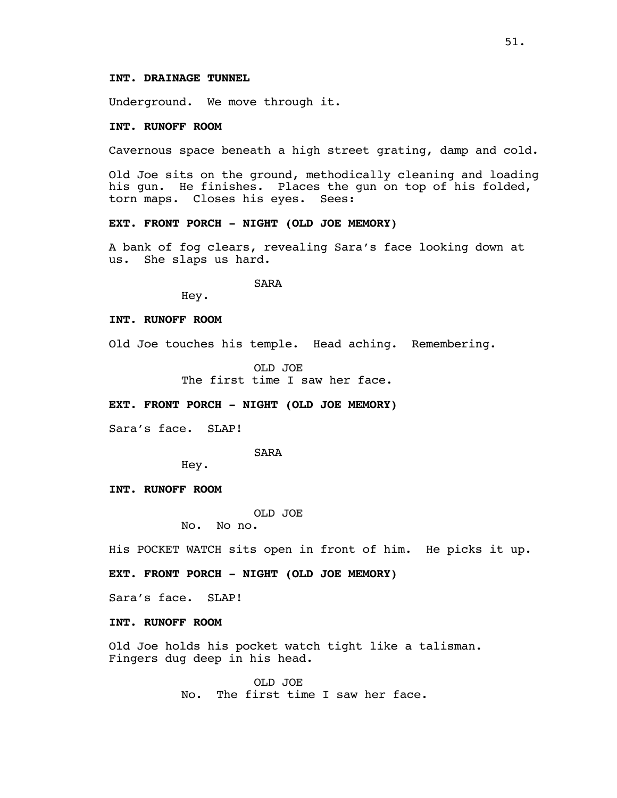# **INT. DRAINAGE TUNNEL**

Underground. We move through it.

### **INT. RUNOFF ROOM**

Cavernous space beneath a high street grating, damp and cold.

Old Joe sits on the ground, methodically cleaning and loading his gun. He finishes. Places the gun on top of his folded, torn maps. Closes his eyes. Sees:

### **EXT. FRONT PORCH - NIGHT (OLD JOE MEMORY)**

A bank of fog clears, revealing Sara's face looking down at us. She slaps us hard.

SARA

Hey.

#### **INT. RUNOFF ROOM**

Old Joe touches his temple. Head aching. Remembering.

OLD JOE The first time I saw her face.

#### **EXT. FRONT PORCH - NIGHT (OLD JOE MEMORY)**

Sara's face. SLAP!

#### SARA

Hey.

# **INT. RUNOFF ROOM**

OLD JOE

No. No no.

His POCKET WATCH sits open in front of him. He picks it up.

### **EXT. FRONT PORCH - NIGHT (OLD JOE MEMORY)**

Sara's face. SLAP!

### **INT. RUNOFF ROOM**

Old Joe holds his pocket watch tight like a talisman. Fingers dug deep in his head.

> OLD JOE No. The first time I saw her face.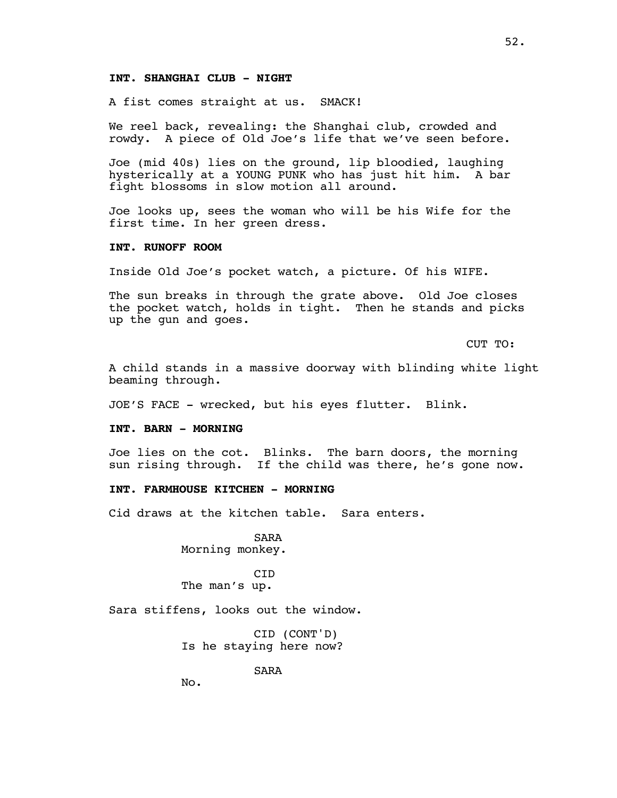# **INT. SHANGHAI CLUB - NIGHT**

A fist comes straight at us. SMACK!

We reel back, revealing: the Shanghai club, crowded and rowdy. A piece of Old Joe's life that we've seen before.

Joe (mid 40s) lies on the ground, lip bloodied, laughing hysterically at a YOUNG PUNK who has just hit him. A bar fight blossoms in slow motion all around.

Joe looks up, sees the woman who will be his Wife for the first time. In her green dress.

### **INT. RUNOFF ROOM**

Inside Old Joe's pocket watch, a picture. Of his WIFE.

The sun breaks in through the grate above. Old Joe closes the pocket watch, holds in tight. Then he stands and picks up the gun and goes.

CUT TO:

A child stands in a massive doorway with blinding white light beaming through.

JOE'S FACE - wrecked, but his eyes flutter. Blink.

#### **INT. BARN - MORNING**

Joe lies on the cot. Blinks. The barn doors, the morning sun rising through. If the child was there, he's gone now.

# **INT. FARMHOUSE KITCHEN - MORNING**

Cid draws at the kitchen table. Sara enters.

SARA Morning monkey.

CID The man's up.

Sara stiffens, looks out the window.

CID (CONT'D) Is he staying here now?

SARA

No.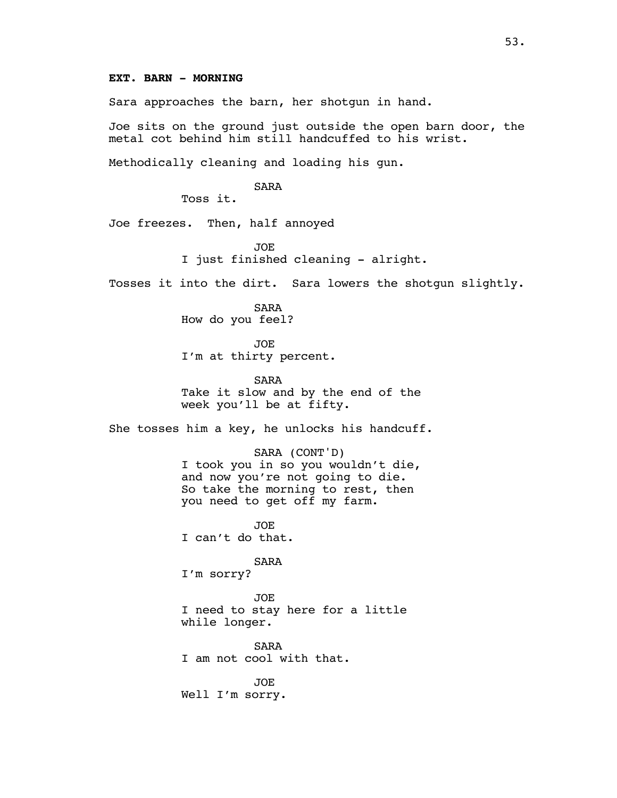Sara approaches the barn, her shotgun in hand.

Joe sits on the ground just outside the open barn door, the metal cot behind him still handcuffed to his wrist.

Methodically cleaning and loading his gun.

SARA

Toss it.

Joe freezes. Then, half annoyed

JOE I just finished cleaning - alright.

Tosses it into the dirt. Sara lowers the shotgun slightly.

SARA How do you feel?

JOE I'm at thirty percent.

SARA Take it slow and by the end of the week you'll be at fifty.

She tosses him a key, he unlocks his handcuff.

SARA (CONT'D) I took you in so you wouldn't die, and now you're not going to die. So take the morning to rest, then you need to get off my farm.

JOE I can't do that.

SARA I'm sorry?

JOE I need to stay here for a little while longer.

SARA I am not cool with that.

JOE Well I'm sorry.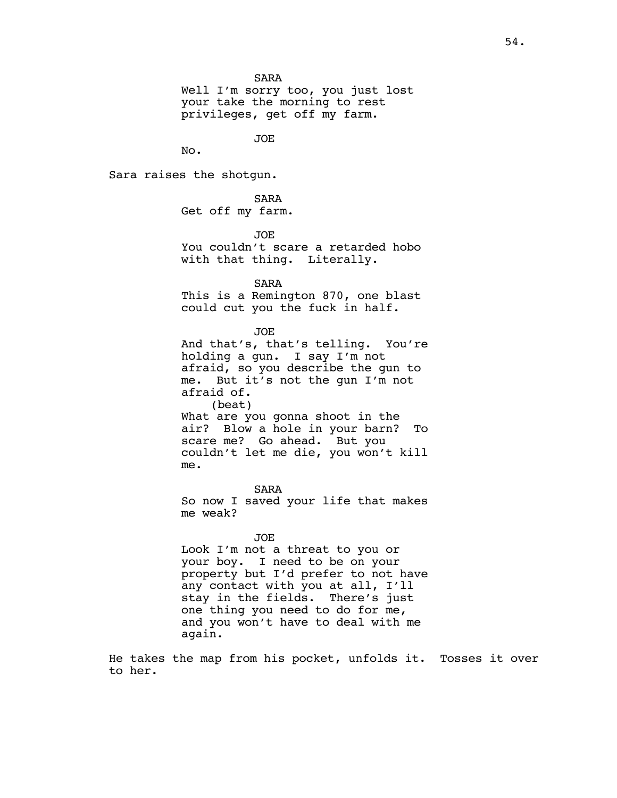SARA

Well I'm sorry too, you just lost your take the morning to rest privileges, get off my farm.

JOE

No.

Sara raises the shotgun.

SARA Get off my farm.

JOE

You couldn't scare a retarded hobo with that thing. Literally.

SARA

This is a Remington 870, one blast could cut you the fuck in half.

JOE

And that's, that's telling. You're holding a gun. I say I'm not afraid, so you describe the gun to me. But it's not the gun I'm not afraid of. (beat) What are you gonna shoot in the

air? Blow a hole in your barn? To scare me? Go ahead. But you couldn't let me die, you won't kill me.

SARA So now I saved your life that makes me weak?

JOE

Look I'm not a threat to you or your boy. I need to be on your property but I'd prefer to not have any contact with you at all, I'll stay in the fields. There's just one thing you need to do for me, and you won't have to deal with me again.

He takes the map from his pocket, unfolds it. Tosses it over to her.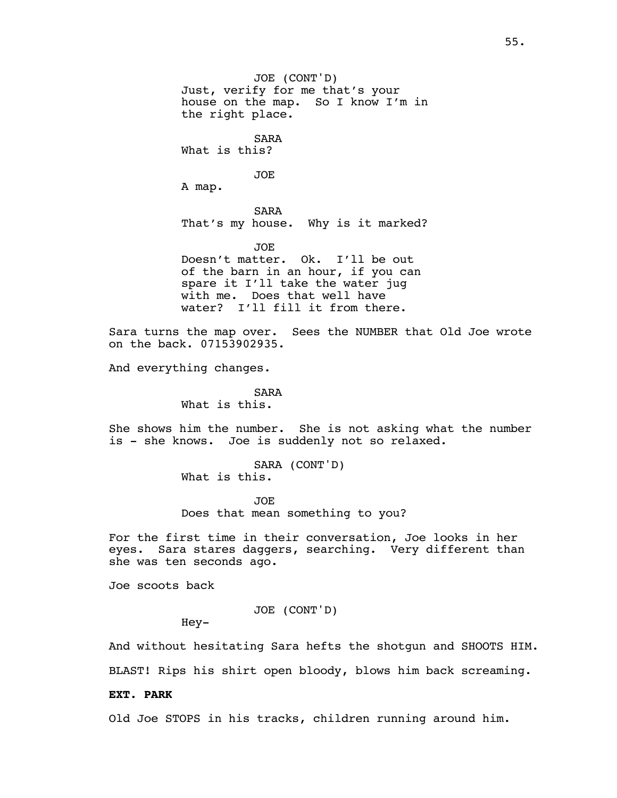JOE (CONT'D) Just, verify for me that's your house on the map. So I know I'm in the right place. SARA What is this? JOE A map. SARA That's my house. Why is it marked? JOE Doesn't matter. Ok. I'll be out of the barn in an hour, if you can spare it I'll take the water jug with me. Does that well have water? I'll fill it from there.

Sara turns the map over. Sees the NUMBER that Old Joe wrote on the back. 07153902935.

And everything changes.

SARA What is this.

She shows him the number. She is not asking what the number is - she knows. Joe is suddenly not so relaxed.

> SARA (CONT'D) What is this.

JOE Does that mean something to you?

For the first time in their conversation, Joe looks in her eyes. Sara stares daggers, searching. Very different than she was ten seconds ago.

Joe scoots back

JOE (CONT'D)

Hey-

And without hesitating Sara hefts the shotgun and SHOOTS HIM. BLAST! Rips his shirt open bloody, blows him back screaming.

### **EXT. PARK**

Old Joe STOPS in his tracks, children running around him.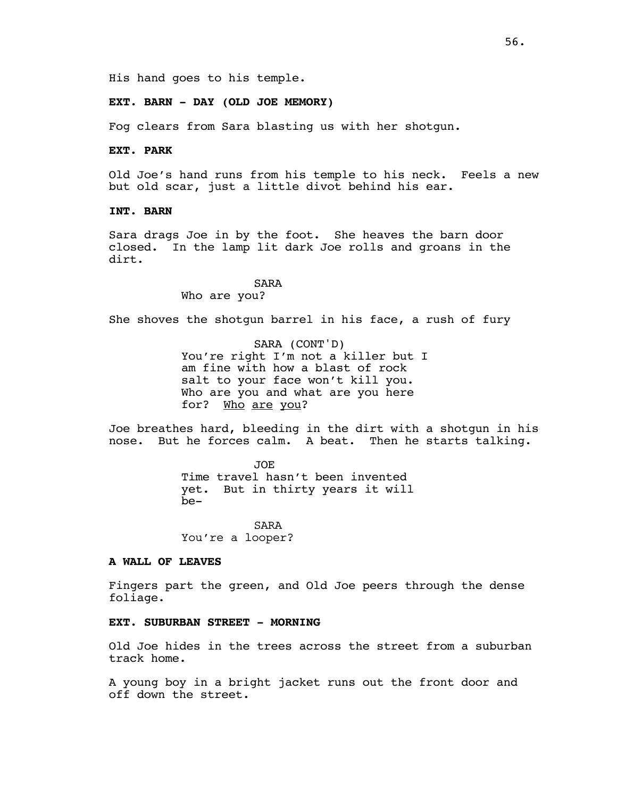His hand goes to his temple.

# **EXT. BARN - DAY (OLD JOE MEMORY)**

Fog clears from Sara blasting us with her shotgun.

# **EXT. PARK**

Old Joe's hand runs from his temple to his neck. Feels a new but old scar, just a little divot behind his ear.

### **INT. BARN**

Sara drags Joe in by the foot. She heaves the barn door closed. In the lamp lit dark Joe rolls and groans in the dirt.

> SARA Who are you?

She shoves the shotgun barrel in his face, a rush of fury

SARA (CONT'D) You're right I'm not a killer but I am fine with how a blast of rock salt to your face won't kill you. Who are you and what are you here for? Who are you?

Joe breathes hard, bleeding in the dirt with a shotgun in his nose. But he forces calm. A beat. Then he starts talking.

> JOE Time travel hasn't been invented yet. But in thirty years it will be-

SARA You're a looper?

#### **A WALL OF LEAVES**

Fingers part the green, and Old Joe peers through the dense foliage.

# **EXT. SUBURBAN STREET - MORNING**

Old Joe hides in the trees across the street from a suburban track home.

A young boy in a bright jacket runs out the front door and off down the street.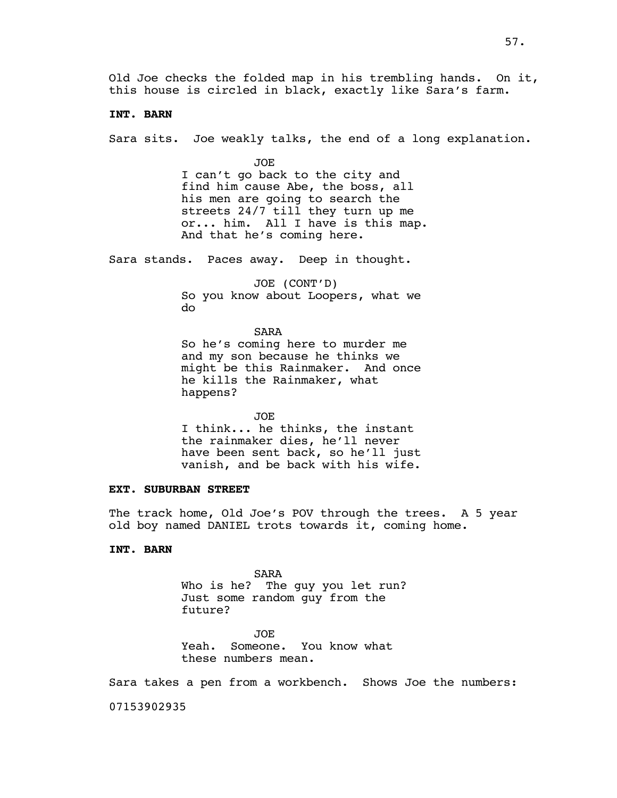Old Joe checks the folded map in his trembling hands. On it, this house is circled in black, exactly like Sara's farm.

### **INT. BARN**

Sara sits. Joe weakly talks, the end of a long explanation.

JOE I can't go back to the city and find him cause Abe, the boss, all his men are going to search the streets 24/7 till they turn up me or... him. All I have is this map. And that he's coming here.

Sara stands. Paces away. Deep in thought.

JOE (CONT'D) So you know about Loopers, what we do

SARA So he's coming here to murder me and my son because he thinks we might be this Rainmaker. And once he kills the Rainmaker, what happens?

JOE I think... he thinks, the instant the rainmaker dies, he'll never have been sent back, so he'll just vanish, and be back with his wife.

# **EXT. SUBURBAN STREET**

The track home, Old Joe's POV through the trees. A 5 year old boy named DANIEL trots towards it, coming home.

# **INT. BARN**

SARA Who is he? The guy you let run? Just some random guy from the future?

JOE Yeah. Someone. You know what these numbers mean.

Sara takes a pen from a workbench. Shows Joe the numbers:

07153902935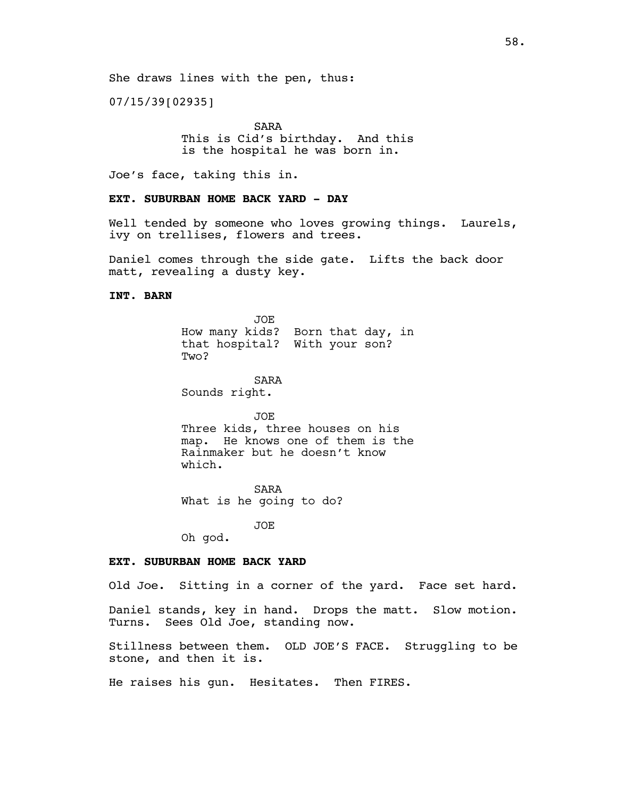07/15/39[02935]

SARA This is Cid's birthday. And this is the hospital he was born in.

Joe's face, taking this in.

# **EXT. SUBURBAN HOME BACK YARD - DAY**

Well tended by someone who loves growing things. Laurels, ivy on trellises, flowers and trees.

Daniel comes through the side gate. Lifts the back door matt, revealing a dusty key.

### **INT. BARN**

JOE How many kids? Born that day, in that hospital? With your son? Two?

SARA Sounds right.

JOE Three kids, three houses on his map. He knows one of them is the Rainmaker but he doesn't know which.

SARA What is he going to do?

JOE

Oh god.

### **EXT. SUBURBAN HOME BACK YARD**

Old Joe. Sitting in a corner of the yard. Face set hard.

Daniel stands, key in hand. Drops the matt. Slow motion. Turns. Sees Old Joe, standing now.

Stillness between them. OLD JOE'S FACE. Struggling to be stone, and then it is.

He raises his gun. Hesitates. Then FIRES.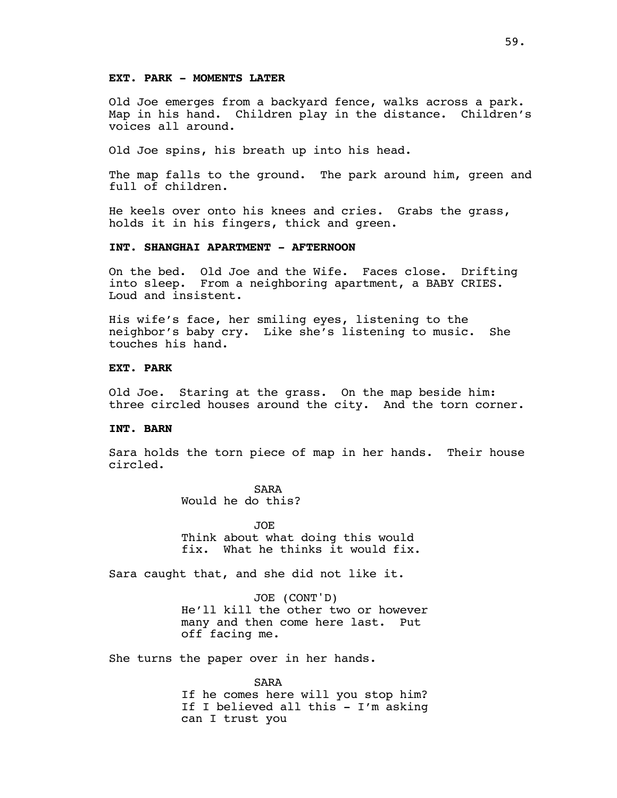# **EXT. PARK - MOMENTS LATER**

Old Joe emerges from a backyard fence, walks across a park. Map in his hand. Children play in the distance. Children's voices all around.

Old Joe spins, his breath up into his head.

The map falls to the ground. The park around him, green and full of children.

He keels over onto his knees and cries. Grabs the grass, holds it in his fingers, thick and green.

### **INT. SHANGHAI APARTMENT - AFTERNOON**

On the bed. Old Joe and the Wife. Faces close. Drifting into sleep. From a neighboring apartment, a BABY CRIES. Loud and insistent.

His wife's face, her smiling eyes, listening to the neighbor's baby cry. Like she's listening to music. She touches his hand.

# **EXT. PARK**

Old Joe. Staring at the grass. On the map beside him: three circled houses around the city. And the torn corner.

#### **INT. BARN**

Sara holds the torn piece of map in her hands. Their house circled.

> SARA Would he do this?

JOE Think about what doing this would fix. What he thinks it would fix.

Sara caught that, and she did not like it.

JOE (CONT'D) He'll kill the other two or however many and then come here last. Put off facing me.

She turns the paper over in her hands.

SARA If he comes here will you stop him? If I believed all this - I'm asking can I trust you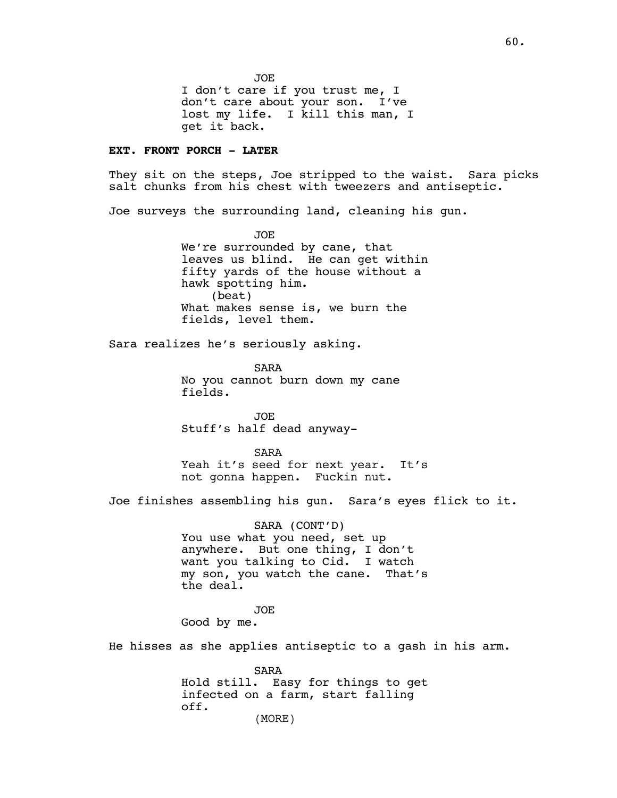JOE I don't care if you trust me, I don't care about your son. I've lost my life. I kill this man, I get it back.

# **EXT. FRONT PORCH - LATER**

They sit on the steps, Joe stripped to the waist. Sara picks salt chunks from his chest with tweezers and antiseptic.

Joe surveys the surrounding land, cleaning his gun.

JOE We're surrounded by cane, that leaves us blind. He can get within fifty yards of the house without a hawk spotting him. (beat) What makes sense is, we burn the fields, level them.

Sara realizes he's seriously asking.

SARA No you cannot burn down my cane fields.

JOE Stuff's half dead anyway-

SARA Yeah it's seed for next year. It's not gonna happen. Fuckin nut.

Joe finishes assembling his gun. Sara's eyes flick to it.

SARA (CONT'D) You use what you need, set up anywhere. But one thing, I don't want you talking to Cid. I watch my son, you watch the cane. That's the deal.

JOE Good by me.

He hisses as she applies antiseptic to a gash in his arm.

SARA Hold still. Easy for things to get infected on a farm, start falling off. (MORE)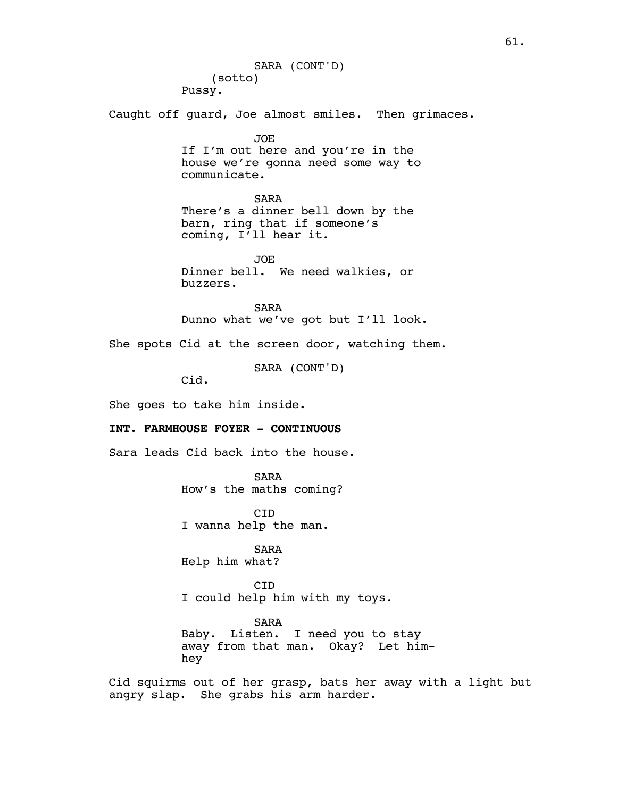(sotto) Pussy. Caught off guard, Joe almost smiles. Then grimaces. JOE If I'm out here and you're in the house we're gonna need some way to communicate. SARA There's a dinner bell down by the barn, ring that if someone's coming, I'll hear it. JOE Dinner bell. We need walkies, or buzzers. SARA Dunno what we've got but I'll look. She spots Cid at the screen door, watching them. SARA (CONT'D) Cid. She goes to take him inside. **INT. FARMHOUSE FOYER - CONTINUOUS** Sara leads Cid back into the house. SARA How's the maths coming? CID I wanna help the man. SARA Help him what? CID I could help him with my toys. SARA Baby. Listen. I need you to stay away from that man. Okay? Let himhey Cid squirms out of her grasp, bats her away with a light but angry slap. She grabs his arm harder. SARA (CONT'D)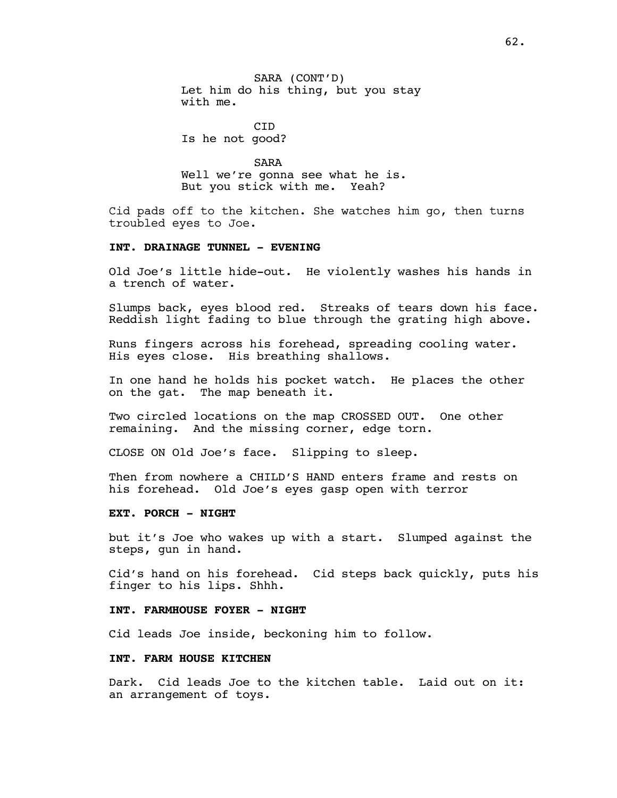SARA (CONT'D) Let him do his thing, but you stay with me.

CID Is he not good?

SARA Well we're gonna see what he is. But you stick with me. Yeah?

Cid pads off to the kitchen. She watches him go, then turns troubled eyes to Joe.

#### **INT. DRAINAGE TUNNEL - EVENING**

Old Joe's little hide-out. He violently washes his hands in a trench of water.

Slumps back, eyes blood red. Streaks of tears down his face. Reddish light fading to blue through the grating high above.

Runs fingers across his forehead, spreading cooling water. His eyes close. His breathing shallows.

In one hand he holds his pocket watch. He places the other on the gat. The map beneath it.

Two circled locations on the map CROSSED OUT. One other remaining. And the missing corner, edge torn.

CLOSE ON Old Joe's face. Slipping to sleep.

Then from nowhere a CHILD'S HAND enters frame and rests on his forehead. Old Joe's eyes gasp open with terror

#### **EXT. PORCH - NIGHT**

but it's Joe who wakes up with a start. Slumped against the steps, gun in hand.

Cid's hand on his forehead. Cid steps back quickly, puts his finger to his lips. Shhh.

### **INT. FARMHOUSE FOYER - NIGHT**

Cid leads Joe inside, beckoning him to follow.

#### **INT. FARM HOUSE KITCHEN**

Dark. Cid leads Joe to the kitchen table. Laid out on it: an arrangement of toys.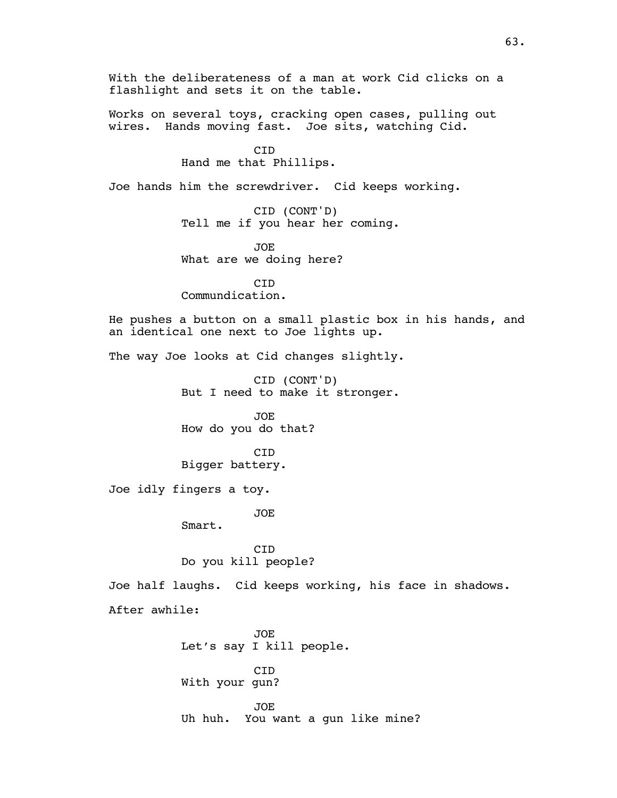Works on several toys, cracking open cases, pulling out wires. Hands moving fast. Joe sits, watching Cid.

> CID Hand me that Phillips.

Joe hands him the screwdriver. Cid keeps working.

CID (CONT'D) Tell me if you hear her coming.

JOE What are we doing here?

CID Commundication.

He pushes a button on a small plastic box in his hands, and an identical one next to Joe lights up.

The way Joe looks at Cid changes slightly.

CID (CONT'D) But I need to make it stronger.

JOE How do you do that?

**C<sub>TD</sub>** Bigger battery.

Joe idly fingers a toy.

JOE

Smart.

CID Do you kill people?

Joe half laughs. Cid keeps working, his face in shadows.

After awhile:

JOE Let's say I kill people.

CID With your gun?

JOE Uh huh. You want a gun like mine?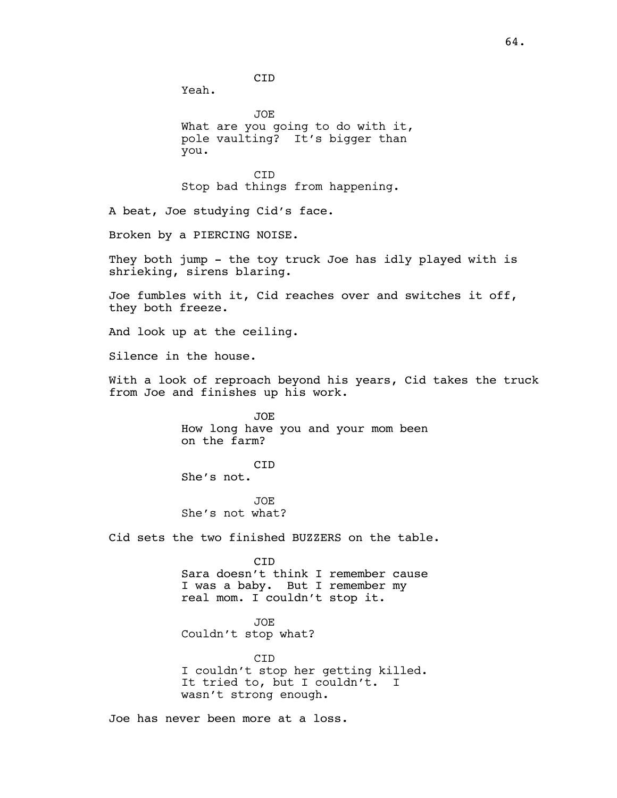CID

Yeah.

JOE What are you going to do with it, pole vaulting? It's bigger than you.

**CTD** Stop bad things from happening.

A beat, Joe studying Cid's face.

Broken by a PIERCING NOISE.

They both jump - the toy truck Joe has idly played with is shrieking, sirens blaring.

Joe fumbles with it, Cid reaches over and switches it off, they both freeze.

And look up at the ceiling.

Silence in the house.

With a look of reproach beyond his years, Cid takes the truck from Joe and finishes up his work.

> JOE How long have you and your mom been on the farm?

CID She's not.

JOE She's not what?

Cid sets the two finished BUZZERS on the table.

CID Sara doesn't think I remember cause I was a baby. But I remember my real mom. I couldn't stop it.

JOE Couldn't stop what?

CID I couldn't stop her getting killed. It tried to, but I couldn't. I wasn't strong enough.

Joe has never been more at a loss.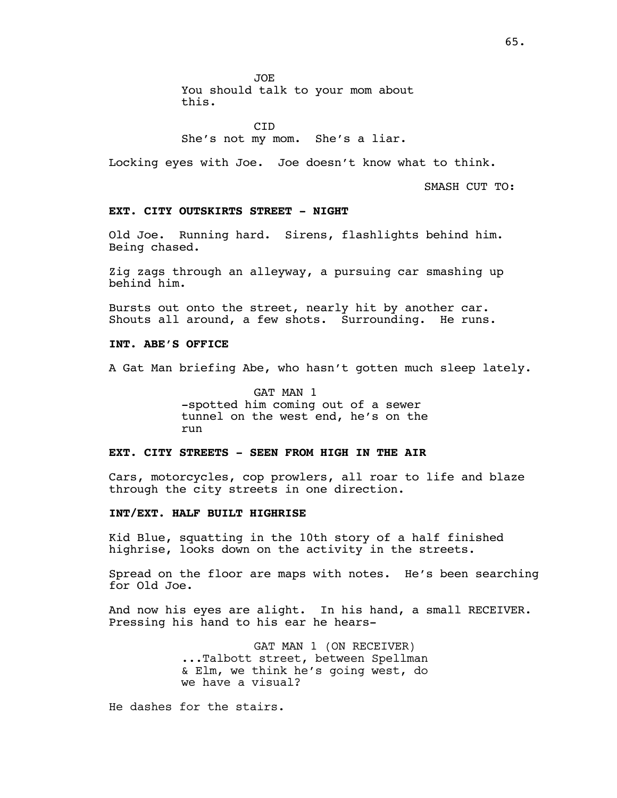JOE

You should talk to your mom about this.

CID She's not my mom. She's a liar.

Locking eyes with Joe. Joe doesn't know what to think.

SMASH CUT TO:

### **EXT. CITY OUTSKIRTS STREET - NIGHT**

Old Joe. Running hard. Sirens, flashlights behind him. Being chased.

Zig zags through an alleyway, a pursuing car smashing up behind him.

Bursts out onto the street, nearly hit by another car. Shouts all around, a few shots. Surrounding. He runs.

# **INT. ABE'S OFFICE**

A Gat Man briefing Abe, who hasn't gotten much sleep lately.

GAT MAN 1 -spotted him coming out of a sewer tunnel on the west end, he's on the run

### **EXT. CITY STREETS - SEEN FROM HIGH IN THE AIR**

Cars, motorcycles, cop prowlers, all roar to life and blaze through the city streets in one direction.

### **INT/EXT. HALF BUILT HIGHRISE**

Kid Blue, squatting in the 10th story of a half finished highrise, looks down on the activity in the streets.

Spread on the floor are maps with notes. He's been searching for Old Joe.

And now his eyes are alight. In his hand, a small RECEIVER. Pressing his hand to his ear he hears-

> GAT MAN 1 (ON RECEIVER) ...Talbott street, between Spellman & Elm, we think he's going west, do we have a visual?

He dashes for the stairs.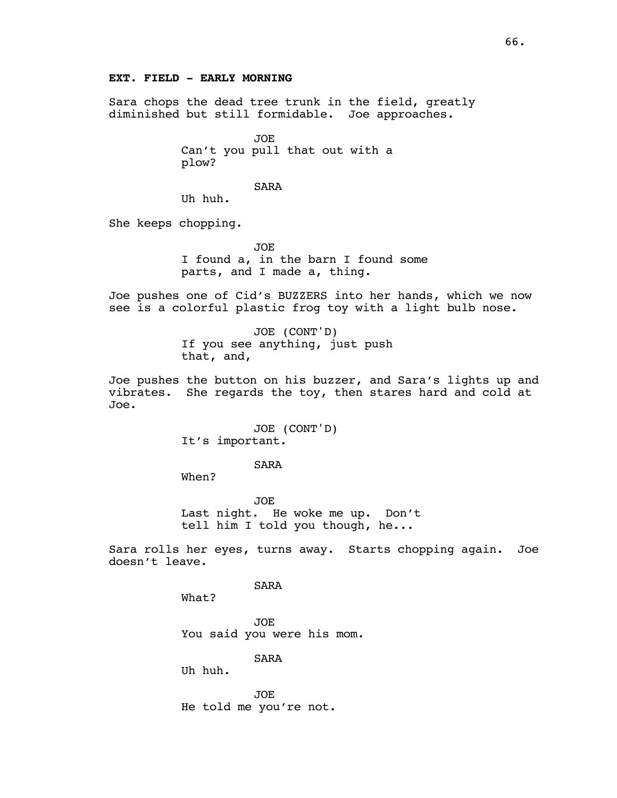# **EXT. FIELD - EARLY MORNING**

Sara chops the dead tree trunk in the field, greatly diminished but still formidable. Joe approaches.

> JOE Can't you pull that out with a plow?

> > SARA

Uh huh.

She keeps chopping.

JOE I found a, in the barn I found some parts, and I made a, thing.

Joe pushes one of Cid's BUZZERS into her hands, which we now see is a colorful plastic frog toy with a light bulb nose.

> JOE (CONT'D) If you see anything, just push that, and,

Joe pushes the button on his buzzer, and Sara's lights up and vibrates. She regards the toy, then stares hard and cold at Joe.

> JOE (CONT'D) It's important.

> > SARA

When?

JOE Last night. He woke me up. Don't tell him I told you though, he...

Sara rolls her eyes, turns away. Starts chopping again. Joe doesn't leave.

SARA

What?

JOE You said you were his mom.

SARA

Uh huh.

JOE He told me you're not.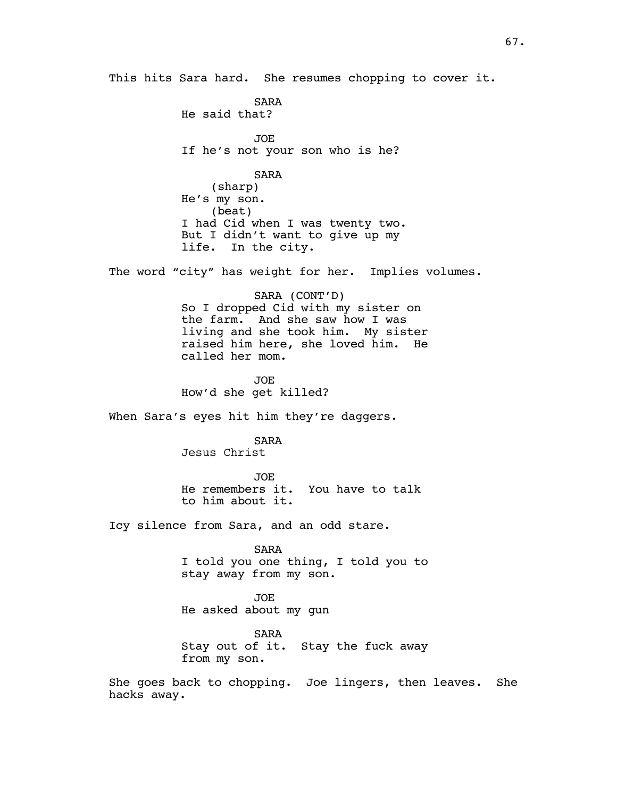This hits Sara hard. She resumes chopping to cover it.

SARA He said that? JOE If he's not your son who is he? SARA (sharp) He's my son. (beat) I had Cid when I was twenty two. But I didn't want to give up my life. In the city. The word "city" has weight for her. Implies volumes. SARA (CONT'D) So I dropped Cid with my sister on the farm. And she saw how I was living and she took him. My sister raised him here, she loved him. He called her mom. JOE How'd she get killed? When Sara's eyes hit him they're daggers. SARA Jesus Christ JOE He remembers it. You have to talk to him about it. Icy silence from Sara, and an odd stare. SARA I told you one thing, I told you to stay away from my son. JOE He asked about my gun SARA Stay out of it. Stay the fuck away from my son.

She goes back to chopping. Joe lingers, then leaves. She hacks away.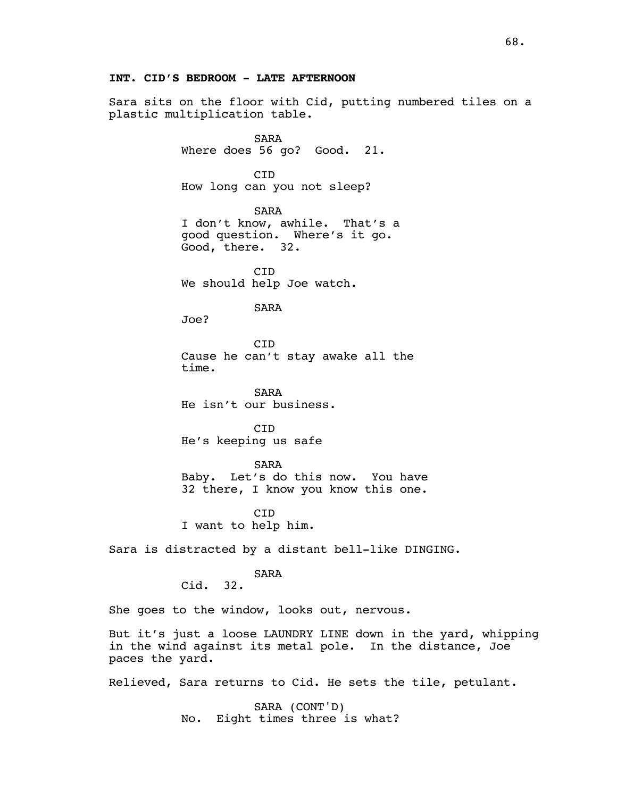# **INT. CID'S BEDROOM - LATE AFTERNOON**

Sara sits on the floor with Cid, putting numbered tiles on a plastic multiplication table.

> SARA Where does 56 go? Good. 21.

CID How long can you not sleep?

SARA I don't know, awhile. That's a good question. Where's it go. Good, there. 32.

CID We should help Joe watch.

SARA

Joe?

**C<sub>TD</sub>** Cause he can't stay awake all the time.

SARA He isn't our business.

CID He's keeping us safe

SARA

Baby. Let's do this now. You have 32 there, I know you know this one.

CID I want to help him.

Sara is distracted by a distant bell-like DINGING.

SARA

Cid. 32.

She goes to the window, looks out, nervous.

But it's just a loose LAUNDRY LINE down in the yard, whipping in the wind against its metal pole. In the distance, Joe paces the yard.

Relieved, Sara returns to Cid. He sets the tile, petulant.

SARA (CONT'D) No. Eight times three is what?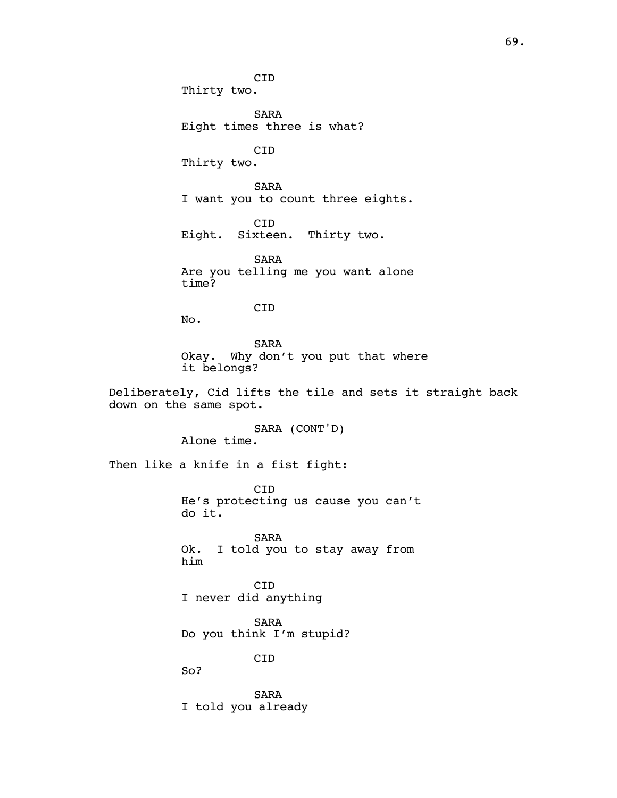CID Thirty two. SARA Eight times three is what? CID Thirty two. SARA I want you to count three eights. CID Eight. Sixteen. Thirty two. SARA Are you telling me you want alone time? CID No. SARA Okay. Why don't you put that where it belongs? Deliberately, Cid lifts the tile and sets it straight back down on the same spot. SARA (CONT'D) Alone time. Then like a knife in a fist fight: CID He's protecting us cause you can't do it. SARA Ok. I told you to stay away from him CID I never did anything SARA Do you think I'm stupid? CID So? SARA I told you already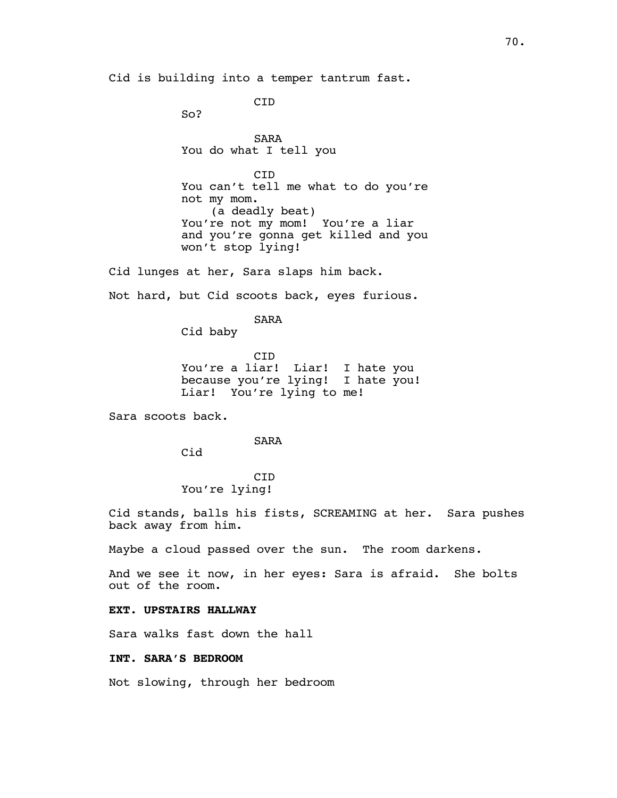Cid is building into a temper tantrum fast.

**C<sub>TD</sub>** 

So?

SARA You do what I tell you

CID You can't tell me what to do you're not my mom. (a deadly beat) You're not my mom! You're a liar and you're gonna get killed and you won't stop lying!

Cid lunges at her, Sara slaps him back.

Not hard, but Cid scoots back, eyes furious.

SARA

Cid baby

CID You're a liar! Liar! I hate you because you're lying! I hate you! Liar! You're lying to me!

Sara scoots back.

SARA

Cid

CID You're lying!

Cid stands, balls his fists, SCREAMING at her. Sara pushes back away from him.

Maybe a cloud passed over the sun. The room darkens.

And we see it now, in her eyes: Sara is afraid. She bolts out of the room.

# **EXT. UPSTAIRS HALLWAY**

Sara walks fast down the hall

**INT. SARA'S BEDROOM**

Not slowing, through her bedroom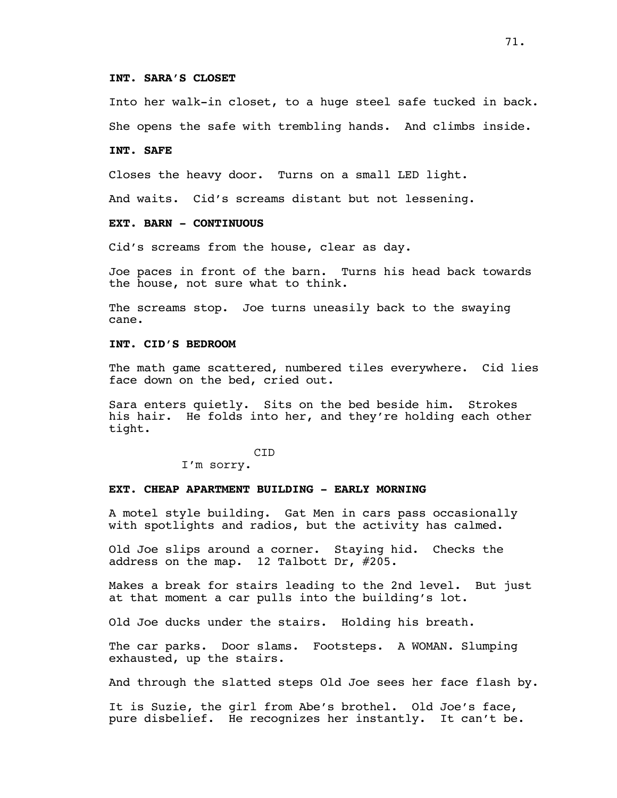### **INT. SARA'S CLOSET**

Into her walk-in closet, to a huge steel safe tucked in back. She opens the safe with trembling hands. And climbs inside.

#### **INT. SAFE**

Closes the heavy door. Turns on a small LED light.

And waits. Cid's screams distant but not lessening.

# **EXT. BARN - CONTINUOUS**

Cid's screams from the house, clear as day.

Joe paces in front of the barn. Turns his head back towards the house, not sure what to think.

The screams stop. Joe turns uneasily back to the swaying cane.

# **INT. CID'S BEDROOM**

The math game scattered, numbered tiles everywhere. Cid lies face down on the bed, cried out.

Sara enters quietly. Sits on the bed beside him. Strokes his hair. He folds into her, and they're holding each other tight.

CID

I'm sorry.

# **EXT. CHEAP APARTMENT BUILDING - EARLY MORNING**

A motel style building. Gat Men in cars pass occasionally with spotlights and radios, but the activity has calmed.

Old Joe slips around a corner. Staying hid. Checks the address on the map. 12 Talbott Dr, #205.

Makes a break for stairs leading to the 2nd level. But just at that moment a car pulls into the building's lot.

Old Joe ducks under the stairs. Holding his breath.

The car parks. Door slams. Footsteps. A WOMAN. Slumping exhausted, up the stairs.

And through the slatted steps Old Joe sees her face flash by.

It is Suzie, the girl from Abe's brothel. Old Joe's face, pure disbelief. He recognizes her instantly. It can't be.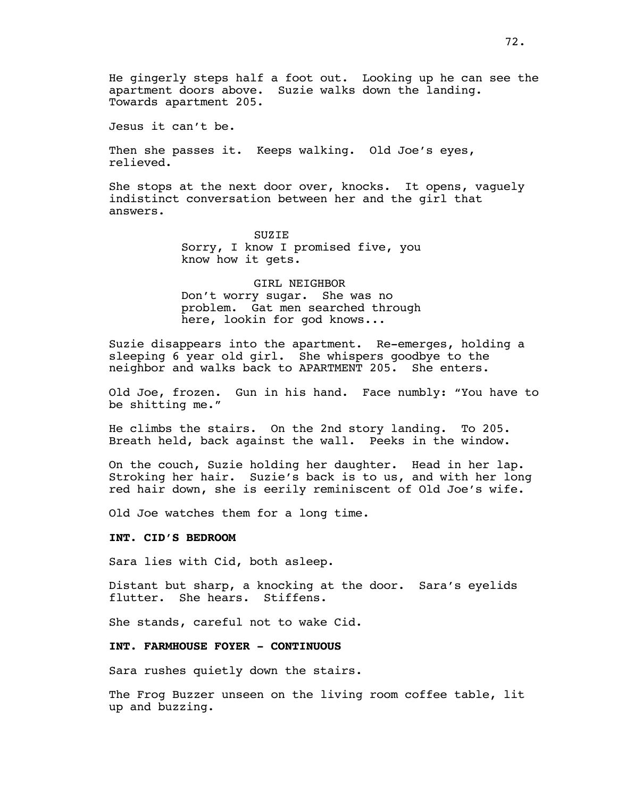He gingerly steps half a foot out. Looking up he can see the apartment doors above. Suzie walks down the landing. Towards apartment 205.

Jesus it can't be.

Then she passes it. Keeps walking. Old Joe's eyes, relieved.

She stops at the next door over, knocks. It opens, vaguely indistinct conversation between her and the girl that answers.

> **SUZIE** Sorry, I know I promised five, you know how it gets.

> GIRL NEIGHBOR Don't worry sugar. She was no problem. Gat men searched through here, lookin for god knows...

Suzie disappears into the apartment. Re-emerges, holding a sleeping 6 year old girl. She whispers goodbye to the neighbor and walks back to APARTMENT 205. She enters.

Old Joe, frozen. Gun in his hand. Face numbly: "You have to be shitting me."

He climbs the stairs. On the 2nd story landing. To 205. Breath held, back against the wall. Peeks in the window.

On the couch, Suzie holding her daughter. Head in her lap. Stroking her hair. Suzie's back is to us, and with her long red hair down, she is eerily reminiscent of Old Joe's wife.

Old Joe watches them for a long time.

### **INT. CID'S BEDROOM**

Sara lies with Cid, both asleep.

Distant but sharp, a knocking at the door. Sara's eyelids flutter. She hears. Stiffens.

She stands, careful not to wake Cid.

#### **INT. FARMHOUSE FOYER - CONTINUOUS**

Sara rushes quietly down the stairs.

The Frog Buzzer unseen on the living room coffee table, lit up and buzzing.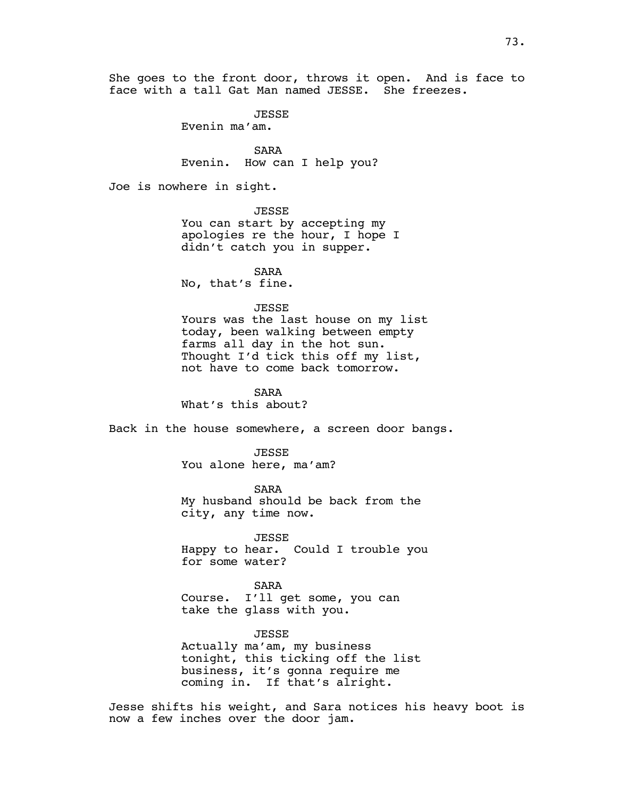She goes to the front door, throws it open. And is face to face with a tall Gat Man named JESSE. She freezes.

JESSE

Evenin ma'am.

SARA Evenin. How can I help you?

Joe is nowhere in sight.

JESSE

You can start by accepting my apologies re the hour, I hope I didn't catch you in supper.

SARA

No, that's fine.

### JESSE

Yours was the last house on my list today, been walking between empty farms all day in the hot sun. Thought I'd tick this off my list, not have to come back tomorrow.

SARA

What's this about?

Back in the house somewhere, a screen door bangs.

**JESSE** You alone here, ma'am?

SARA My husband should be back from the city, any time now.

JESSE Happy to hear. Could I trouble you for some water?

SARA Course. I'll get some, you can take the glass with you.

JESSE

Actually ma'am, my business tonight, this ticking off the list business, it's gonna require me coming in. If that's alright.

Jesse shifts his weight, and Sara notices his heavy boot is now a few inches over the door jam.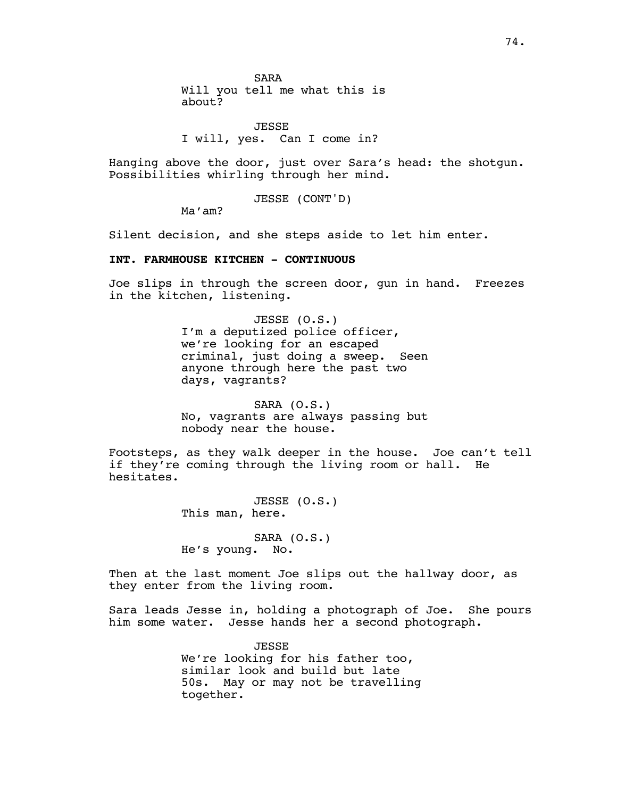SARA Will you tell me what this is about?

JESSE I will, yes. Can I come in?

Hanging above the door, just over Sara's head: the shotgun. Possibilities whirling through her mind.

JESSE (CONT'D)

Ma'am?

Silent decision, and she steps aside to let him enter.

# **INT. FARMHOUSE KITCHEN - CONTINUOUS**

Joe slips in through the screen door, gun in hand. Freezes in the kitchen, listening.

> JESSE (O.S.) I'm a deputized police officer, we're looking for an escaped criminal, just doing a sweep. Seen anyone through here the past two days, vagrants?

> SARA (O.S.) No, vagrants are always passing but nobody near the house.

Footsteps, as they walk deeper in the house. Joe can't tell if they're coming through the living room or hall. He hesitates.

> JESSE (O.S.) This man, here.

SARA (O.S.) He's young. No.

Then at the last moment Joe slips out the hallway door, as they enter from the living room.

Sara leads Jesse in, holding a photograph of Joe. She pours him some water. Jesse hands her a second photograph.

> JESSE We're looking for his father too, similar look and build but late 50s. May or may not be travelling together.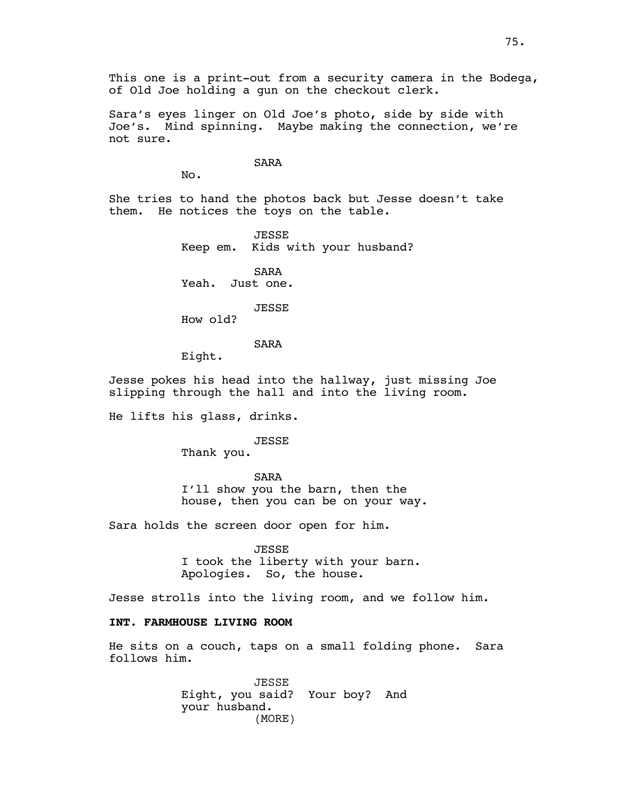This one is a print-out from a security camera in the Bodega, of Old Joe holding a gun on the checkout clerk.

Sara's eyes linger on Old Joe's photo, side by side with Joe's. Mind spinning. Maybe making the connection, we're not sure.

SARA

No.

She tries to hand the photos back but Jesse doesn't take them. He notices the toys on the table.

> **JESSE** Keep em. Kids with your husband?

SARA Yeah. Just one.

### JESSE

How old?

# SARA

Eight.

Jesse pokes his head into the hallway, just missing Joe slipping through the hall and into the living room.

He lifts his glass, drinks.

#### JESSE

Thank you.

SARA I'll show you the barn, then the house, then you can be on your way.

Sara holds the screen door open for him.

JESSE

I took the liberty with your barn. Apologies. So, the house.

Jesse strolls into the living room, and we follow him.

# **INT. FARMHOUSE LIVING ROOM**

He sits on a couch, taps on a small folding phone. Sara follows him.

> JESSE Eight, you said? Your boy? And your husband. (MORE)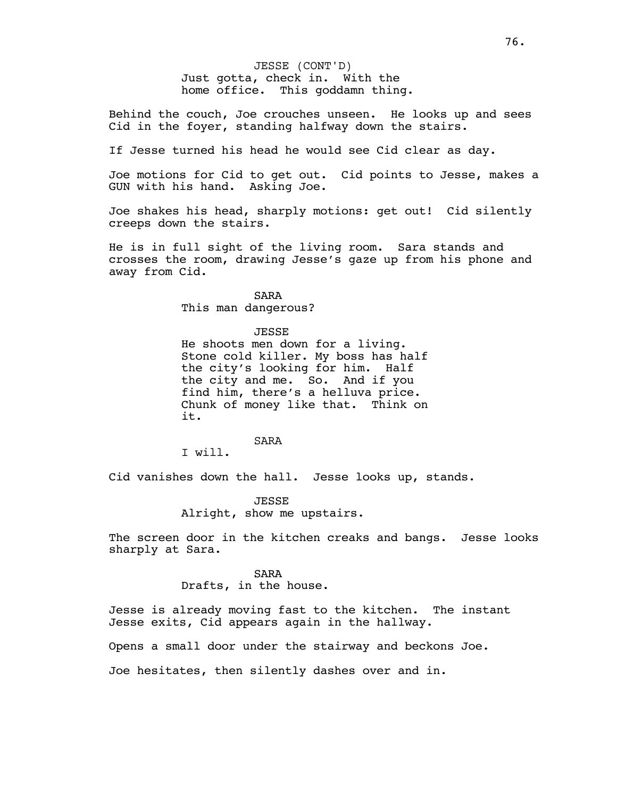Just gotta, check in. With the home office. This goddamn thing. JESSE (CONT'D)

Behind the couch, Joe crouches unseen. He looks up and sees Cid in the foyer, standing halfway down the stairs.

If Jesse turned his head he would see Cid clear as day.

Joe motions for Cid to get out. Cid points to Jesse, makes a GUN with his hand. Asking Joe.

Joe shakes his head, sharply motions: get out! Cid silently creeps down the stairs.

He is in full sight of the living room. Sara stands and crosses the room, drawing Jesse's gaze up from his phone and away from Cid.

SARA

This man dangerous?

JESSE

He shoots men down for a living. Stone cold killer. My boss has half the city's looking for him. Half the city and me. So. And if you find him, there's a helluva price. Chunk of money like that. Think on it.

SARA

I will.

Cid vanishes down the hall. Jesse looks up, stands.

JESSE Alright, show me upstairs.

The screen door in the kitchen creaks and bangs. Jesse looks sharply at Sara.

#### SARA

Drafts, in the house.

Jesse is already moving fast to the kitchen. The instant Jesse exits, Cid appears again in the hallway.

Opens a small door under the stairway and beckons Joe.

Joe hesitates, then silently dashes over and in.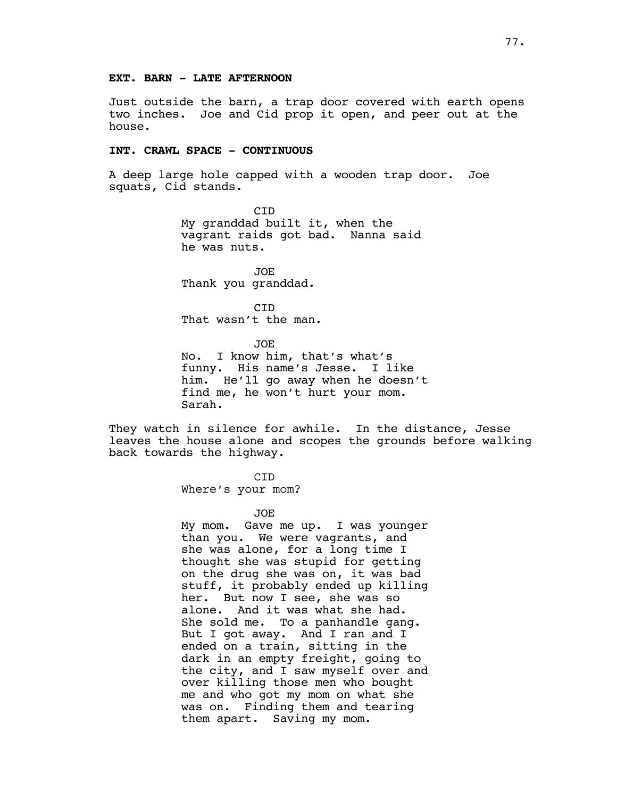Just outside the barn, a trap door covered with earth opens two inches. Joe and Cid prop it open, and peer out at the house.

# **INT. CRAWL SPACE - CONTINUOUS**

A deep large hole capped with a wooden trap door. Joe squats, Cid stands.

> CID My granddad built it, when the vagrant raids got bad. Nanna said he was nuts.

JOE Thank you granddad.

CID That wasn't the man.

JOE

No. I know him, that's what's funny. His name's Jesse. I like him. He'll go away when he doesn't find me, he won't hurt your mom. Sarah.

They watch in silence for awhile. In the distance, Jesse leaves the house alone and scopes the grounds before walking back towards the highway.

CID

Where's your mom?

#### JOE

My mom. Gave me up. I was younger than you. We were vagrants, and she was alone, for a long time I thought she was stupid for getting on the drug she was on, it was bad stuff, it probably ended up killing her. But now I see, she was so alone. And it was what she had. She sold me. To a panhandle gang. But I got away. And I ran and I ended on a train, sitting in the dark in an empty freight, going to the city, and I saw myself over and over killing those men who bought me and who got my mom on what she was on. Finding them and tearing them apart. Saving my mom.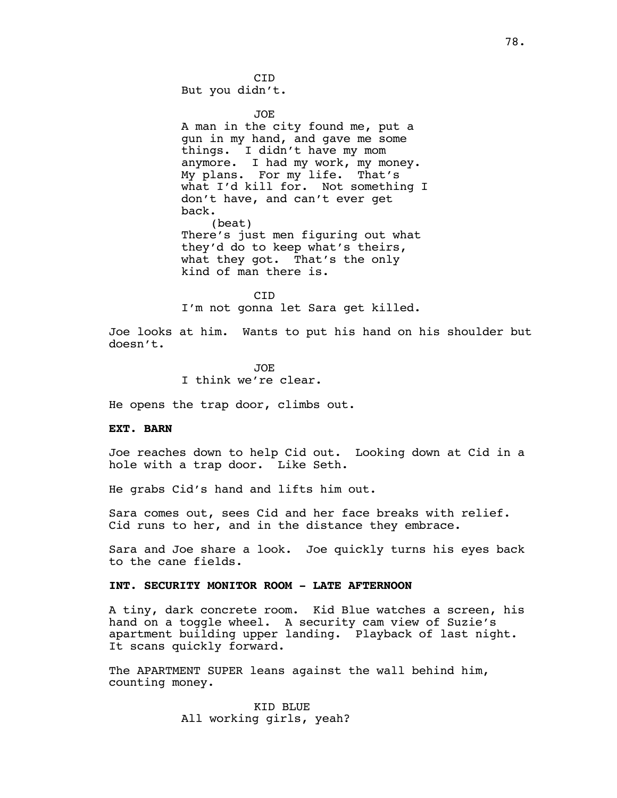**CTD** But you didn't.

JOE

A man in the city found me, put a gun in my hand, and gave me some things. I didn't have my mom anymore. I had my work, my money. My plans. For my life. That's what I'd kill for. Not something I don't have, and can't ever get back. (beat)

There's just men figuring out what they'd do to keep what's theirs, what they got. That's the only kind of man there is.

CID I'm not gonna let Sara get killed.

Joe looks at him. Wants to put his hand on his shoulder but doesn't.

> JOE I think we're clear.

He opens the trap door, climbs out.

#### **EXT. BARN**

Joe reaches down to help Cid out. Looking down at Cid in a hole with a trap door. Like Seth.

He grabs Cid's hand and lifts him out.

Sara comes out, sees Cid and her face breaks with relief. Cid runs to her, and in the distance they embrace.

Sara and Joe share a look. Joe quickly turns his eyes back to the cane fields.

### **INT. SECURITY MONITOR ROOM - LATE AFTERNOON**

A tiny, dark concrete room. Kid Blue watches a screen, his hand on a toggle wheel. A security cam view of Suzie's apartment building upper landing. Playback of last night. It scans quickly forward.

The APARTMENT SUPER leans against the wall behind him, counting money.

> KID BLUE All working girls, yeah?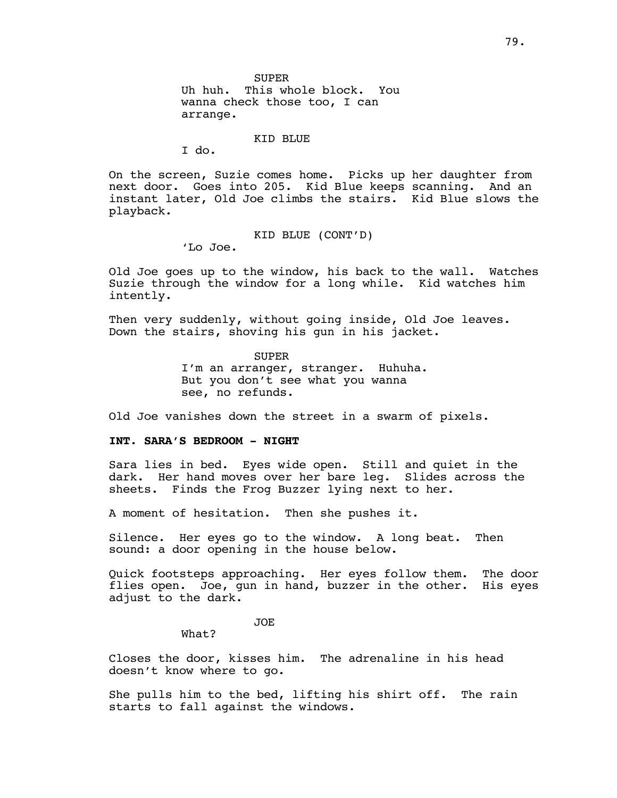SUPER Uh huh. This whole block. You wanna check those too, I can arrange.

### KID BLUE

I do.

On the screen, Suzie comes home. Picks up her daughter from next door. Goes into 205. Kid Blue keeps scanning. And an instant later, Old Joe climbs the stairs. Kid Blue slows the playback.

KID BLUE (CONT'D)

'Lo Joe.

Old Joe goes up to the window, his back to the wall. Watches Suzie through the window for a long while. Kid watches him intently.

Then very suddenly, without going inside, Old Joe leaves. Down the stairs, shoving his gun in his jacket.

> SUPER I'm an arranger, stranger. Huhuha. But you don't see what you wanna see, no refunds.

Old Joe vanishes down the street in a swarm of pixels.

# **INT. SARA'S BEDROOM - NIGHT**

Sara lies in bed. Eyes wide open. Still and quiet in the dark. Her hand moves over her bare leg. Slides across the sheets. Finds the Frog Buzzer lying next to her.

A moment of hesitation. Then she pushes it.

Silence. Her eyes go to the window. A long beat. Then sound: a door opening in the house below.

Quick footsteps approaching. Her eyes follow them. The door flies open. Joe, gun in hand, buzzer in the other. His eyes adjust to the dark.

JOE

What?

Closes the door, kisses him. The adrenaline in his head doesn't know where to go.

She pulls him to the bed, lifting his shirt off. The rain starts to fall against the windows.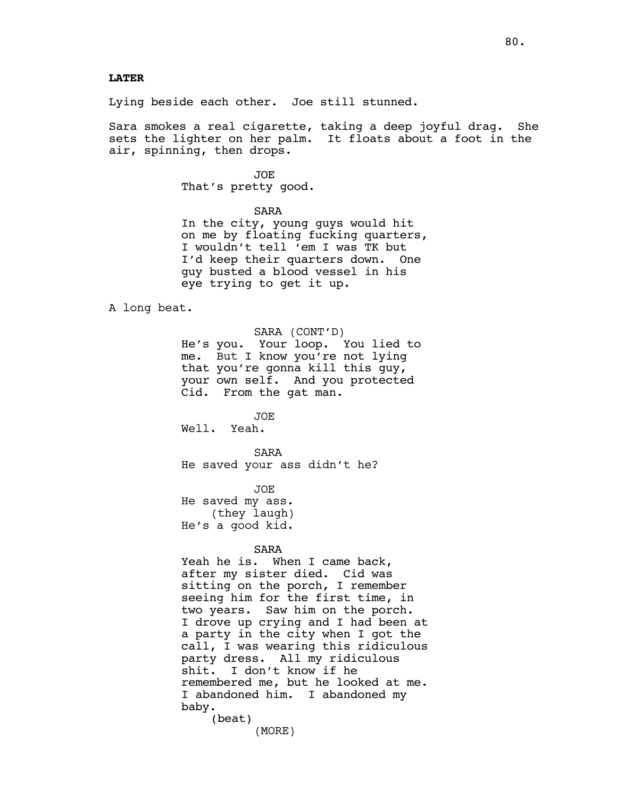### **LATER**

Lying beside each other. Joe still stunned.

Sara smokes a real cigarette, taking a deep joyful drag. She sets the lighter on her palm. It floats about a foot in the air, spinning, then drops.

> JOE That's pretty good.

> > SARA

In the city, young guys would hit on me by floating fucking quarters, I wouldn't tell 'em I was TK but I'd keep their quarters down. One guy busted a blood vessel in his eye trying to get it up.

A long beat.

SARA (CONT'D)

He's you. Your loop. You lied to me. But I know you're not lying that you're gonna kill this guy, your own self. And you protected Cid. From the gat man.

JOE Well. Yeah.

SARA He saved your ass didn't he?

JOE He saved my ass. (they laugh) He's a good kid.

SARA

Yeah he is. When I came back, after my sister died. Cid was sitting on the porch, I remember seeing him for the first time, in two years. Saw him on the porch. I drove up crying and I had been at a party in the city when I got the call, I was wearing this ridiculous party dress. All my ridiculous shit. I don't know if he remembered me, but he looked at me. I abandoned him. I abandoned my baby. (beat)

(MORE)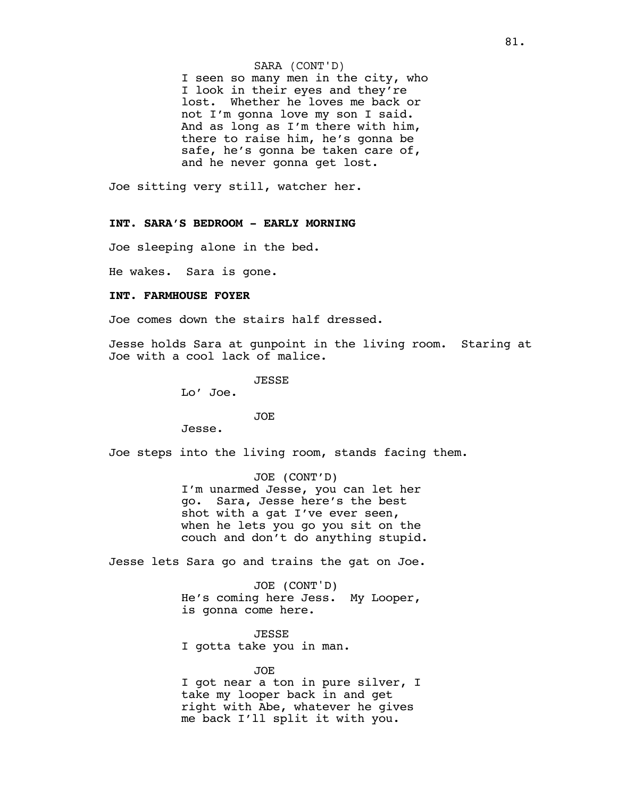#### SARA (CONT'D)

I seen so many men in the city, who I look in their eyes and they're lost. Whether he loves me back or not I'm gonna love my son I said. And as long as I'm there with him, there to raise him, he's gonna be safe, he's gonna be taken care of, and he never gonna get lost.

Joe sitting very still, watcher her.

### **INT. SARA'S BEDROOM - EARLY MORNING**

Joe sleeping alone in the bed.

He wakes. Sara is gone.

#### **INT. FARMHOUSE FOYER**

Joe comes down the stairs half dressed.

Jesse holds Sara at gunpoint in the living room. Staring at Joe with a cool lack of malice.

JESSE

Lo' Joe.

JOE

Jesse.

Joe steps into the living room, stands facing them.

JOE (CONT'D) I'm unarmed Jesse, you can let her go. Sara, Jesse here's the best shot with a gat I've ever seen, when he lets you go you sit on the couch and don't do anything stupid.

Jesse lets Sara go and trains the gat on Joe.

JOE (CONT'D) He's coming here Jess. My Looper, is gonna come here.

JESSE I gotta take you in man.

JOE

I got near a ton in pure silver, I take my looper back in and get right with Abe, whatever he gives me back I'll split it with you.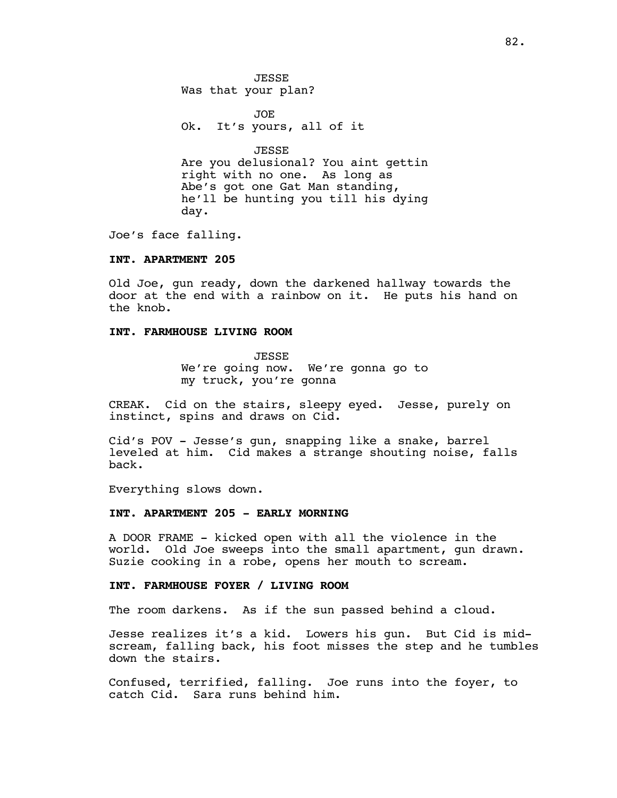**JESSE** Was that your plan?

JOE Ok. It's yours, all of it

JESSE Are you delusional? You aint gettin right with no one. As long as Abe's got one Gat Man standing, he'll be hunting you till his dying day.

Joe's face falling.

### **INT. APARTMENT 205**

Old Joe, gun ready, down the darkened hallway towards the door at the end with a rainbow on it. He puts his hand on the knob.

# **INT. FARMHOUSE LIVING ROOM**

JESSE We're going now. We're gonna go to my truck, you're gonna

CREAK. Cid on the stairs, sleepy eyed. Jesse, purely on instinct, spins and draws on Cid.

Cid's POV - Jesse's gun, snapping like a snake, barrel leveled at him. Cid makes a strange shouting noise, falls back.

Everything slows down.

### **INT. APARTMENT 205 - EARLY MORNING**

A DOOR FRAME - kicked open with all the violence in the world. Old Joe sweeps into the small apartment, gun drawn. Suzie cooking in a robe, opens her mouth to scream.

### **INT. FARMHOUSE FOYER / LIVING ROOM**

The room darkens. As if the sun passed behind a cloud.

Jesse realizes it's a kid. Lowers his gun. But Cid is midscream, falling back, his foot misses the step and he tumbles down the stairs.

Confused, terrified, falling. Joe runs into the foyer, to catch Cid. Sara runs behind him.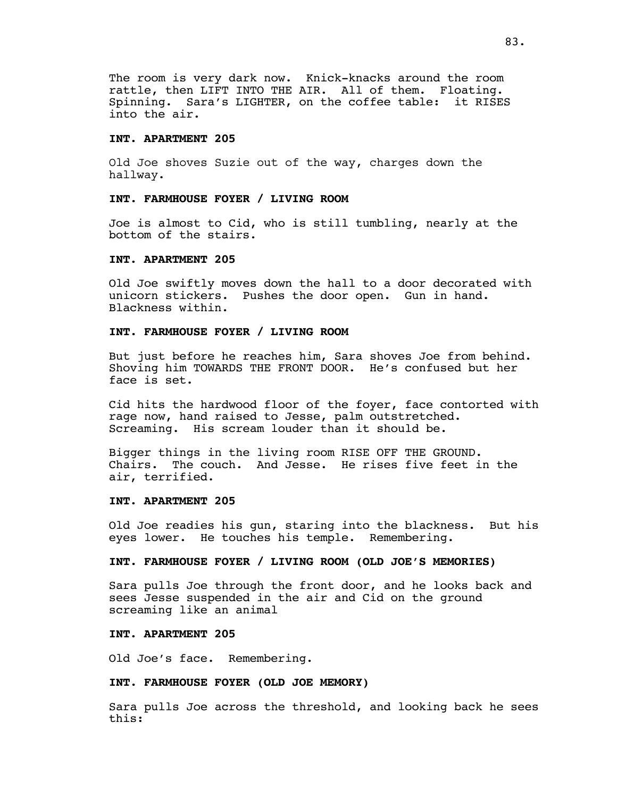The room is very dark now. Knick-knacks around the room rattle, then LIFT INTO THE AIR. All of them. Floating. Spinning. Sara's LIGHTER, on the coffee table: it RISES into the air.

# **INT. APARTMENT 205**

Old Joe shoves Suzie out of the way, charges down the hallway.

# **INT. FARMHOUSE FOYER / LIVING ROOM**

Joe is almost to Cid, who is still tumbling, nearly at the bottom of the stairs.

#### **INT. APARTMENT 205**

Old Joe swiftly moves down the hall to a door decorated with unicorn stickers. Pushes the door open. Gun in hand. Blackness within.

# **INT. FARMHOUSE FOYER / LIVING ROOM**

But just before he reaches him, Sara shoves Joe from behind. Shoving him TOWARDS THE FRONT DOOR. He's confused but her face is set.

Cid hits the hardwood floor of the foyer, face contorted with rage now, hand raised to Jesse, palm outstretched. Screaming. His scream louder than it should be.

Bigger things in the living room RISE OFF THE GROUND. Chairs. The couch. And Jesse. He rises five feet in the air, terrified.

### **INT. APARTMENT 205**

Old Joe readies his gun, staring into the blackness. But his eyes lower. He touches his temple. Remembering.

### **INT. FARMHOUSE FOYER / LIVING ROOM (OLD JOE'S MEMORIES)**

Sara pulls Joe through the front door, and he looks back and sees Jesse suspended in the air and Cid on the ground screaming like an animal

### **INT. APARTMENT 205**

Old Joe's face. Remembering.

### **INT. FARMHOUSE FOYER (OLD JOE MEMORY)**

Sara pulls Joe across the threshold, and looking back he sees this: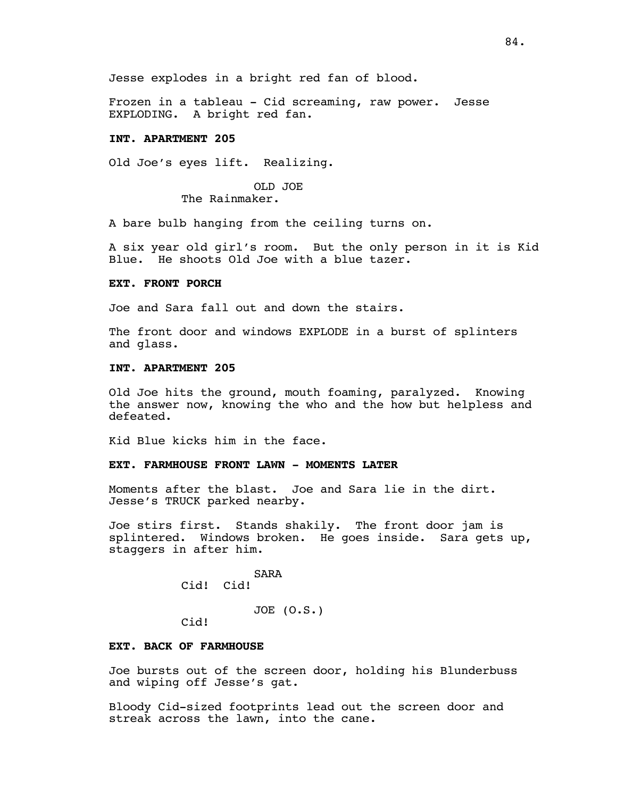Frozen in a tableau - Cid screaming, raw power. Jesse EXPLODING. A bright red fan.

# **INT. APARTMENT 205**

Old Joe's eyes lift. Realizing.

# OLD JOE

The Rainmaker.

A bare bulb hanging from the ceiling turns on.

A six year old girl's room. But the only person in it is Kid Blue. He shoots Old Joe with a blue tazer.

### **EXT. FRONT PORCH**

Joe and Sara fall out and down the stairs.

The front door and windows EXPLODE in a burst of splinters and glass.

# **INT. APARTMENT 205**

Old Joe hits the ground, mouth foaming, paralyzed. Knowing the answer now, knowing the who and the how but helpless and defeated.

Kid Blue kicks him in the face.

# **EXT. FARMHOUSE FRONT LAWN - MOMENTS LATER**

Moments after the blast. Joe and Sara lie in the dirt. Jesse's TRUCK parked nearby.

Joe stirs first. Stands shakily. The front door jam is splintered. Windows broken. He goes inside. Sara gets up, staggers in after him.

> SARA Cid! Cid!

> > JOE (O.S.)

Cid!

#### **EXT. BACK OF FARMHOUSE**

Joe bursts out of the screen door, holding his Blunderbuss and wiping off Jesse's gat.

Bloody Cid-sized footprints lead out the screen door and streak across the lawn, into the cane.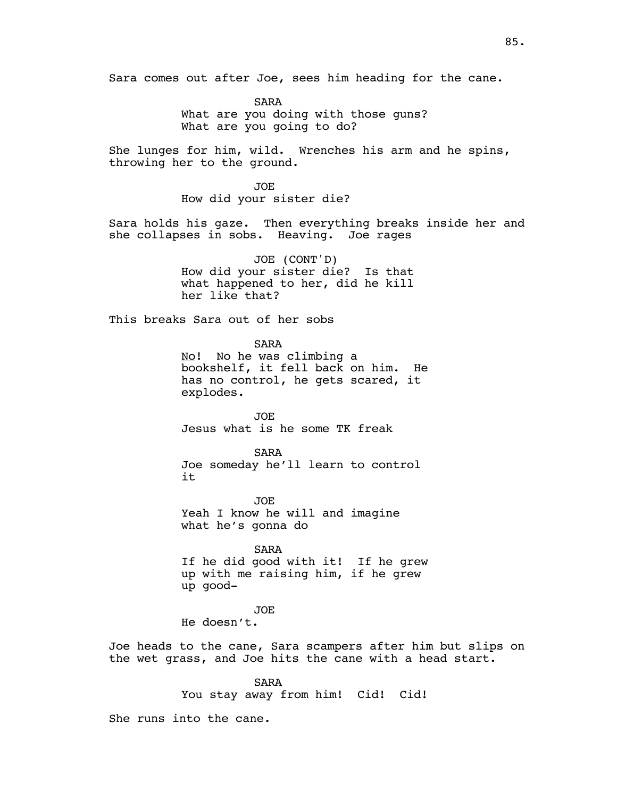Sara comes out after Joe, sees him heading for the cane.

SARA What are you doing with those guns? What are you going to do?

She lunges for him, wild. Wrenches his arm and he spins, throwing her to the ground.

> JOE How did your sister die?

Sara holds his gaze. Then everything breaks inside her and she collapses in sobs. Heaving. Joe rages

> JOE (CONT'D) How did your sister die? Is that what happened to her, did he kill her like that?

This breaks Sara out of her sobs

SARA No! No he was climbing a bookshelf, it fell back on him. He has no control, he gets scared, it explodes.

JOE Jesus what is he some TK freak

SARA Joe someday he'll learn to control it

JOE Yeah I know he will and imagine what he's gonna do

SARA If he did good with it! If he grew up with me raising him, if he grew up good-

JOE

He doesn't.

Joe heads to the cane, Sara scampers after him but slips on the wet grass, and Joe hits the cane with a head start.

> SARA You stay away from him! Cid! Cid!

She runs into the cane.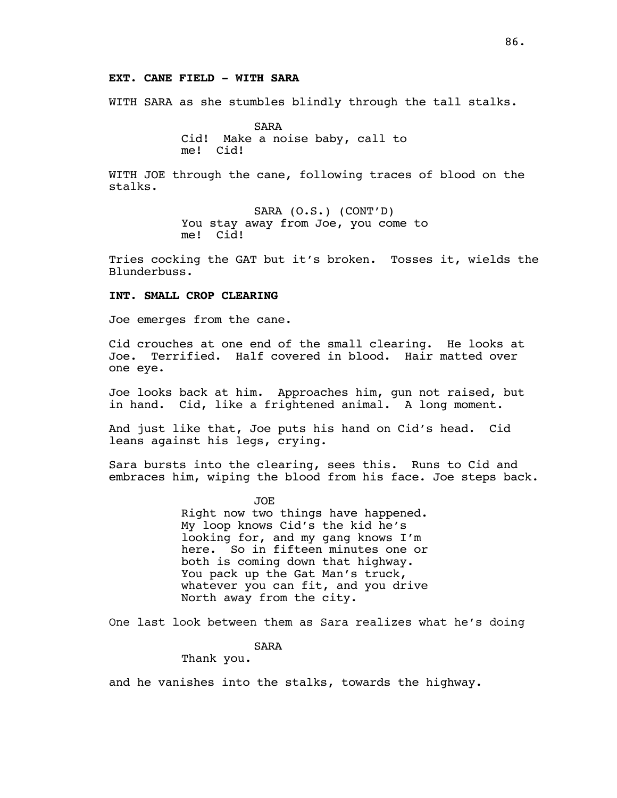# **EXT. CANE FIELD - WITH SARA**

WITH SARA as she stumbles blindly through the tall stalks.

SARA Cid! Make a noise baby, call to me! Cid!

WITH JOE through the cane, following traces of blood on the stalks.

> SARA (O.S.) (CONT'D) You stay away from Joe, you come to me! Cid!

Tries cocking the GAT but it's broken. Tosses it, wields the Blunderbuss.

#### **INT. SMALL CROP CLEARING**

Joe emerges from the cane.

Cid crouches at one end of the small clearing. He looks at Joe. Terrified. Half covered in blood. Hair matted over one eye.

Joe looks back at him. Approaches him, gun not raised, but in hand. Cid, like a frightened animal. A long moment.

And just like that, Joe puts his hand on Cid's head. Cid leans against his legs, crying.

Sara bursts into the clearing, sees this. Runs to Cid and embraces him, wiping the blood from his face. Joe steps back.

> JOE Right now two things have happened. My loop knows Cid's the kid he's looking for, and my gang knows I'm here. So in fifteen minutes one or both is coming down that highway. You pack up the Gat Man's truck, whatever you can fit, and you drive North away from the city.

One last look between them as Sara realizes what he's doing

SARA

Thank you.

and he vanishes into the stalks, towards the highway.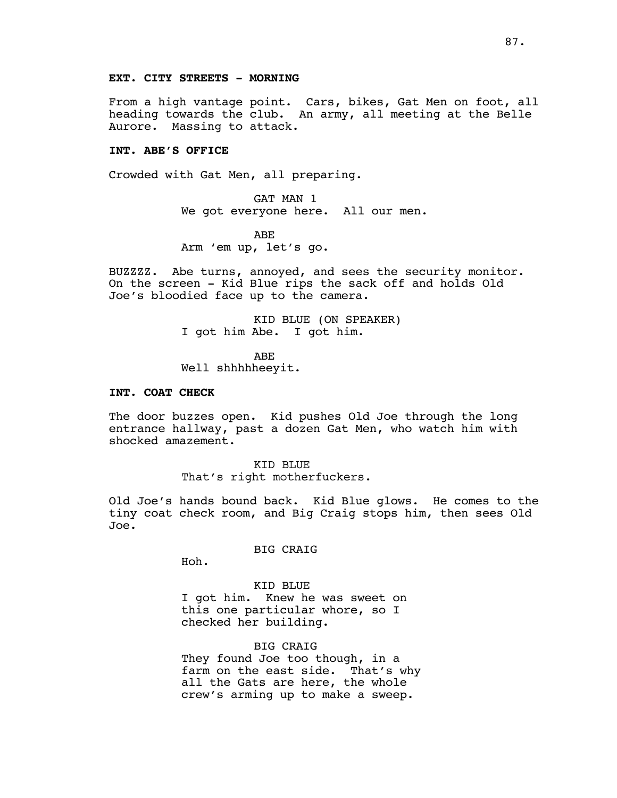From a high vantage point. Cars, bikes, Gat Men on foot, all heading towards the club. An army, all meeting at the Belle Aurore. Massing to attack.

# **INT. ABE'S OFFICE**

Crowded with Gat Men, all preparing.

GAT MAN 1 We got everyone here. All our men.

ABE Arm 'em up, let's go.

BUZZZZ. Abe turns, annoyed, and sees the security monitor. On the screen - Kid Blue rips the sack off and holds Old Joe's bloodied face up to the camera.

> KID BLUE (ON SPEAKER) I got him Abe. I got him.

ABE Well shhhhheeyit.

#### **INT. COAT CHECK**

The door buzzes open. Kid pushes Old Joe through the long entrance hallway, past a dozen Gat Men, who watch him with shocked amazement.

> KID BLUE That's right motherfuckers.

Old Joe's hands bound back. Kid Blue glows. He comes to the tiny coat check room, and Big Craig stops him, then sees Old Joe.

BIG CRAIG

Hoh.

KID BLUE I got him. Knew he was sweet on this one particular whore, so I checked her building.

BIG CRAIG They found Joe too though, in a farm on the east side. That's why all the Gats are here, the whole crew's arming up to make a sweep.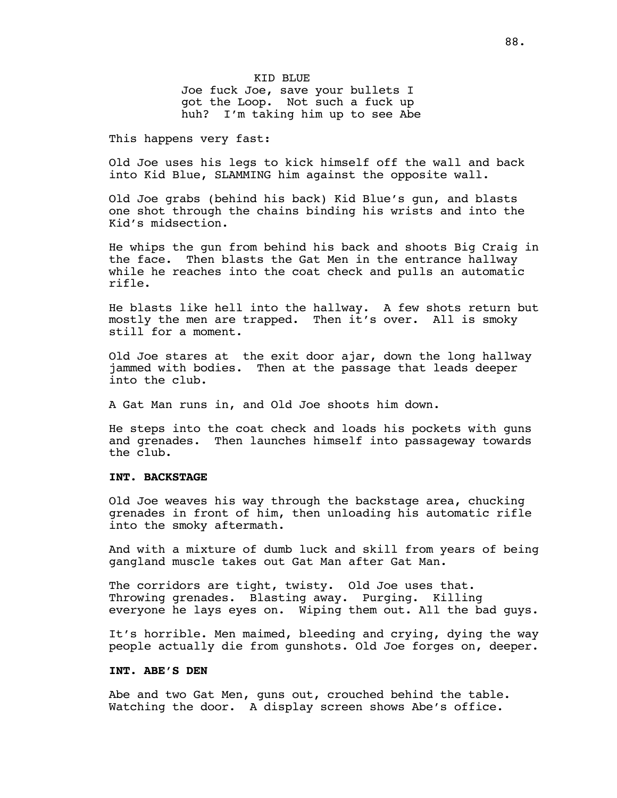KID BLUE Joe fuck Joe, save your bullets I got the Loop. Not such a fuck up huh? I'm taking him up to see Abe

This happens very fast:

Old Joe uses his legs to kick himself off the wall and back into Kid Blue, SLAMMING him against the opposite wall.

Old Joe grabs (behind his back) Kid Blue's gun, and blasts one shot through the chains binding his wrists and into the Kid's midsection.

He whips the gun from behind his back and shoots Big Craig in the face. Then blasts the Gat Men in the entrance hallway while he reaches into the coat check and pulls an automatic rifle.

He blasts like hell into the hallway. A few shots return but mostly the men are trapped. Then it's over. All is smoky still for a moment.

Old Joe stares at the exit door ajar, down the long hallway jammed with bodies. Then at the passage that leads deeper into the club.

A Gat Man runs in, and Old Joe shoots him down.

He steps into the coat check and loads his pockets with guns and grenades. Then launches himself into passageway towards the club.

# **INT. BACKSTAGE**

Old Joe weaves his way through the backstage area, chucking grenades in front of him, then unloading his automatic rifle into the smoky aftermath.

And with a mixture of dumb luck and skill from years of being gangland muscle takes out Gat Man after Gat Man.

The corridors are tight, twisty. Old Joe uses that. Throwing grenades. Blasting away. Purging. Killing everyone he lays eyes on. Wiping them out. All the bad guys.

It's horrible. Men maimed, bleeding and crying, dying the way people actually die from gunshots. Old Joe forges on, deeper.

# **INT. ABE'S DEN**

Abe and two Gat Men, guns out, crouched behind the table. Watching the door. A display screen shows Abe's office.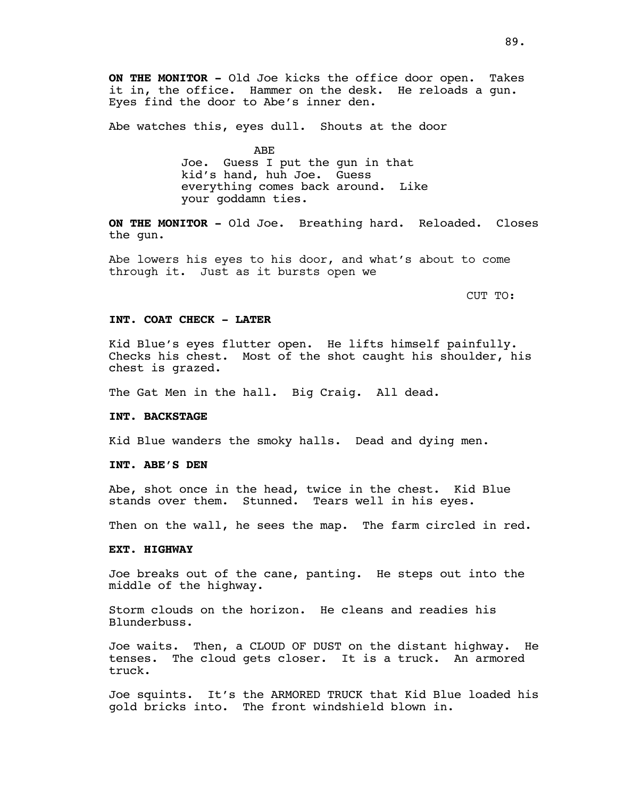**ON THE MONITOR -** Old Joe kicks the office door open. Takes it in, the office. Hammer on the desk. He reloads a gun. Eyes find the door to Abe's inner den.

Abe watches this, eyes dull. Shouts at the door

ABE

Joe. Guess I put the gun in that kid's hand, huh Joe. Guess everything comes back around. Like your goddamn ties.

**ON THE MONITOR -** Old Joe. Breathing hard. Reloaded. Closes the gun.

Abe lowers his eyes to his door, and what's about to come through it. Just as it bursts open we

CUT TO:

#### **INT. COAT CHECK - LATER**

Kid Blue's eyes flutter open. He lifts himself painfully. Checks his chest. Most of the shot caught his shoulder, his chest is grazed.

The Gat Men in the hall. Big Craig. All dead.

### **INT. BACKSTAGE**

Kid Blue wanders the smoky halls. Dead and dying men.

# **INT. ABE'S DEN**

Abe, shot once in the head, twice in the chest. Kid Blue stands over them. Stunned. Tears well in his eyes.

Then on the wall, he sees the map. The farm circled in red.

#### **EXT. HIGHWAY**

Joe breaks out of the cane, panting. He steps out into the middle of the highway.

Storm clouds on the horizon. He cleans and readies his Blunderbuss.

Joe waits. Then, a CLOUD OF DUST on the distant highway. He tenses. The cloud gets closer. It is a truck. An armored truck.

Joe squints. It's the ARMORED TRUCK that Kid Blue loaded his gold bricks into. The front windshield blown in.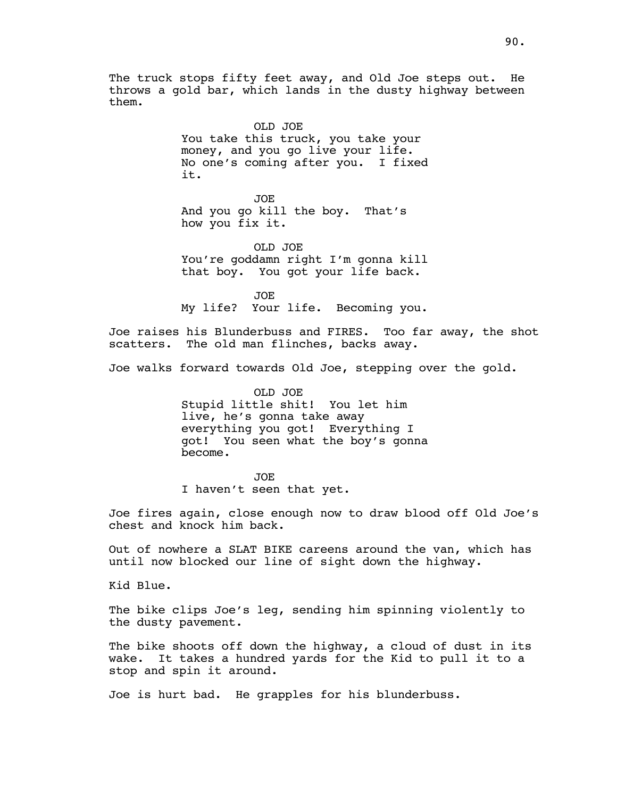The truck stops fifty feet away, and Old Joe steps out. He throws a gold bar, which lands in the dusty highway between them.

> OLD JOE You take this truck, you take your money, and you go live your life. No one's coming after you. I fixed it.

JOE And you go kill the boy. That's how you fix it.

OLD JOE You're goddamn right I'm gonna kill that boy. You got your life back.

JOE My life? Your life. Becoming you.

Joe raises his Blunderbuss and FIRES. Too far away, the shot scatters. The old man flinches, backs away.

Joe walks forward towards Old Joe, stepping over the gold.

OLD JOE Stupid little shit! You let him live, he's gonna take away everything you got! Everything I got! You seen what the boy's gonna become.

JOE I haven't seen that yet.

Joe fires again, close enough now to draw blood off Old Joe's chest and knock him back.

Out of nowhere a SLAT BIKE careens around the van, which has until now blocked our line of sight down the highway.

Kid Blue.

The bike clips Joe's leg, sending him spinning violently to the dusty pavement.

The bike shoots off down the highway, a cloud of dust in its wake. It takes a hundred yards for the Kid to pull it to a stop and spin it around.

Joe is hurt bad. He grapples for his blunderbuss.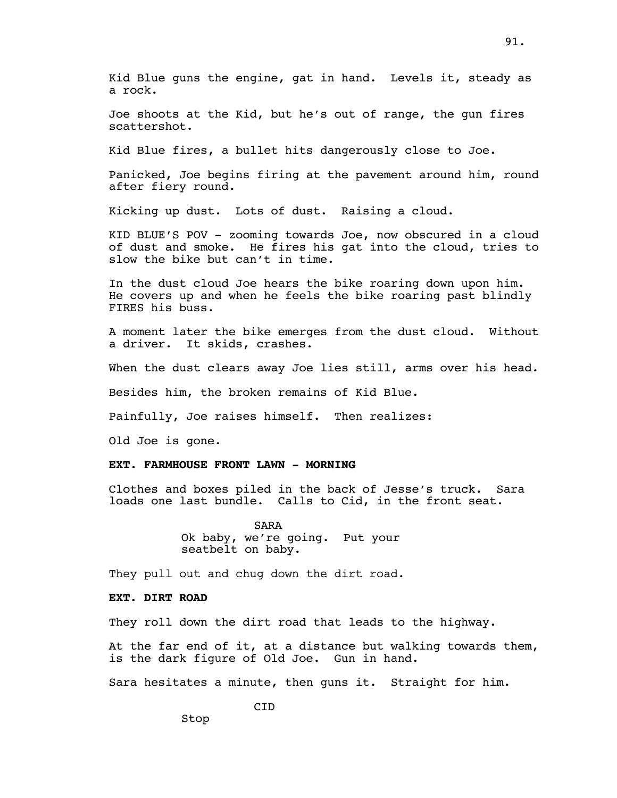Joe shoots at the Kid, but he's out of range, the gun fires scattershot.

Kid Blue fires, a bullet hits dangerously close to Joe.

Panicked, Joe begins firing at the pavement around him, round after fiery round.

Kicking up dust. Lots of dust. Raising a cloud.

KID BLUE'S POV - zooming towards Joe, now obscured in a cloud of dust and smoke. He fires his gat into the cloud, tries to slow the bike but can't in time.

In the dust cloud Joe hears the bike roaring down upon him. He covers up and when he feels the bike roaring past blindly FIRES his buss.

A moment later the bike emerges from the dust cloud. Without a driver. It skids, crashes.

When the dust clears away Joe lies still, arms over his head.

Besides him, the broken remains of Kid Blue.

Painfully, Joe raises himself. Then realizes:

Old Joe is gone.

# **EXT. FARMHOUSE FRONT LAWN - MORNING**

Clothes and boxes piled in the back of Jesse's truck. Sara loads one last bundle. Calls to Cid, in the front seat.

> SARA Ok baby, we're going. Put your seatbelt on baby.

They pull out and chug down the dirt road.

# **EXT. DIRT ROAD**

Stop

They roll down the dirt road that leads to the highway.

At the far end of it, at a distance but walking towards them, is the dark figure of Old Joe. Gun in hand.

Sara hesitates a minute, then guns it. Straight for him.

CID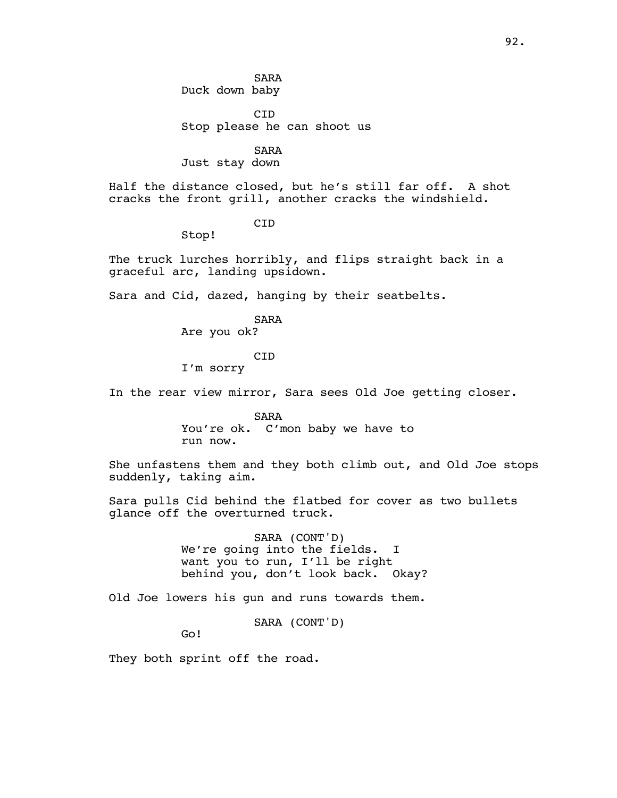SARA Duck down baby

CID Stop please he can shoot us

SARA Just stay down

Half the distance closed, but he's still far off. A shot cracks the front grill, another cracks the windshield.

CID

Stop!

The truck lurches horribly, and flips straight back in a graceful arc, landing upsidown.

Sara and Cid, dazed, hanging by their seatbelts.

SARA

Are you ok?

#### CID

I'm sorry

In the rear view mirror, Sara sees Old Joe getting closer.

SARA You're ok. C'mon baby we have to run now.

She unfastens them and they both climb out, and Old Joe stops suddenly, taking aim.

Sara pulls Cid behind the flatbed for cover as two bullets glance off the overturned truck.

> SARA (CONT'D) We're going into the fields. I want you to run, I'll be right behind you, don't look back. Okay?

Old Joe lowers his gun and runs towards them.

SARA (CONT'D)

Go!

They both sprint off the road.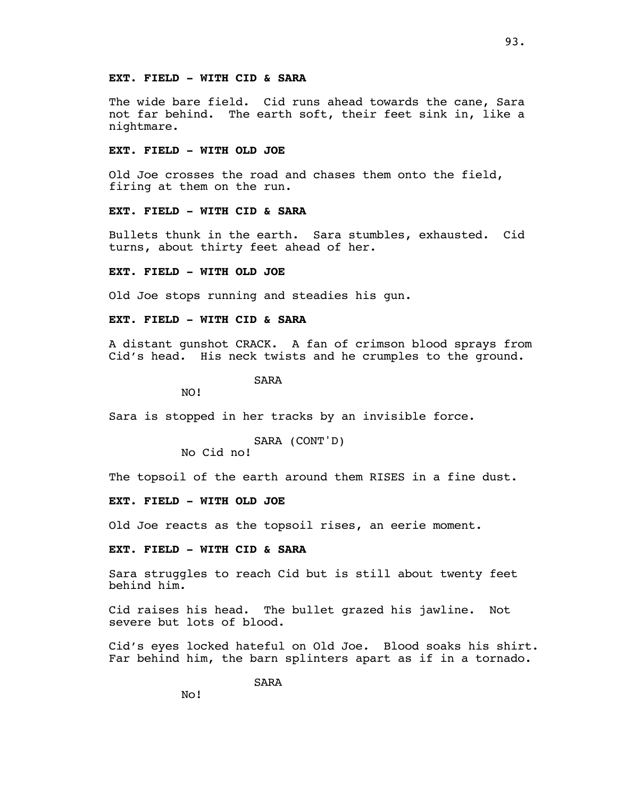# **EXT. FIELD - WITH CID & SARA**

The wide bare field. Cid runs ahead towards the cane, Sara not far behind. The earth soft, their feet sink in, like a nightmare.

# **EXT. FIELD - WITH OLD JOE**

Old Joe crosses the road and chases them onto the field, firing at them on the run.

# **EXT. FIELD - WITH CID & SARA**

Bullets thunk in the earth. Sara stumbles, exhausted. Cid turns, about thirty feet ahead of her.

# **EXT. FIELD - WITH OLD JOE**

Old Joe stops running and steadies his gun.

### **EXT. FIELD - WITH CID & SARA**

A distant gunshot CRACK. A fan of crimson blood sprays from Cid's head. His neck twists and he crumples to the ground.

SARA

NO!

Sara is stopped in her tracks by an invisible force.

```
SARA (CONT'D)
```
No Cid no!

The topsoil of the earth around them RISES in a fine dust.

# **EXT. FIELD - WITH OLD JOE**

Old Joe reacts as the topsoil rises, an eerie moment.

# **EXT. FIELD - WITH CID & SARA**

Sara struggles to reach Cid but is still about twenty feet behind him.

Cid raises his head. The bullet grazed his jawline. Not severe but lots of blood.

Cid's eyes locked hateful on Old Joe. Blood soaks his shirt. Far behind him, the barn splinters apart as if in a tornado.

SARA

No!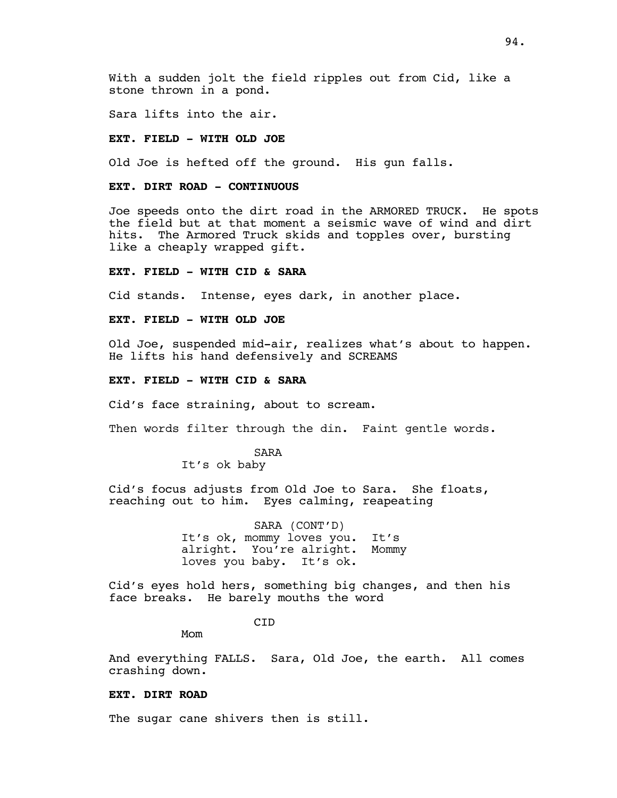Sara lifts into the air.

### **EXT. FIELD - WITH OLD JOE**

Old Joe is hefted off the ground. His gun falls.

### **EXT. DIRT ROAD - CONTINUOUS**

Joe speeds onto the dirt road in the ARMORED TRUCK. He spots the field but at that moment a seismic wave of wind and dirt hits. The Armored Truck skids and topples over, bursting like a cheaply wrapped gift.

# **EXT. FIELD - WITH CID & SARA**

Cid stands. Intense, eyes dark, in another place.

### **EXT. FIELD - WITH OLD JOE**

Old Joe, suspended mid-air, realizes what's about to happen. He lifts his hand defensively and SCREAMS

#### **EXT. FIELD - WITH CID & SARA**

Cid's face straining, about to scream.

Then words filter through the din. Faint gentle words.

SARA

It's ok baby

Cid's focus adjusts from Old Joe to Sara. She floats, reaching out to him. Eyes calming, reapeating

> SARA (CONT'D) It's ok, mommy loves you. It's alright. You're alright. Mommy loves you baby. It's ok.

Cid's eyes hold hers, something big changes, and then his face breaks. He barely mouths the word

CID

Mom

And everything FALLS. Sara, Old Joe, the earth. All comes crashing down.

### **EXT. DIRT ROAD**

The sugar cane shivers then is still.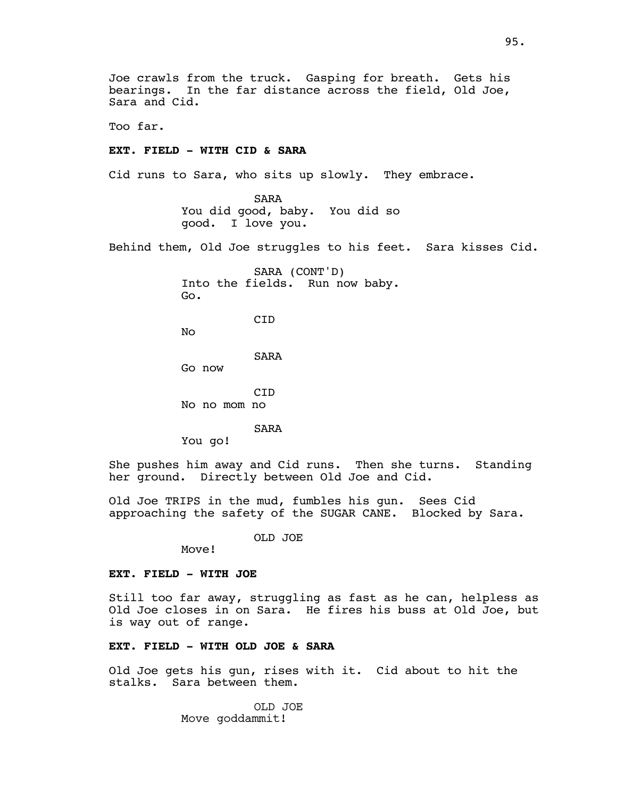Joe crawls from the truck. Gasping for breath. Gets his bearings. In the far distance across the field, Old Joe, Sara and Cid.

Too far.

# **EXT. FIELD - WITH CID & SARA**

Cid runs to Sara, who sits up slowly. They embrace.

SARA You did good, baby. You did so good. I love you.

Behind them, Old Joe struggles to his feet. Sara kisses Cid.

SARA (CONT'D) Into the fields. Run now baby. Go. **C<sub>TD</sub>** No SARA

Go now

**C<sub>TD</sub>** No no mom no

SARA

You go!

She pushes him away and Cid runs. Then she turns. Standing her ground. Directly between Old Joe and Cid.

Old Joe TRIPS in the mud, fumbles his gun. Sees Cid approaching the safety of the SUGAR CANE. Blocked by Sara.

OLD JOE

Move!

### **EXT. FIELD - WITH JOE**

Still too far away, struggling as fast as he can, helpless as Old Joe closes in on Sara. He fires his buss at Old Joe, but is way out of range.

### **EXT. FIELD - WITH OLD JOE & SARA**

Old Joe gets his gun, rises with it. Cid about to hit the stalks. Sara between them.

> OLD JOE Move goddammit!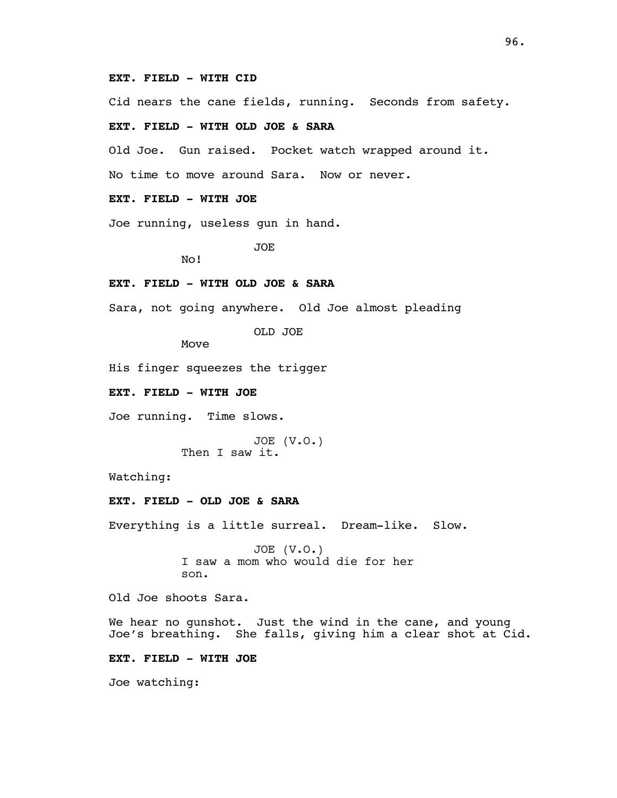### **EXT. FIELD - WITH CID**

Cid nears the cane fields, running. Seconds from safety.

# **EXT. FIELD - WITH OLD JOE & SARA**

Old Joe. Gun raised. Pocket watch wrapped around it.

No time to move around Sara. Now or never.

# **EXT. FIELD - WITH JOE**

Joe running, useless gun in hand.

JOE

No!

# **EXT. FIELD - WITH OLD JOE & SARA**

Sara, not going anywhere. Old Joe almost pleading

OLD JOE

Move

His finger squeezes the trigger

**EXT. FIELD - WITH JOE**

Joe running. Time slows.

JOE (V.O.) Then I saw it.

Watching:

# **EXT. FIELD - OLD JOE & SARA**

Everything is a little surreal. Dream-like. Slow.

JOE (V.O.) I saw a mom who would die for her son.

Old Joe shoots Sara.

We hear no gunshot. Just the wind in the cane, and young Joe's breathing. She falls, giving him a clear shot at Cid.

# **EXT. FIELD - WITH JOE**

Joe watching: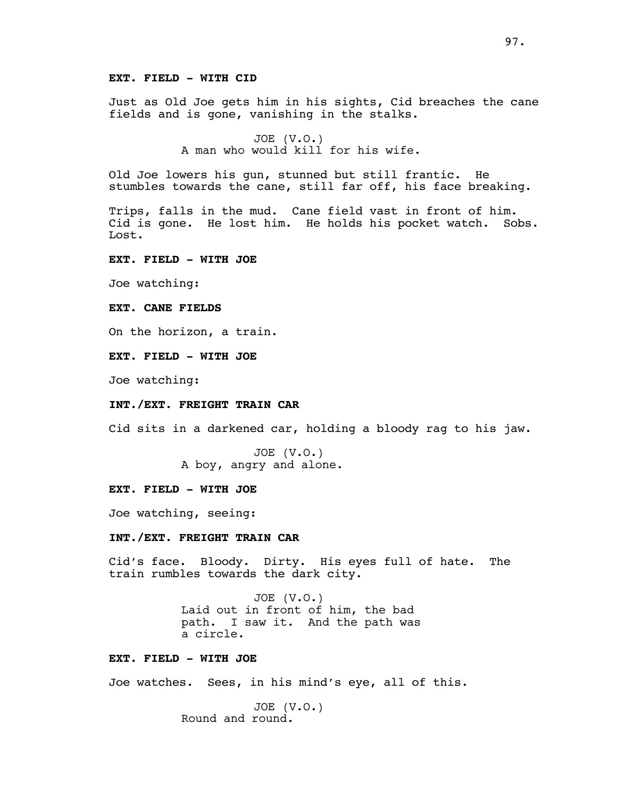# **EXT. FIELD - WITH CID**

Just as Old Joe gets him in his sights, Cid breaches the cane fields and is gone, vanishing in the stalks.

> JOE (V.O.) A man who would kill for his wife.

Old Joe lowers his gun, stunned but still frantic. He stumbles towards the cane, still far off, his face breaking.

Trips, falls in the mud. Cane field vast in front of him. Cid is gone. He lost him. He holds his pocket watch. Sobs. Lost.

### **EXT. FIELD - WITH JOE**

Joe watching:

# **EXT. CANE FIELDS**

On the horizon, a train.

#### **EXT. FIELD - WITH JOE**

Joe watching:

# **INT./EXT. FREIGHT TRAIN CAR**

Cid sits in a darkened car, holding a bloody rag to his jaw.

JOE (V.O.) A boy, angry and alone.

#### **EXT. FIELD - WITH JOE**

Joe watching, seeing:

# **INT./EXT. FREIGHT TRAIN CAR**

Cid's face. Bloody. Dirty. His eyes full of hate. The train rumbles towards the dark city.

> JOE (V.O.) Laid out in front of him, the bad path. I saw it. And the path was a circle.

### **EXT. FIELD - WITH JOE**

Joe watches. Sees, in his mind's eye, all of this.

JOE (V.O.) Round and round.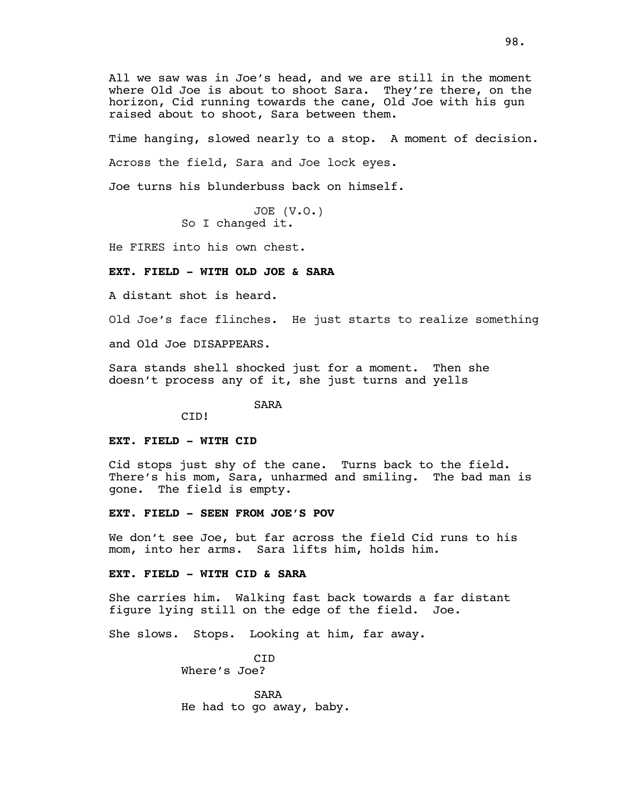All we saw was in Joe's head, and we are still in the moment where Old Joe is about to shoot Sara. They're there, on the horizon, Cid running towards the cane, Old Joe with his gun raised about to shoot, Sara between them.

Time hanging, slowed nearly to a stop. A moment of decision.

Across the field, Sara and Joe lock eyes.

Joe turns his blunderbuss back on himself.

JOE (V.O.) So I changed it.

He FIRES into his own chest.

# **EXT. FIELD - WITH OLD JOE & SARA**

A distant shot is heard.

Old Joe's face flinches. He just starts to realize something

and Old Joe DISAPPEARS.

Sara stands shell shocked just for a moment. Then she doesn't process any of it, she just turns and yells

SARA

# **EXT. FIELD - WITH CID**

CID!

Cid stops just shy of the cane. Turns back to the field. There's his mom, Sara, unharmed and smiling. The bad man is gone. The field is empty.

### **EXT. FIELD - SEEN FROM JOE'S POV**

We don't see Joe, but far across the field Cid runs to his mom, into her arms. Sara lifts him, holds him.

### **EXT. FIELD - WITH CID & SARA**

She carries him. Walking fast back towards a far distant figure lying still on the edge of the field. Joe.

She slows. Stops. Looking at him, far away.

**C<sub>TD</sub>** Where's Joe?

SARA He had to go away, baby.